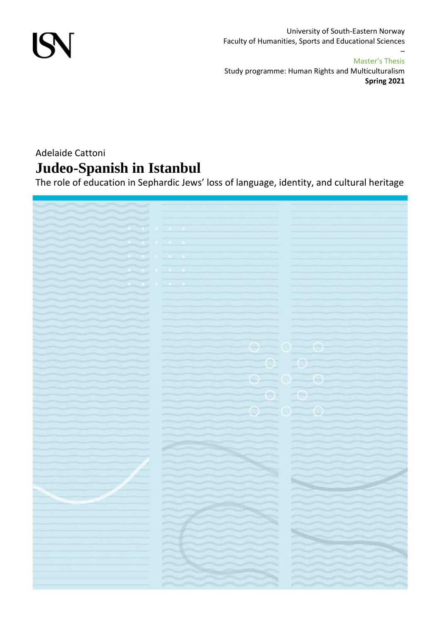

University of South-Eastern Norway Faculty of Humanities, Sports and Educational Sciences

#### Master's Thesis

–

Study programme: Human Rights and Multiculturalism **Spring 2021**

## Adelaide Cattoni **Judeo-Spanish in Istanbul**

The role of education in Sephardic Jews' loss of language, identity, and cultural heritage

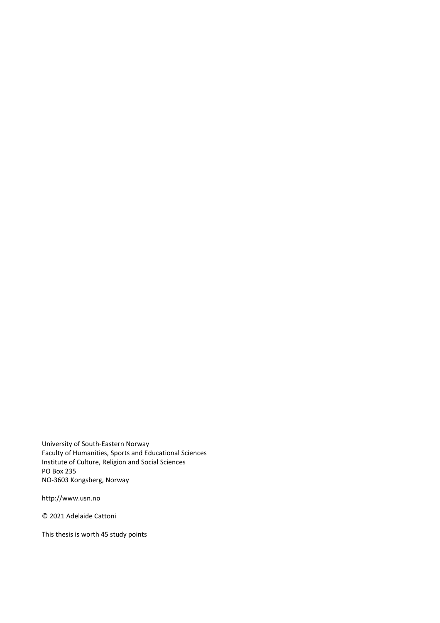University of South-Eastern Norway Faculty of Humanities, Sports and Educational Sciences Institute of Culture, Religion and Social Sciences PO Box 235 NO-3603 Kongsberg, Norway

http://www.usn.no

© 2021 Adelaide Cattoni

This thesis is worth 45 study points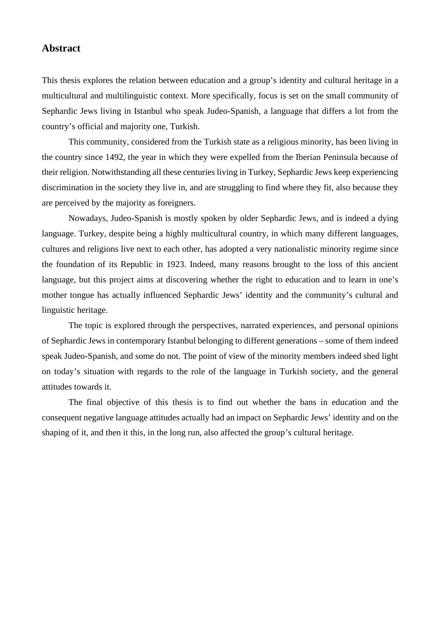#### **Abstract**

This thesis explores the relation between education and a group's identity and cultural heritage in a multicultural and multilinguistic context. More specifically, focus is set on the small community of Sephardic Jews living in Istanbul who speak Judeo-Spanish, a language that differs a lot from the country's official and majority one, Turkish.

This community, considered from the Turkish state as a religious minority, has been living in the country since 1492, the year in which they were expelled from the Iberian Peninsula because of their religion. Notwithstanding all these centuries living in Turkey, Sephardic Jews keep experiencing discrimination in the society they live in, and are struggling to find where they fit, also because they are perceived by the majority as foreigners.

Nowadays, Judeo-Spanish is mostly spoken by older Sephardic Jews, and is indeed a dying language. Turkey, despite being a highly multicultural country, in which many different languages, cultures and religions live next to each other, has adopted a very nationalistic minority regime since the foundation of its Republic in 1923. Indeed, many reasons brought to the loss of this ancient language, but this project aims at discovering whether the right to education and to learn in one's mother tongue has actually influenced Sephardic Jews' identity and the community's cultural and linguistic heritage.

The topic is explored through the perspectives, narrated experiences, and personal opinions of Sephardic Jews in contemporary Istanbul belonging to different generations – some of them indeed speak Judeo-Spanish, and some do not. The point of view of the minority members indeed shed light on today's situation with regards to the role of the language in Turkish society, and the general attitudes towards it.

The final objective of this thesis is to find out whether the bans in education and the consequent negative language attitudes actually had an impact on Sephardic Jews' identity and on the shaping of it, and then it this, in the long run, also affected the group's cultural heritage.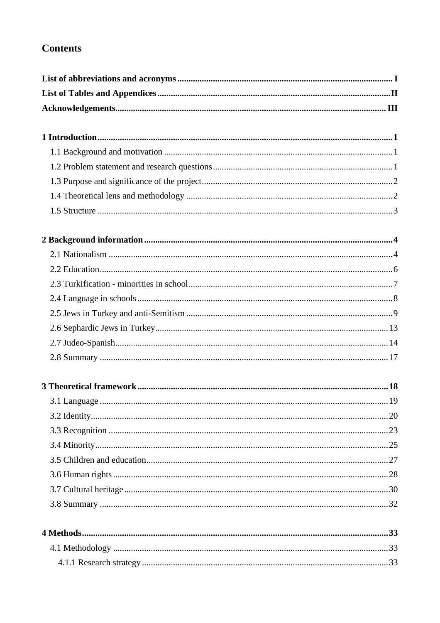## **Contents**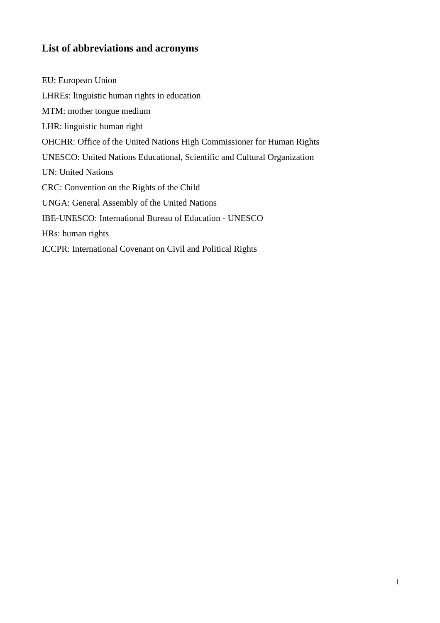### **List of abbreviations and acronyms**

EU: European Union LHREs: linguistic human rights in education MTM: mother tongue medium LHR: linguistic human right OHCHR: Office of the United Nations High Commissioner for Human Rights UNESCO: United Nations Educational, Scientific and Cultural Organization UN: United Nations CRC: Convention on the Rights of the Child UNGA: General Assembly of the United Nations IBE-UNESCO: International Bureau of Education - UNESCO HRs: human rights ICCPR: International Covenant on Civil and Political Rights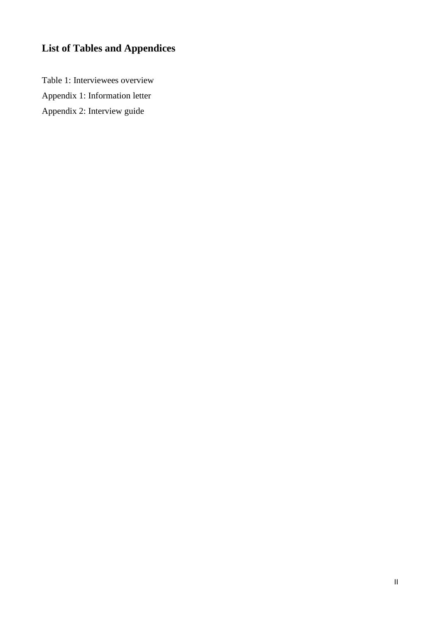# **List of Tables and Appendices**

Table 1: Interviewees overview Appendix 1: Information letter Appendix 2: Interview guide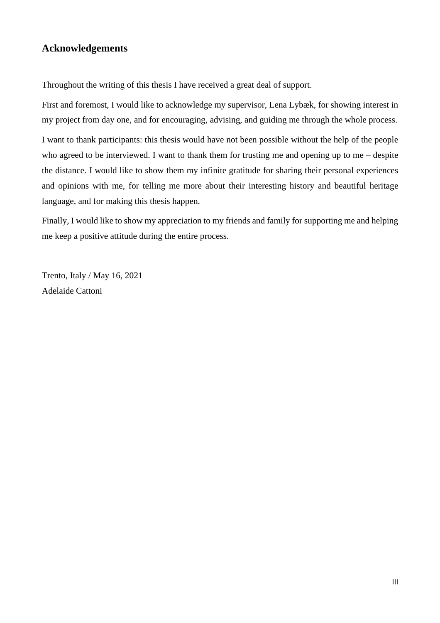### **Acknowledgements**

Throughout the writing of this thesis I have received a great deal of support.

First and foremost, I would like to acknowledge my supervisor, Lena Lybæk, for showing interest in my project from day one, and for encouraging, advising, and guiding me through the whole process.

I want to thank participants: this thesis would have not been possible without the help of the people who agreed to be interviewed. I want to thank them for trusting me and opening up to me – despite the distance. I would like to show them my infinite gratitude for sharing their personal experiences and opinions with me, for telling me more about their interesting history and beautiful heritage language, and for making this thesis happen.

Finally, I would like to show my appreciation to my friends and family for supporting me and helping me keep a positive attitude during the entire process.

Trento, Italy / May 16, 2021 Adelaide Cattoni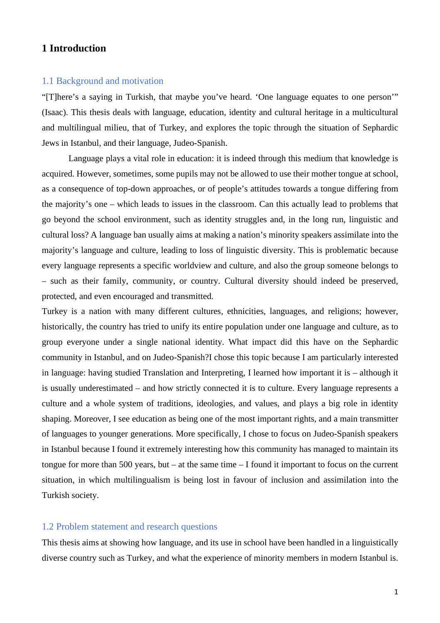#### **1 Introduction**

#### 1.1 Background and motivation

"[T]here's a saying in Turkish, that maybe you've heard. 'One language equates to one person'" (Isaac). This thesis deals with language, education, identity and cultural heritage in a multicultural and multilingual milieu, that of Turkey, and explores the topic through the situation of Sephardic Jews in Istanbul, and their language, Judeo-Spanish.

Language plays a vital role in education: it is indeed through this medium that knowledge is acquired. However, sometimes, some pupils may not be allowed to use their mother tongue at school, as a consequence of top-down approaches, or of people's attitudes towards a tongue differing from the majority's one – which leads to issues in the classroom. Can this actually lead to problems that go beyond the school environment, such as identity struggles and, in the long run, linguistic and cultural loss? A language ban usually aims at making a nation's minority speakers assimilate into the majority's language and culture, leading to loss of linguistic diversity. This is problematic because every language represents a specific worldview and culture, and also the group someone belongs to – such as their family, community, or country. Cultural diversity should indeed be preserved, protected, and even encouraged and transmitted.

Turkey is a nation with many different cultures, ethnicities, languages, and religions; however, historically, the country has tried to unify its entire population under one language and culture, as to group everyone under a single national identity. What impact did this have on the Sephardic community in Istanbul, and on Judeo-Spanish?I chose this topic because I am particularly interested in language: having studied Translation and Interpreting, I learned how important it is – although it is usually underestimated – and how strictly connected it is to culture. Every language represents a culture and a whole system of traditions, ideologies, and values, and plays a big role in identity shaping. Moreover, I see education as being one of the most important rights, and a main transmitter of languages to younger generations. More specifically, I chose to focus on Judeo-Spanish speakers in Istanbul because I found it extremely interesting how this community has managed to maintain its tongue for more than 500 years, but – at the same time – I found it important to focus on the current situation, in which multilingualism is being lost in favour of inclusion and assimilation into the Turkish society.

#### 1.2 Problem statement and research questions

This thesis aims at showing how language, and its use in school have been handled in a linguistically diverse country such as Turkey, and what the experience of minority members in modern Istanbul is.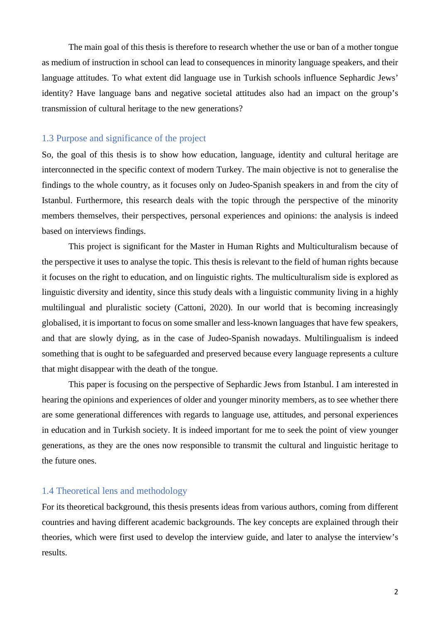The main goal of this thesis is therefore to research whether the use or ban of a mother tongue as medium of instruction in school can lead to consequences in minority language speakers, and their language attitudes. To what extent did language use in Turkish schools influence Sephardic Jews' identity? Have language bans and negative societal attitudes also had an impact on the group's transmission of cultural heritage to the new generations?

#### 1.3 Purpose and significance of the project

So, the goal of this thesis is to show how education, language, identity and cultural heritage are interconnected in the specific context of modern Turkey. The main objective is not to generalise the findings to the whole country, as it focuses only on Judeo-Spanish speakers in and from the city of Istanbul. Furthermore, this research deals with the topic through the perspective of the minority members themselves, their perspectives, personal experiences and opinions: the analysis is indeed based on interviews findings.

This project is significant for the Master in Human Rights and Multiculturalism because of the perspective it uses to analyse the topic. This thesis is relevant to the field of human rights because it focuses on the right to education, and on linguistic rights. The multiculturalism side is explored as linguistic diversity and identity, since this study deals with a linguistic community living in a highly multilingual and pluralistic society (Cattoni, 2020). In our world that is becoming increasingly globalised, it is important to focus on some smaller and less-known languages that have few speakers, and that are slowly dying, as in the case of Judeo-Spanish nowadays. Multilingualism is indeed something that is ought to be safeguarded and preserved because every language represents a culture that might disappear with the death of the tongue.

This paper is focusing on the perspective of Sephardic Jews from Istanbul. I am interested in hearing the opinions and experiences of older and younger minority members, as to see whether there are some generational differences with regards to language use, attitudes, and personal experiences in education and in Turkish society. It is indeed important for me to seek the point of view younger generations, as they are the ones now responsible to transmit the cultural and linguistic heritage to the future ones.

#### 1.4 Theoretical lens and methodology

For its theoretical background, this thesis presents ideas from various authors, coming from different countries and having different academic backgrounds. The key concepts are explained through their theories, which were first used to develop the interview guide, and later to analyse the interview's results.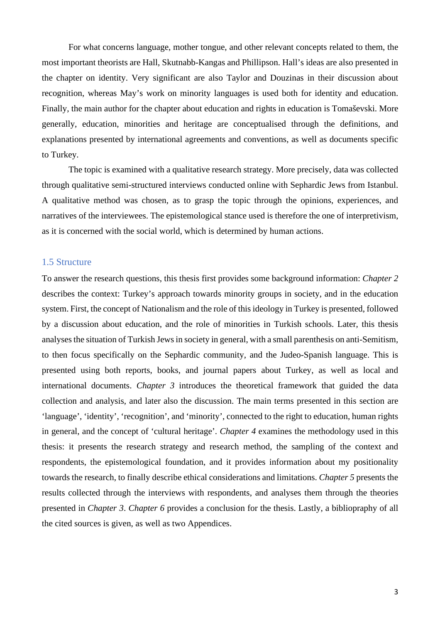For what concerns language, mother tongue, and other relevant concepts related to them, the most important theorists are Hall, Skutnabb-Kangas and Phillipson. Hall's ideas are also presented in the chapter on identity. Very significant are also Taylor and Douzinas in their discussion about recognition, whereas May's work on minority languages is used both for identity and education. Finally, the main author for the chapter about education and rights in education is Tomaševski. More generally, education, minorities and heritage are conceptualised through the definitions, and explanations presented by international agreements and conventions, as well as documents specific to Turkey.

The topic is examined with a qualitative research strategy. More precisely, data was collected through qualitative semi-structured interviews conducted online with Sephardic Jews from Istanbul. A qualitative method was chosen, as to grasp the topic through the opinions, experiences, and narratives of the interviewees. The epistemological stance used is therefore the one of interpretivism, as it is concerned with the social world, which is determined by human actions.

#### 1.5 Structure

To answer the research questions, this thesis first provides some background information: *Chapter 2* describes the context: Turkey's approach towards minority groups in society, and in the education system. First, the concept of Nationalism and the role of this ideology in Turkey is presented, followed by a discussion about education, and the role of minorities in Turkish schools. Later, this thesis analyses the situation of Turkish Jews in society in general, with a small parenthesis on anti-Semitism, to then focus specifically on the Sephardic community, and the Judeo-Spanish language. This is presented using both reports, books, and journal papers about Turkey, as well as local and international documents. *Chapter 3* introduces the theoretical framework that guided the data collection and analysis, and later also the discussion. The main terms presented in this section are 'language', 'identity', 'recognition', and 'minority', connected to the right to education, human rights in general, and the concept of 'cultural heritage'. *Chapter 4* examines the methodology used in this thesis: it presents the research strategy and research method, the sampling of the context and respondents, the epistemological foundation, and it provides information about my positionality towards the research, to finally describe ethical considerations and limitations. *Chapter 5* presents the results collected through the interviews with respondents, and analyses them through the theories presented in *Chapter 3*. *Chapter 6* provides a conclusion for the thesis. Lastly, a bibliopraphy of all the cited sources is given, as well as two Appendices.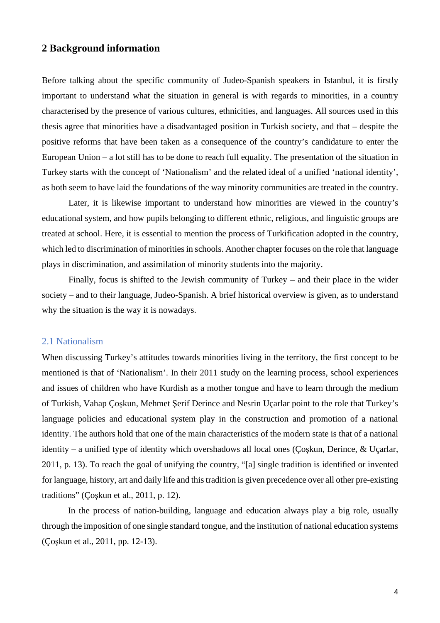#### **2 Background information**

Before talking about the specific community of Judeo-Spanish speakers in Istanbul, it is firstly important to understand what the situation in general is with regards to minorities, in a country characterised by the presence of various cultures, ethnicities, and languages. All sources used in this thesis agree that minorities have a disadvantaged position in Turkish society, and that – despite the positive reforms that have been taken as a consequence of the country's candidature to enter the European Union – a lot still has to be done to reach full equality. The presentation of the situation in Turkey starts with the concept of 'Nationalism' and the related ideal of a unified 'national identity', as both seem to have laid the foundations of the way minority communities are treated in the country.

Later, it is likewise important to understand how minorities are viewed in the country's educational system, and how pupils belonging to different ethnic, religious, and linguistic groups are treated at school. Here, it is essential to mention the process of Turkification adopted in the country, which led to discrimination of minorities in schools. Another chapter focuses on the role that language plays in discrimination, and assimilation of minority students into the majority.

Finally, focus is shifted to the Jewish community of Turkey – and their place in the wider society – and to their language, Judeo-Spanish. A brief historical overview is given, as to understand why the situation is the way it is nowadays.

#### 2.1 Nationalism

When discussing Turkey's attitudes towards minorities living in the territory, the first concept to be mentioned is that of 'Nationalism'. In their 2011 study on the learning process, school experiences and issues of children who have Kurdish as a mother tongue and have to learn through the medium of Turkish, Vahap Çoşkun, Mehmet Şerif Derince and Nesrin Uçarlar point to the role that Turkey's language policies and educational system play in the construction and promotion of a national identity. The authors hold that one of the main characteristics of the modern state is that of a national identity – a unified type of identity which overshadows all local ones (Çoşkun, Derince, & Uçarlar, 2011, p. 13). To reach the goal of unifying the country, "[a] single tradition is identified or invented for language, history, art and daily life and this tradition is given precedence over all other pre-existing traditions" (Çoşkun et al., 2011, p. 12).

In the process of nation-building, language and education always play a big role, usually through the imposition of one single standard tongue, and the institution of national education systems (Çoşkun et al., 2011, pp. 12-13).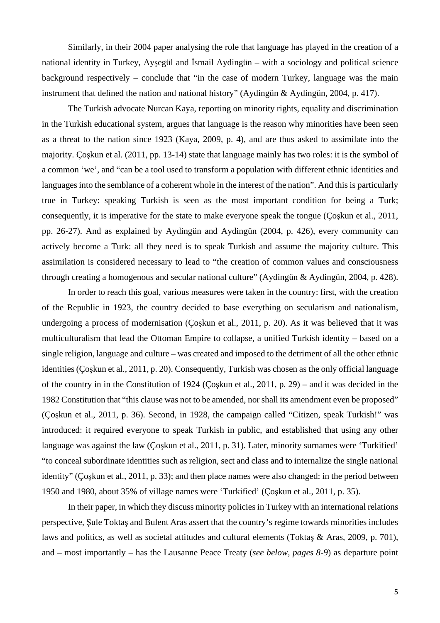Similarly, in their 2004 paper analysing the role that language has played in the creation of a national identity in Turkey, Ayşegül and İsmail Aydingün – with a sociology and political science background respectively – conclude that "in the case of modern Turkey, language was the main instrument that defined the nation and national history" (Aydingün & Aydingün, 2004, p. 417).

The Turkish advocate Nurcan Kaya, reporting on minority rights, equality and discrimination in the Turkish educational system, argues that language is the reason why minorities have been seen as a threat to the nation since 1923 (Kaya, 2009, p. 4), and are thus asked to assimilate into the majority. Çoşkun et al. (2011, pp. 13-14) state that language mainly has two roles: it is the symbol of a common 'we', and "can be a tool used to transform a population with different ethnic identities and languages into the semblance of a coherent whole in the interest of the nation". And this is particularly true in Turkey: speaking Turkish is seen as the most important condition for being a Turk; consequently, it is imperative for the state to make everyone speak the tongue (Çoşkun et al., 2011, pp. 26-27). And as explained by Aydingün and Aydingün (2004, p. 426), every community can actively become a Turk: all they need is to speak Turkish and assume the majority culture. This assimilation is considered necessary to lead to "the creation of common values and consciousness through creating a homogenous and secular national culture" (Aydingün & Aydingün, 2004, p. 428).

In order to reach this goal, various measures were taken in the country: first, with the creation of the Republic in 1923, the country decided to base everything on secularism and nationalism, undergoing a process of modernisation (Çoşkun et al., 2011, p. 20). As it was believed that it was multiculturalism that lead the Ottoman Empire to collapse, a unified Turkish identity – based on a single religion, language and culture – was created and imposed to the detriment of all the other ethnic identities (Çoşkun et al., 2011, p. 20). Consequently, Turkish was chosen as the only official language of the country in in the Constitution of 1924 (Çoşkun et al., 2011, p. 29) – and it was decided in the 1982 Constitution that "this clause was not to be amended, nor shall its amendment even be proposed" (Çoşkun et al., 2011, p. 36). Second, in 1928, the campaign called "Citizen, speak Turkish!" was introduced: it required everyone to speak Turkish in public, and established that using any other language was against the law (Coskun et al., 2011, p. 31). Later, minority surnames were 'Turkified' "to conceal subordinate identities such as religion, sect and class and to internalize the single national identity" (Çoşkun et al., 2011, p. 33); and then place names were also changed: in the period between 1950 and 1980, about 35% of village names were 'Turkified' (Çoşkun et al., 2011, p. 35).

In their paper, in which they discuss minority policies in Turkey with an international relations perspective, Şule Toktaş and Bulent Aras assert that the country's regime towards minorities includes laws and politics, as well as societal attitudes and cultural elements (Toktaş & Aras, 2009, p. 701), and – most importantly – has the Lausanne Peace Treaty (*see below, pages 8-9*) as departure point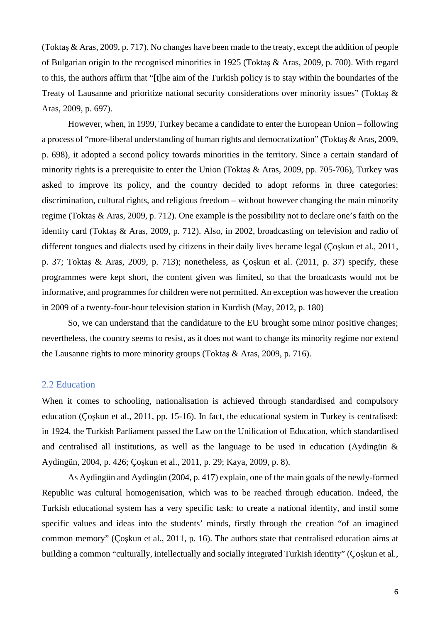(Toktaş & Aras, 2009, p. 717). No changes have been made to the treaty, except the addition of people of Bulgarian origin to the recognised minorities in 1925 (Toktaş & Aras, 2009, p. 700). With regard to this, the authors affirm that "[t]he aim of the Turkish policy is to stay within the boundaries of the Treaty of Lausanne and prioritize national security considerations over minority issues" (Toktaş & Aras, 2009, p. 697).

However, when, in 1999, Turkey became a candidate to enter the European Union – following a process of "more-liberal understanding of human rights and democratization" (Toktaş & Aras, 2009, p. 698), it adopted a second policy towards minorities in the territory. Since a certain standard of minority rights is a prerequisite to enter the Union (Toktaş & Aras, 2009, pp. 705-706), Turkey was asked to improve its policy, and the country decided to adopt reforms in three categories: discrimination, cultural rights, and religious freedom – without however changing the main minority regime (Toktaş & Aras, 2009, p. 712). One example is the possibility not to declare one's faith on the identity card (Toktaş & Aras, 2009, p. 712). Also, in 2002, broadcasting on television and radio of different tongues and dialects used by citizens in their daily lives became legal (Çoşkun et al., 2011, p. 37; Toktaş & Aras, 2009, p. 713); nonetheless, as Çoşkun et al. (2011, p. 37) specify, these programmes were kept short, the content given was limited, so that the broadcasts would not be informative, and programmes for children were not permitted. An exception was however the creation in 2009 of a twenty-four-hour television station in Kurdish (May, 2012, p. 180)

So, we can understand that the candidature to the EU brought some minor positive changes; nevertheless, the country seems to resist, as it does not want to change its minority regime nor extend the Lausanne rights to more minority groups (Toktaş & Aras, 2009, p. 716).

#### 2.2 Education

When it comes to schooling, nationalisation is achieved through standardised and compulsory education (Çoşkun et al., 2011, pp. 15-16). In fact, the educational system in Turkey is centralised: in 1924, the Turkish Parliament passed the Law on the Unification of Education, which standardised and centralised all institutions, as well as the language to be used in education (Aydingün & Aydingün, 2004, p. 426; Çoşkun et al., 2011, p. 29; Kaya, 2009, p. 8).

As Aydingün and Aydingün (2004, p. 417) explain, one of the main goals of the newly-formed Republic was cultural homogenisation, which was to be reached through education. Indeed, the Turkish educational system has a very specific task: to create a national identity, and instil some specific values and ideas into the students' minds, firstly through the creation "of an imagined common memory" (Çoşkun et al., 2011, p. 16). The authors state that centralised education aims at building a common "culturally, intellectually and socially integrated Turkish identity" (Çoşkun et al.,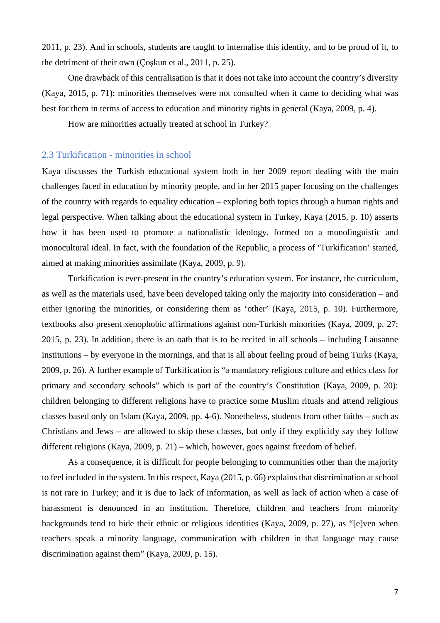2011, p. 23). And in schools, students are taught to internalise this identity, and to be proud of it, to the detriment of their own (Çoşkun et al., 2011, p. 25).

One drawback of this centralisation is that it does not take into account the country's diversity (Kaya, 2015, p. 71): minorities themselves were not consulted when it came to deciding what was best for them in terms of access to education and minority rights in general (Kaya, 2009, p. 4).

How are minorities actually treated at school in Turkey?

#### 2.3 Turkification - minorities in school

Kaya discusses the Turkish educational system both in her 2009 report dealing with the main challenges faced in education by minority people, and in her 2015 paper focusing on the challenges of the country with regards to equality education – exploring both topics through a human rights and legal perspective. When talking about the educational system in Turkey, Kaya (2015, p. 10) asserts how it has been used to promote a nationalistic ideology, formed on a monolinguistic and monocultural ideal. In fact, with the foundation of the Republic, a process of 'Turkification' started, aimed at making minorities assimilate (Kaya, 2009, p. 9).

Turkification is ever-present in the country's education system. For instance, the curriculum, as well as the materials used, have been developed taking only the majority into consideration – and either ignoring the minorities, or considering them as 'other' (Kaya, 2015, p. 10). Furthermore, textbooks also present xenophobic affirmations against non-Turkish minorities (Kaya, 2009, p. 27; 2015, p. 23). In addition, there is an oath that is to be recited in all schools – including Lausanne institutions – by everyone in the mornings, and that is all about feeling proud of being Turks (Kaya, 2009, p. 26). A further example of Turkification is "a mandatory religious culture and ethics class for primary and secondary schools" which is part of the country's Constitution (Kaya, 2009, p. 20): children belonging to different religions have to practice some Muslim rituals and attend religious classes based only on Islam (Kaya, 2009, pp. 4-6). Nonetheless, students from other faiths – such as Christians and Jews – are allowed to skip these classes, but only if they explicitly say they follow different religions (Kaya, 2009, p. 21) – which, however, goes against freedom of belief.

As a consequence, it is difficult for people belonging to communities other than the majority to feel included in the system. In this respect, Kaya (2015, p. 66) explains that discrimination at school is not rare in Turkey; and it is due to lack of information, as well as lack of action when a case of harassment is denounced in an institution. Therefore, children and teachers from minority backgrounds tend to hide their ethnic or religious identities (Kaya, 2009, p. 27), as "[e]ven when teachers speak a minority language, communication with children in that language may cause discrimination against them" (Kaya, 2009, p. 15).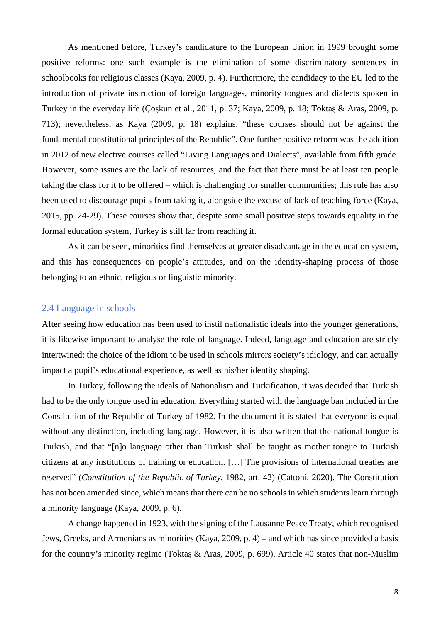As mentioned before, Turkey's candidature to the European Union in 1999 brought some positive reforms: one such example is the elimination of some discriminatory sentences in schoolbooks for religious classes (Kaya, 2009, p. 4). Furthermore, the candidacy to the EU led to the introduction of private instruction of foreign languages, minority tongues and dialects spoken in Turkey in the everyday life (Çoşkun et al., 2011, p. 37; Kaya, 2009, p. 18; Toktaş & Aras, 2009, p. 713); nevertheless, as Kaya (2009, p. 18) explains, "these courses should not be against the fundamental constitutional principles of the Republic". One further positive reform was the addition in 2012 of new elective courses called "Living Languages and Dialects", available from fifth grade. However, some issues are the lack of resources, and the fact that there must be at least ten people taking the class for it to be offered – which is challenging for smaller communities; this rule has also been used to discourage pupils from taking it, alongside the excuse of lack of teaching force (Kaya, 2015, pp. 24-29). These courses show that, despite some small positive steps towards equality in the formal education system, Turkey is still far from reaching it.

As it can be seen, minorities find themselves at greater disadvantage in the education system, and this has consequences on people's attitudes, and on the identity-shaping process of those belonging to an ethnic, religious or linguistic minority.

#### 2.4 Language in schools

After seeing how education has been used to instil nationalistic ideals into the younger generations, it is likewise important to analyse the role of language. Indeed, language and education are stricly intertwined: the choice of the idiom to be used in schools mirrors society's idiology, and can actually impact a pupil's educational experience, as well as his/her identity shaping.

In Turkey, following the ideals of Nationalism and Turkification, it was decided that Turkish had to be the only tongue used in education. Everything started with the language ban included in the Constitution of the Republic of Turkey of 1982. In the document it is stated that everyone is equal without any distinction, including language. However, it is also written that the national tongue is Turkish, and that "[n]o language other than Turkish shall be taught as mother tongue to Turkish citizens at any institutions of training or education. […] The provisions of international treaties are reserved" (*Constitution of the Republic of Turkey*, 1982, art. 42) (Cattoni, 2020). The Constitution has not been amended since, which means that there can be no schools in which students learn through a minority language (Kaya, 2009, p. 6).

A change happened in 1923, with the signing of the Lausanne Peace Treaty, which recognised Jews, Greeks, and Armenians as minorities (Kaya, 2009, p. 4) – and which has since provided a basis for the country's minority regime (Toktaş & Aras, 2009, p. 699). Article 40 states that non-Muslim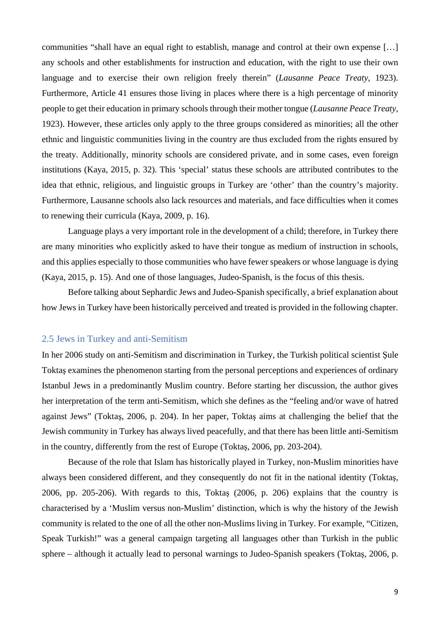communities "shall have an equal right to establish, manage and control at their own expense […] any schools and other establishments for instruction and education, with the right to use their own language and to exercise their own religion freely therein" (*Lausanne Peace Treaty*, 1923). Furthermore, Article 41 ensures those living in places where there is a high percentage of minority people to get their education in primary schools through their mother tongue (*Lausanne Peace Treaty*, 1923). However, these articles only apply to the three groups considered as minorities; all the other ethnic and linguistic communities living in the country are thus excluded from the rights ensured by the treaty. Additionally, minority schools are considered private, and in some cases, even foreign institutions (Kaya, 2015, p. 32). This 'special' status these schools are attributed contributes to the idea that ethnic, religious, and linguistic groups in Turkey are 'other' than the country's majority. Furthermore, Lausanne schools also lack resources and materials, and face difficulties when it comes to renewing their curricula (Kaya, 2009, p. 16).

Language plays a very important role in the development of a child; therefore, in Turkey there are many minorities who explicitly asked to have their tongue as medium of instruction in schools, and this applies especially to those communities who have fewer speakers or whose language is dying (Kaya, 2015, p. 15). And one of those languages, Judeo-Spanish, is the focus of this thesis.

Before talking about Sephardic Jews and Judeo-Spanish specifically, a brief explanation about how Jews in Turkey have been historically perceived and treated is provided in the following chapter.

#### 2.5 Jews in Turkey and anti-Semitism

In her 2006 study on anti-Semitism and discrimination in Turkey, the Turkish political scientist Şule Toktaş examines the phenomenon starting from the personal perceptions and experiences of ordinary Istanbul Jews in a predominantly Muslim country. Before starting her discussion, the author gives her interpretation of the term anti-Semitism, which she defines as the "feeling and/or wave of hatred against Jews" (Toktaş, 2006, p. 204). In her paper, Toktaş aims at challenging the belief that the Jewish community in Turkey has always lived peacefully, and that there has been little anti-Semitism in the country, differently from the rest of Europe (Toktaş, 2006, pp. 203-204).

Because of the role that Islam has historically played in Turkey, non-Muslim minorities have always been considered different, and they consequently do not fit in the national identity (Toktaş, 2006, pp. 205-206). With regards to this, Toktaş (2006, p. 206) explains that the country is characterised by a 'Muslim versus non-Muslim' distinction, which is why the history of the Jewish community is related to the one of all the other non-Muslims living in Turkey. For example, "Citizen, Speak Turkish!" was a general campaign targeting all languages other than Turkish in the public sphere – although it actually lead to personal warnings to Judeo-Spanish speakers (Toktaş, 2006, p.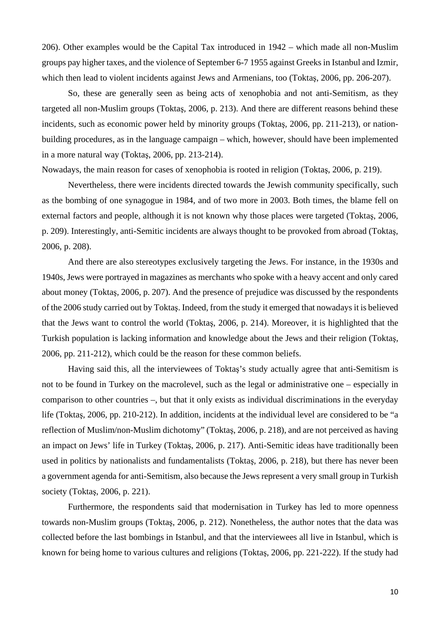206). Other examples would be the Capital Tax introduced in 1942 – which made all non-Muslim groups pay higher taxes, and the violence of September 6-7 1955 against Greeks in Istanbul and Izmir, which then lead to violent incidents against Jews and Armenians, too (Toktaş, 2006, pp. 206-207).

So, these are generally seen as being acts of xenophobia and not anti-Semitism, as they targeted all non-Muslim groups (Toktaş, 2006, p. 213). And there are different reasons behind these incidents, such as economic power held by minority groups (Toktaş, 2006, pp. 211-213), or nationbuilding procedures, as in the language campaign – which, however, should have been implemented in a more natural way (Toktaş, 2006, pp. 213-214).

Nowadays, the main reason for cases of xenophobia is rooted in religion (Toktaş, 2006, p. 219).

Nevertheless, there were incidents directed towards the Jewish community specifically, such as the bombing of one synagogue in 1984, and of two more in 2003. Both times, the blame fell on external factors and people, although it is not known why those places were targeted (Toktaş, 2006, p. 209). Interestingly, anti-Semitic incidents are always thought to be provoked from abroad (Toktaş, 2006, p. 208).

And there are also stereotypes exclusively targeting the Jews. For instance, in the 1930s and 1940s, Jews were portrayed in magazines as merchants who spoke with a heavy accent and only cared about money (Toktaş, 2006, p. 207). And the presence of prejudice was discussed by the respondents of the 2006 study carried out by Toktaş. Indeed, from the study it emerged that nowadays it is believed that the Jews want to control the world (Toktaş, 2006, p. 214). Moreover, it is highlighted that the Turkish population is lacking information and knowledge about the Jews and their religion (Toktaş, 2006, pp. 211-212), which could be the reason for these common beliefs.

Having said this, all the interviewees of Toktaş's study actually agree that anti-Semitism is not to be found in Turkey on the macrolevel, such as the legal or administrative one – especially in comparison to other countries –, but that it only exists as individual discriminations in the everyday life (Toktaş, 2006, pp. 210-212). In addition, incidents at the individual level are considered to be "a reflection of Muslim/non-Muslim dichotomy" (Toktaş, 2006, p. 218), and are not perceived as having an impact on Jews' life in Turkey (Toktaş, 2006, p. 217). Anti-Semitic ideas have traditionally been used in politics by nationalists and fundamentalists (Toktaş, 2006, p. 218), but there has never been a government agenda for anti-Semitism, also because the Jews represent a very small group in Turkish society (Toktaş, 2006, p. 221).

Furthermore, the respondents said that modernisation in Turkey has led to more openness towards non-Muslim groups (Toktaş, 2006, p. 212). Nonetheless, the author notes that the data was collected before the last bombings in Istanbul, and that the interviewees all live in Istanbul, which is known for being home to various cultures and religions (Toktaş, 2006, pp. 221-222). If the study had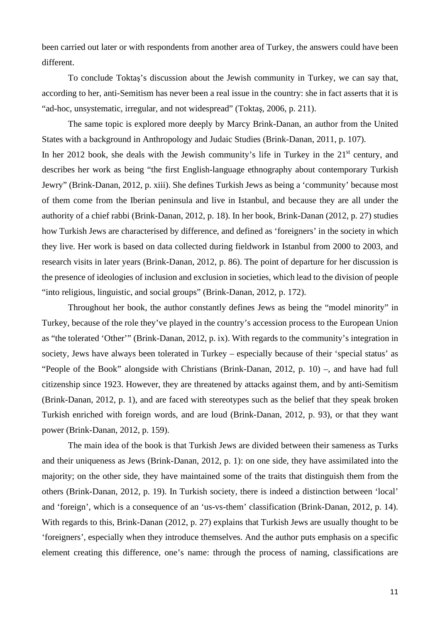been carried out later or with respondents from another area of Turkey, the answers could have been different.

To conclude Toktaş's discussion about the Jewish community in Turkey, we can say that, according to her, anti-Semitism has never been a real issue in the country: she in fact asserts that it is "ad-hoc, unsystematic, irregular, and not widespread" (Toktaş, 2006, p. 211).

The same topic is explored more deeply by Marcy Brink-Danan, an author from the United States with a background in Anthropology and Judaic Studies (Brink-Danan, 2011, p. 107). In her 2012 book, she deals with the Jewish community's life in Turkey in the  $21<sup>st</sup>$  century, and describes her work as being "the first English-language ethnography about contemporary Turkish Jewry" (Brink-Danan, 2012, p. xiii). She defines Turkish Jews as being a 'community' because most of them come from the Iberian peninsula and live in Istanbul, and because they are all under the authority of a chief rabbi (Brink-Danan, 2012, p. 18). In her book, Brink-Danan (2012, p. 27) studies how Turkish Jews are characterised by difference, and defined as 'foreigners' in the society in which they live. Her work is based on data collected during fieldwork in Istanbul from 2000 to 2003, and research visits in later years (Brink-Danan, 2012, p. 86). The point of departure for her discussion is the presence of ideologies of inclusion and exclusion in societies, which lead to the division of people "into religious, linguistic, and social groups" (Brink-Danan, 2012, p. 172).

Throughout her book, the author constantly defines Jews as being the "model minority" in Turkey, because of the role they've played in the country's accession process to the European Union as "the tolerated 'Other'" (Brink-Danan, 2012, p. ix). With regards to the community's integration in society, Jews have always been tolerated in Turkey – especially because of their 'special status' as "People of the Book" alongside with Christians (Brink-Danan, 2012, p. 10) –, and have had full citizenship since 1923. However, they are threatened by attacks against them, and by anti-Semitism (Brink-Danan, 2012, p. 1), and are faced with stereotypes such as the belief that they speak broken Turkish enriched with foreign words, and are loud (Brink-Danan, 2012, p. 93), or that they want power (Brink-Danan, 2012, p. 159).

The main idea of the book is that Turkish Jews are divided between their sameness as Turks and their uniqueness as Jews (Brink-Danan, 2012, p. 1): on one side, they have assimilated into the majority; on the other side, they have maintained some of the traits that distinguish them from the others (Brink-Danan, 2012, p. 19). In Turkish society, there is indeed a distinction between 'local' and 'foreign', which is a consequence of an 'us-vs-them' classification (Brink-Danan, 2012, p. 14). With regards to this, Brink-Danan (2012, p. 27) explains that Turkish Jews are usually thought to be 'foreigners', especially when they introduce themselves. And the author puts emphasis on a specific element creating this difference, one's name: through the process of naming, classifications are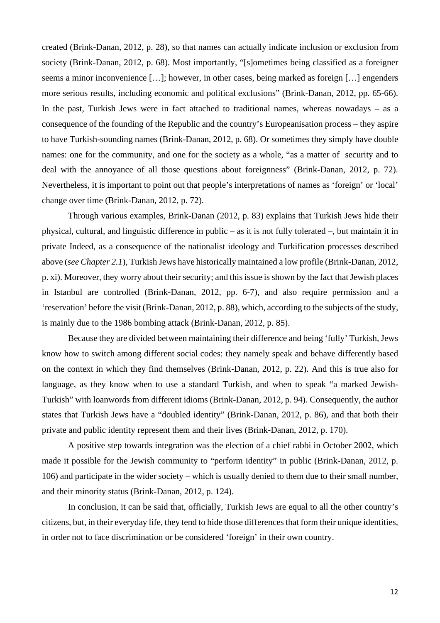created (Brink-Danan, 2012, p. 28), so that names can actually indicate inclusion or exclusion from society (Brink-Danan, 2012, p. 68). Most importantly, "[s]ometimes being classified as a foreigner seems a minor inconvenience […]; however, in other cases, being marked as foreign […] engenders more serious results, including economic and political exclusions" (Brink-Danan, 2012, pp. 65-66). In the past, Turkish Jews were in fact attached to traditional names, whereas nowadays – as a consequence of the founding of the Republic and the country's Europeanisation process – they aspire to have Turkish-sounding names (Brink-Danan, 2012, p. 68). Or sometimes they simply have double names: one for the community, and one for the society as a whole, "as a matter of security and to deal with the annoyance of all those questions about foreignness" (Brink-Danan, 2012, p. 72). Nevertheless, it is important to point out that people's interpretations of names as 'foreign' or 'local' change over time (Brink-Danan, 2012, p. 72).

Through various examples, Brink-Danan (2012, p. 83) explains that Turkish Jews hide their physical, cultural, and linguistic difference in public – as it is not fully tolerated –, but maintain it in private Indeed, as a consequence of the nationalist ideology and Turkification processes described above (*see Chapter 2.1*), Turkish Jews have historically maintained a low profile (Brink-Danan, 2012, p. xi). Moreover, they worry about their security; and this issue is shown by the fact that Jewish places in Istanbul are controlled (Brink-Danan, 2012, pp. 6-7), and also require permission and a 'reservation' before the visit (Brink-Danan, 2012, p. 88), which, according to the subjects of the study, is mainly due to the 1986 bombing attack (Brink-Danan, 2012, p. 85).

Because they are divided between maintaining their difference and being 'fully' Turkish, Jews know how to switch among different social codes: they namely speak and behave differently based on the context in which they find themselves (Brink-Danan, 2012, p. 22). And this is true also for language, as they know when to use a standard Turkish, and when to speak "a marked Jewish-Turkish" with loanwords from different idioms (Brink-Danan, 2012, p. 94). Consequently, the author states that Turkish Jews have a "doubled identity" (Brink-Danan, 2012, p. 86), and that both their private and public identity represent them and their lives (Brink-Danan, 2012, p. 170).

A positive step towards integration was the election of a chief rabbi in October 2002, which made it possible for the Jewish community to "perform identity" in public (Brink-Danan, 2012, p. 106) and participate in the wider society – which is usually denied to them due to their small number, and their minority status (Brink-Danan, 2012, p. 124).

In conclusion, it can be said that, officially, Turkish Jews are equal to all the other country's citizens, but, in their everyday life, they tend to hide those differences that form their unique identities, in order not to face discrimination or be considered 'foreign' in their own country.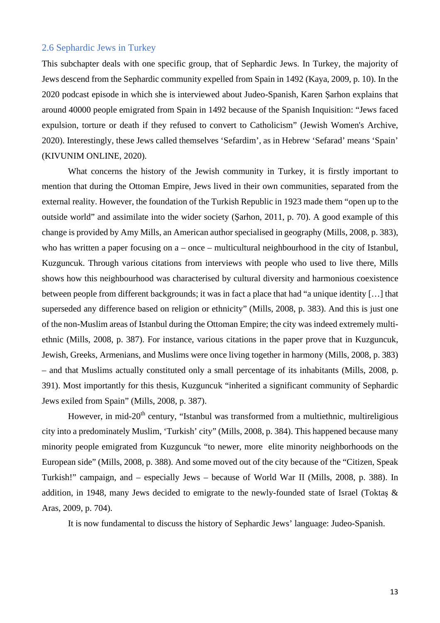#### 2.6 Sephardic Jews in Turkey

This subchapter deals with one specific group, that of Sephardic Jews. In Turkey, the majority of Jews descend from the Sephardic community expelled from Spain in 1492 (Kaya, 2009, p. 10). In the 2020 podcast episode in which she is interviewed about Judeo-Spanish, Karen Şarhon explains that around 40000 people emigrated from Spain in 1492 because of the Spanish Inquisition: "Jews faced expulsion, torture or death if they refused to convert to Catholicism" (Jewish Women's Archive, 2020). Interestingly, these Jews called themselves 'Sefardim', as in Hebrew 'Sefarad' means 'Spain' (KIVUNIM ONLINE, 2020).

What concerns the history of the Jewish community in Turkey, it is firstly important to mention that during the Ottoman Empire, Jews lived in their own communities, separated from the external reality. However, the foundation of the Turkish Republic in 1923 made them "open up to the outside world" and assimilate into the wider society (Şarhon, 2011, p. 70). A good example of this change is provided by Amy Mills, an American author specialised in geography (Mills, 2008, p. 383), who has written a paper focusing on a – once – multicultural neighbourhood in the city of Istanbul, Kuzguncuk. Through various citations from interviews with people who used to live there, Mills shows how this neighbourhood was characterised by cultural diversity and harmonious coexistence between people from different backgrounds; it was in fact a place that had "a unique identity […] that superseded any difference based on religion or ethnicity" (Mills, 2008, p. 383). And this is just one of the non-Muslim areas of Istanbul during the Ottoman Empire; the city was indeed extremely multiethnic (Mills, 2008, p. 387). For instance, various citations in the paper prove that in Kuzguncuk, Jewish, Greeks, Armenians, and Muslims were once living together in harmony (Mills, 2008, p. 383) – and that Muslims actually constituted only a small percentage of its inhabitants (Mills, 2008, p. 391). Most importantly for this thesis, Kuzguncuk "inherited a significant community of Sephardic Jews exiled from Spain" (Mills, 2008, p. 387).

However, in mid-20<sup>th</sup> century, "Istanbul was transformed from a multiethnic, multireligious city into a predominately Muslim, 'Turkish' city" (Mills, 2008, p. 384). This happened because many minority people emigrated from Kuzguncuk "to newer, more elite minority neighborhoods on the European side" (Mills, 2008, p. 388). And some moved out of the city because of the "Citizen, Speak Turkish!" campaign, and – especially Jews – because of World War II (Mills, 2008, p. 388). In addition, in 1948, many Jews decided to emigrate to the newly-founded state of Israel (Toktaş & Aras, 2009, p. 704).

It is now fundamental to discuss the history of Sephardic Jews' language: Judeo-Spanish.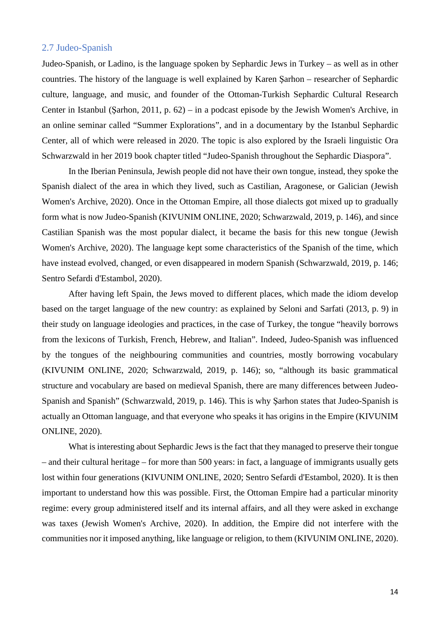#### 2.7 Judeo-Spanish

Judeo-Spanish, or Ladino, is the language spoken by Sephardic Jews in Turkey – as well as in other countries. The history of the language is well explained by Karen Şarhon – researcher of Sephardic culture, language, and music, and founder of the Ottoman-Turkish Sephardic Cultural Research Center in Istanbul (Şarhon, 2011, p. 62) – in a podcast episode by the Jewish Women's Archive, in an online seminar called "Summer Explorations", and in a documentary by the Istanbul Sephardic Center, all of which were released in 2020. The topic is also explored by the Israeli linguistic Ora Schwarzwald in her 2019 book chapter titled "Judeo-Spanish throughout the Sephardic Diaspora".

In the Iberian Peninsula, Jewish people did not have their own tongue, instead, they spoke the Spanish dialect of the area in which they lived, such as Castilian, Aragonese, or Galician (Jewish Women's Archive, 2020). Once in the Ottoman Empire, all those dialects got mixed up to gradually form what is now Judeo-Spanish (KIVUNIM ONLINE, 2020; Schwarzwald, 2019, p. 146), and since Castilian Spanish was the most popular dialect, it became the basis for this new tongue (Jewish Women's Archive, 2020). The language kept some characteristics of the Spanish of the time, which have instead evolved, changed, or even disappeared in modern Spanish (Schwarzwald, 2019, p. 146; Sentro Sefardi d'Estambol, 2020).

After having left Spain, the Jews moved to different places, which made the idiom develop based on the target language of the new country: as explained by Seloni and Sarfati (2013, p. 9) in their study on language ideologies and practices, in the case of Turkey, the tongue "heavily borrows from the lexicons of Turkish, French, Hebrew, and Italian". Indeed, Judeo-Spanish was influenced by the tongues of the neighbouring communities and countries, mostly borrowing vocabulary (KIVUNIM ONLINE, 2020; Schwarzwald, 2019, p. 146); so, "although its basic grammatical structure and vocabulary are based on medieval Spanish, there are many differences between Judeo-Spanish and Spanish" (Schwarzwald, 2019, p. 146). This is why Şarhon states that Judeo-Spanish is actually an Ottoman language, and that everyone who speaks it has origins in the Empire (KIVUNIM ONLINE, 2020).

What is interesting about Sephardic Jews is the fact that they managed to preserve their tongue – and their cultural heritage – for more than 500 years: in fact, a language of immigrants usually gets lost within four generations (KIVUNIM ONLINE, 2020; Sentro Sefardi d'Estambol, 2020). It is then important to understand how this was possible. First, the Ottoman Empire had a particular minority regime: every group administered itself and its internal affairs, and all they were asked in exchange was taxes (Jewish Women's Archive, 2020). In addition, the Empire did not interfere with the communities nor it imposed anything, like language or religion, to them (KIVUNIM ONLINE, 2020).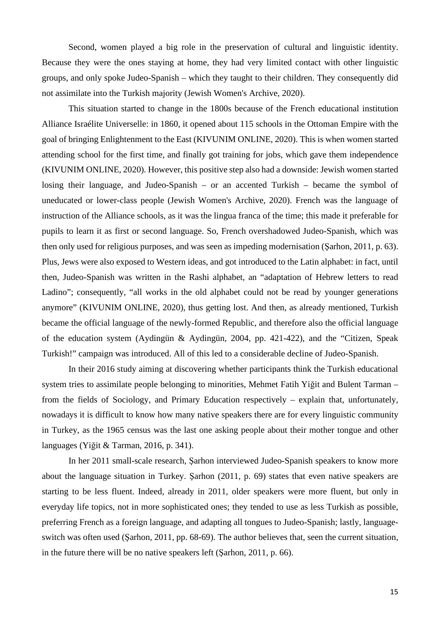Second, women played a big role in the preservation of cultural and linguistic identity. Because they were the ones staying at home, they had very limited contact with other linguistic groups, and only spoke Judeo-Spanish – which they taught to their children. They consequently did not assimilate into the Turkish majority (Jewish Women's Archive, 2020).

This situation started to change in the 1800s because of the French educational institution Alliance Israélite Universelle: in 1860, it opened about 115 schools in the Ottoman Empire with the goal of bringing Enlightenment to the East (KIVUNIM ONLINE, 2020). This is when women started attending school for the first time, and finally got training for jobs, which gave them independence (KIVUNIM ONLINE, 2020). However, this positive step also had a downside: Jewish women started losing their language, and Judeo-Spanish – or an accented Turkish – became the symbol of uneducated or lower-class people (Jewish Women's Archive, 2020). French was the language of instruction of the Alliance schools, as it was the lingua franca of the time; this made it preferable for pupils to learn it as first or second language. So, French overshadowed Judeo-Spanish, which was then only used for religious purposes, and was seen as impeding modernisation (Şarhon, 2011, p. 63). Plus, Jews were also exposed to Western ideas, and got introduced to the Latin alphabet: in fact, until then, Judeo-Spanish was written in the Rashi alphabet, an "adaptation of Hebrew letters to read Ladino"; consequently, "all works in the old alphabet could not be read by younger generations anymore" (KIVUNIM ONLINE, 2020), thus getting lost. And then, as already mentioned, Turkish became the official language of the newly-formed Republic, and therefore also the official language of the education system (Aydingün & Aydingün, 2004, pp. 421-422), and the "Citizen, Speak Turkish!" campaign was introduced. All of this led to a considerable decline of Judeo-Spanish.

In their 2016 study aiming at discovering whether participants think the Turkish educational system tries to assimilate people belonging to minorities, Mehmet Fatih Yiğit and Bulent Tarman – from the fields of Sociology, and Primary Education respectively – explain that, unfortunately, nowadays it is difficult to know how many native speakers there are for every linguistic community in Turkey, as the 1965 census was the last one asking people about their mother tongue and other languages (Yiğit & Tarman, 2016, p. 341).

In her 2011 small-scale research, Şarhon interviewed Judeo-Spanish speakers to know more about the language situation in Turkey. Şarhon (2011, p. 69) states that even native speakers are starting to be less fluent. Indeed, already in 2011, older speakers were more fluent, but only in everyday life topics, not in more sophisticated ones; they tended to use as less Turkish as possible, preferring French as a foreign language, and adapting all tongues to Judeo-Spanish; lastly, languageswitch was often used (Şarhon, 2011, pp. 68-69). The author believes that, seen the current situation, in the future there will be no native speakers left (Şarhon, 2011, p. 66).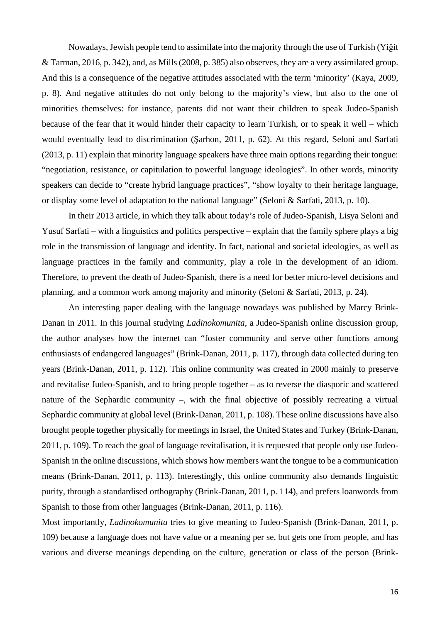Nowadays, Jewish people tend to assimilate into the majority through the use of Turkish (Yiğit & Tarman, 2016, p. 342), and, as Mills (2008, p. 385) also observes, they are a very assimilated group. And this is a consequence of the negative attitudes associated with the term 'minority' (Kaya, 2009, p. 8). And negative attitudes do not only belong to the majority's view, but also to the one of minorities themselves: for instance, parents did not want their children to speak Judeo-Spanish because of the fear that it would hinder their capacity to learn Turkish, or to speak it well – which would eventually lead to discrimination (Şarhon, 2011, p. 62). At this regard, Seloni and Sarfati (2013, p. 11) explain that minority language speakers have three main options regarding their tongue: "negotiation, resistance, or capitulation to powerful language ideologies". In other words, minority speakers can decide to "create hybrid language practices", "show loyalty to their heritage language, or display some level of adaptation to the national language" (Seloni & Sarfati, 2013, p. 10).

In their 2013 article, in which they talk about today's role of Judeo-Spanish, Lisya Seloni and Yusuf Sarfati – with a linguistics and politics perspective – explain that the family sphere plays a big role in the transmission of language and identity. In fact, national and societal ideologies, as well as language practices in the family and community, play a role in the development of an idiom. Therefore, to prevent the death of Judeo-Spanish, there is a need for better micro-level decisions and planning, and a common work among majority and minority (Seloni & Sarfati, 2013, p. 24).

An interesting paper dealing with the language nowadays was published by Marcy Brink-Danan in 2011. In this journal studying *Ladinokomunita*, a Judeo-Spanish online discussion group, the author analyses how the internet can "foster community and serve other functions among enthusiasts of endangered languages" (Brink-Danan, 2011, p. 117), through data collected during ten years (Brink-Danan, 2011, p. 112). This online community was created in 2000 mainly to preserve and revitalise Judeo-Spanish, and to bring people together – as to reverse the diasporic and scattered nature of the Sephardic community –, with the final objective of possibly recreating a virtual Sephardic community at global level (Brink-Danan, 2011, p. 108). These online discussions have also brought people together physically for meetings in Israel, the United States and Turkey (Brink-Danan, 2011, p. 109). To reach the goal of language revitalisation, it is requested that people only use Judeo-Spanish in the online discussions, which shows how members want the tongue to be a communication means (Brink-Danan, 2011, p. 113). Interestingly, this online community also demands linguistic purity, through a standardised orthography (Brink-Danan, 2011, p. 114), and prefers loanwords from Spanish to those from other languages (Brink-Danan, 2011, p. 116).

Most importantly, *Ladinokomunita* tries to give meaning to Judeo-Spanish (Brink-Danan, 2011, p. 109) because a language does not have value or a meaning per se, but gets one from people, and has various and diverse meanings depending on the culture, generation or class of the person (Brink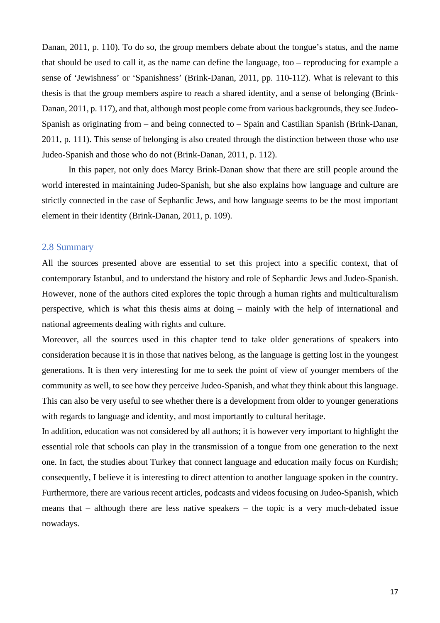Danan, 2011, p. 110). To do so, the group members debate about the tongue's status, and the name that should be used to call it, as the name can define the language, too – reproducing for example a sense of 'Jewishness' or 'Spanishness' (Brink-Danan, 2011, pp. 110-112). What is relevant to this thesis is that the group members aspire to reach a shared identity, and a sense of belonging (Brink-Danan, 2011, p. 117), and that, although most people come from various backgrounds, they see Judeo-Spanish as originating from – and being connected to – Spain and Castilian Spanish (Brink-Danan, 2011, p. 111). This sense of belonging is also created through the distinction between those who use Judeo-Spanish and those who do not (Brink-Danan, 2011, p. 112).

In this paper, not only does Marcy Brink-Danan show that there are still people around the world interested in maintaining Judeo-Spanish, but she also explains how language and culture are strictly connected in the case of Sephardic Jews, and how language seems to be the most important element in their identity (Brink-Danan, 2011, p. 109).

#### 2.8 Summary

All the sources presented above are essential to set this project into a specific context, that of contemporary Istanbul, and to understand the history and role of Sephardic Jews and Judeo-Spanish. However, none of the authors cited explores the topic through a human rights and multiculturalism perspective, which is what this thesis aims at doing – mainly with the help of international and national agreements dealing with rights and culture.

Moreover, all the sources used in this chapter tend to take older generations of speakers into consideration because it is in those that natives belong, as the language is getting lost in the youngest generations. It is then very interesting for me to seek the point of view of younger members of the community as well, to see how they perceive Judeo-Spanish, and what they think about this language. This can also be very useful to see whether there is a development from older to younger generations with regards to language and identity, and most importantly to cultural heritage.

In addition, education was not considered by all authors; it is however very important to highlight the essential role that schools can play in the transmission of a tongue from one generation to the next one. In fact, the studies about Turkey that connect language and education maily focus on Kurdish; consequently, I believe it is interesting to direct attention to another language spoken in the country. Furthermore, there are various recent articles, podcasts and videos focusing on Judeo-Spanish, which means that – although there are less native speakers – the topic is a very much-debated issue nowadays.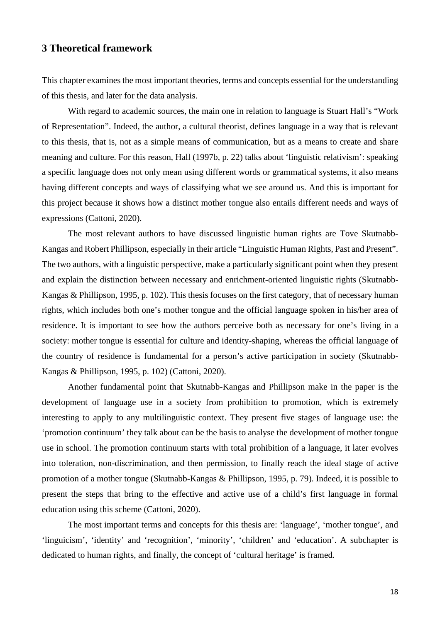#### **3 Theoretical framework**

This chapter examines the most important theories, terms and concepts essential for the understanding of this thesis, and later for the data analysis.

With regard to academic sources, the main one in relation to language is Stuart Hall's "Work of Representation". Indeed, the author, a cultural theorist, defines language in a way that is relevant to this thesis, that is, not as a simple means of communication, but as a means to create and share meaning and culture. For this reason, Hall (1997b, p. 22) talks about 'linguistic relativism': speaking a specific language does not only mean using different words or grammatical systems, it also means having different concepts and ways of classifying what we see around us. And this is important for this project because it shows how a distinct mother tongue also entails different needs and ways of expressions (Cattoni, 2020).

The most relevant authors to have discussed linguistic human rights are Tove Skutnabb-Kangas and Robert Phillipson, especially in their article "Linguistic Human Rights, Past and Present". The two authors, with a linguistic perspective, make a particularly significant point when they present and explain the distinction between necessary and enrichment-oriented linguistic rights (Skutnabb-Kangas & Phillipson, 1995, p. 102). This thesis focuses on the first category, that of necessary human rights, which includes both one's mother tongue and the official language spoken in his/her area of residence. It is important to see how the authors perceive both as necessary for one's living in a society: mother tongue is essential for culture and identity-shaping, whereas the official language of the country of residence is fundamental for a person's active participation in society (Skutnabb-Kangas & Phillipson, 1995, p. 102) (Cattoni, 2020).

Another fundamental point that Skutnabb-Kangas and Phillipson make in the paper is the development of language use in a society from prohibition to promotion, which is extremely interesting to apply to any multilinguistic context. They present five stages of language use: the 'promotion continuum' they talk about can be the basis to analyse the development of mother tongue use in school. The promotion continuum starts with total prohibition of a language, it later evolves into toleration, non-discrimination, and then permission, to finally reach the ideal stage of active promotion of a mother tongue (Skutnabb-Kangas & Phillipson, 1995, p. 79). Indeed, it is possible to present the steps that bring to the effective and active use of a child's first language in formal education using this scheme (Cattoni, 2020).

The most important terms and concepts for this thesis are: 'language', 'mother tongue', and 'linguicism', 'identity' and 'recognition', 'minority', 'children' and 'education'. A subchapter is dedicated to human rights, and finally, the concept of 'cultural heritage' is framed.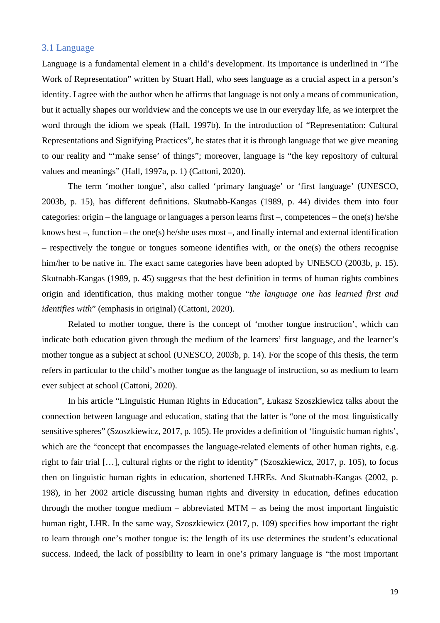#### 3.1 Language

Language is a fundamental element in a child's development. Its importance is underlined in "The Work of Representation" written by Stuart Hall, who sees language as a crucial aspect in a person's identity. I agree with the author when he affirms that language is not only a means of communication, but it actually shapes our worldview and the concepts we use in our everyday life, as we interpret the word through the idiom we speak (Hall, 1997b). In the introduction of "Representation: Cultural Representations and Signifying Practices", he states that it is through language that we give meaning to our reality and "'make sense' of things"; moreover, language is "the key repository of cultural values and meanings" (Hall, 1997a, p. 1) (Cattoni, 2020).

The term 'mother tongue', also called 'primary language' or 'first language' (UNESCO, 2003b, p. 15), has different definitions. Skutnabb-Kangas (1989, p. 44) divides them into four categories: origin – the language or languages a person learns first –, competences – the one(s) he/she knows best –, function – the one(s) he/she uses most –, and finally internal and external identification – respectively the tongue or tongues someone identifies with, or the one(s) the others recognise him/her to be native in. The exact same categories have been adopted by UNESCO (2003b, p. 15). Skutnabb-Kangas (1989, p. 45) suggests that the best definition in terms of human rights combines origin and identification, thus making mother tongue "*the language one has learned first and identifies with*" (emphasis in original) (Cattoni, 2020).

Related to mother tongue, there is the concept of 'mother tongue instruction', which can indicate both education given through the medium of the learners' first language, and the learner's mother tongue as a subject at school (UNESCO, 2003b, p. 14). For the scope of this thesis, the term refers in particular to the child's mother tongue as the language of instruction, so as medium to learn ever subject at school (Cattoni, 2020).

In his article "Linguistic Human Rights in Education", Łukasz Szoszkiewicz talks about the connection between language and education, stating that the latter is "one of the most linguistically sensitive spheres" (Szoszkiewicz, 2017, p. 105). He provides a definition of 'linguistic human rights', which are the "concept that encompasses the language-related elements of other human rights, e.g. right to fair trial […], cultural rights or the right to identity" (Szoszkiewicz, 2017, p. 105), to focus then on linguistic human rights in education, shortened LHREs. And Skutnabb-Kangas (2002, p. 198), in her 2002 article discussing human rights and diversity in education, defines education through the mother tongue medium – abbreviated MTM – as being the most important linguistic human right, LHR. In the same way, Szoszkiewicz (2017, p. 109) specifies how important the right to learn through one's mother tongue is: the length of its use determines the student's educational success. Indeed, the lack of possibility to learn in one's primary language is "the most important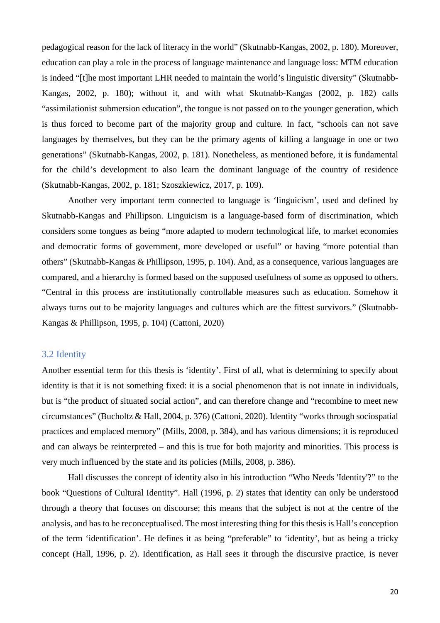pedagogical reason for the lack of literacy in the world" (Skutnabb-Kangas, 2002, p. 180). Moreover, education can play a role in the process of language maintenance and language loss: MTM education is indeed "[t]he most important LHR needed to maintain the world's linguistic diversity" (Skutnabb-Kangas, 2002, p. 180); without it, and with what Skutnabb-Kangas (2002, p. 182) calls "assimilationist submersion education", the tongue is not passed on to the younger generation, which is thus forced to become part of the majority group and culture. In fact, "schools can not save languages by themselves, but they can be the primary agents of killing a language in one or two generations" (Skutnabb-Kangas, 2002, p. 181). Nonetheless, as mentioned before, it is fundamental for the child's development to also learn the dominant language of the country of residence (Skutnabb-Kangas, 2002, p. 181; Szoszkiewicz, 2017, p. 109).

Another very important term connected to language is 'linguicism', used and defined by Skutnabb-Kangas and Phillipson. Linguicism is a language-based form of discrimination, which considers some tongues as being "more adapted to modern technological life, to market economies and democratic forms of government, more developed or useful" or having "more potential than others" (Skutnabb-Kangas & Phillipson, 1995, p. 104). And, as a consequence, various languages are compared, and a hierarchy is formed based on the supposed usefulness of some as opposed to others. "Central in this process are institutionally controllable measures such as education. Somehow it always turns out to be majority languages and cultures which are the fittest survivors." (Skutnabb-Kangas & Phillipson, 1995, p. 104) (Cattoni, 2020)

#### 3.2 Identity

Another essential term for this thesis is 'identity'. First of all, what is determining to specify about identity is that it is not something fixed: it is a social phenomenon that is not innate in individuals, but is "the product of situated social action", and can therefore change and "recombine to meet new circumstances" (Bucholtz & Hall, 2004, p. 376) (Cattoni, 2020). Identity "works through sociospatial practices and emplaced memory" (Mills, 2008, p. 384), and has various dimensions; it is reproduced and can always be reinterpreted – and this is true for both majority and minorities. This process is very much influenced by the state and its policies (Mills, 2008, p. 386).

Hall discusses the concept of identity also in his introduction "Who Needs 'Identity'?" to the book "Questions of Cultural Identity". Hall (1996, p. 2) states that identity can only be understood through a theory that focuses on discourse; this means that the subject is not at the centre of the analysis, and has to be reconceptualised. The most interesting thing for this thesis is Hall's conception of the term 'identification'. He defines it as being "preferable" to 'identity', but as being a tricky concept (Hall, 1996, p. 2). Identification, as Hall sees it through the discursive practice, is never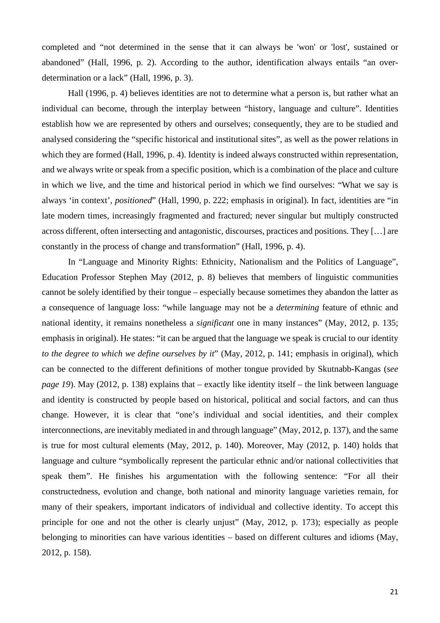completed and "not determined in the sense that it can always be 'won' or 'lost', sustained or abandoned" (Hall, 1996, p. 2). According to the author, identification always entails "an overdetermination or a lack" (Hall, 1996, p. 3).

Hall (1996, p. 4) believes identities are not to determine what a person is, but rather what an individual can become, through the interplay between "history, language and culture". Identities establish how we are represented by others and ourselves; consequently, they are to be studied and analysed considering the "specific historical and institutional sites", as well as the power relations in which they are formed (Hall, 1996, p. 4). Identity is indeed always constructed within representation, and we always write or speak from a specific position, which is a combination of the place and culture in which we live, and the time and historical period in which we find ourselves: "What we say is always 'in context', *positioned*" (Hall, 1990, p. 222; emphasis in original). In fact, identities are "in late modern times, increasingly fragmented and fractured; never singular but multiply constructed across different, often intersecting and antagonistic, discourses, practices and positions. They […] are constantly in the process of change and transformation" (Hall, 1996, p. 4).

In "Language and Minority Rights: Ethnicity, Nationalism and the Politics of Language", Education Professor Stephen May (2012, p. 8) believes that members of linguistic communities cannot be solely identified by their tongue – especially because sometimes they abandon the latter as a consequence of language loss: "while language may not be a *determining* feature of ethnic and national identity, it remains nonetheless a *significant* one in many instances" (May, 2012, p. 135; emphasis in original). He states: "it can be argued that the language we speak is crucial to our identity *to the degree to which we define ourselves by it*" (May, 2012, p. 141; emphasis in original), which can be connected to the different definitions of mother tongue provided by Skutnabb-Kangas (*see page 19*). May (2012, p. 138) explains that – exactly like identity itself – the link between language and identity is constructed by people based on historical, political and social factors, and can thus change. However, it is clear that "one's individual and social identities, and their complex interconnections, are inevitably mediated in and through language" (May, 2012, p. 137), and the same is true for most cultural elements (May, 2012, p. 140). Moreover, May (2012, p. 140) holds that language and culture "symbolically represent the particular ethnic and/or national collectivities that speak them". He finishes his argumentation with the following sentence: "For all their constructedness, evolution and change, both national and minority language varieties remain, for many of their speakers, important indicators of individual and collective identity. To accept this principle for one and not the other is clearly unjust" (May, 2012, p. 173); especially as people belonging to minorities can have various identities – based on different cultures and idioms (May, 2012, p. 158).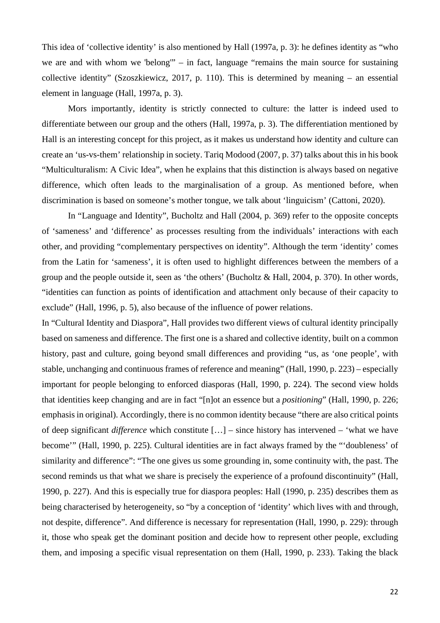This idea of 'collective identity' is also mentioned by Hall (1997a, p. 3): he defines identity as "who we are and with whom we 'belong'" – in fact, language "remains the main source for sustaining collective identity" (Szoszkiewicz, 2017, p. 110). This is determined by meaning – an essential element in language (Hall, 1997a, p. 3).

Mors importantly, identity is strictly connected to culture: the latter is indeed used to differentiate between our group and the others (Hall, 1997a, p. 3). The differentiation mentioned by Hall is an interesting concept for this project, as it makes us understand how identity and culture can create an 'us-vs-them' relationship in society. Tariq Modood (2007, p. 37) talks about this in his book "Multiculturalism: A Civic Idea", when he explains that this distinction is always based on negative difference, which often leads to the marginalisation of a group. As mentioned before, when discrimination is based on someone's mother tongue, we talk about 'linguicism' (Cattoni, 2020).

In "Language and Identity", Bucholtz and Hall (2004, p. 369) refer to the opposite concepts of 'sameness' and 'difference' as processes resulting from the individuals' interactions with each other, and providing "complementary perspectives on identity". Although the term 'identity' comes from the Latin for 'sameness', it is often used to highlight differences between the members of a group and the people outside it, seen as 'the others' (Bucholtz & Hall, 2004, p. 370). In other words, "identities can function as points of identification and attachment only because of their capacity to exclude" (Hall, 1996, p. 5), also because of the influence of power relations.

In "Cultural Identity and Diaspora", Hall provides two different views of cultural identity principally based on sameness and difference. The first one is a shared and collective identity, built on a common history, past and culture, going beyond small differences and providing "us, as 'one people', with stable, unchanging and continuous frames of reference and meaning" (Hall, 1990, p. 223) – especially important for people belonging to enforced diasporas (Hall, 1990, p. 224). The second view holds that identities keep changing and are in fact "[n]ot an essence but a *positioning*" (Hall, 1990, p. 226; emphasis in original). Accordingly, there is no common identity because "there are also critical points of deep significant *difference* which constitute […] – since history has intervened – 'what we have become'" (Hall, 1990, p. 225). Cultural identities are in fact always framed by the "'doubleness' of similarity and difference": "The one gives us some grounding in, some continuity with, the past. The second reminds us that what we share is precisely the experience of a profound discontinuity" (Hall, 1990, p. 227). And this is especially true for diaspora peoples: Hall (1990, p. 235) describes them as being characterised by heterogeneity, so "by a conception of 'identity' which lives with and through, not despite, difference". And difference is necessary for representation (Hall, 1990, p. 229): through it, those who speak get the dominant position and decide how to represent other people, excluding them, and imposing a specific visual representation on them (Hall, 1990, p. 233). Taking the black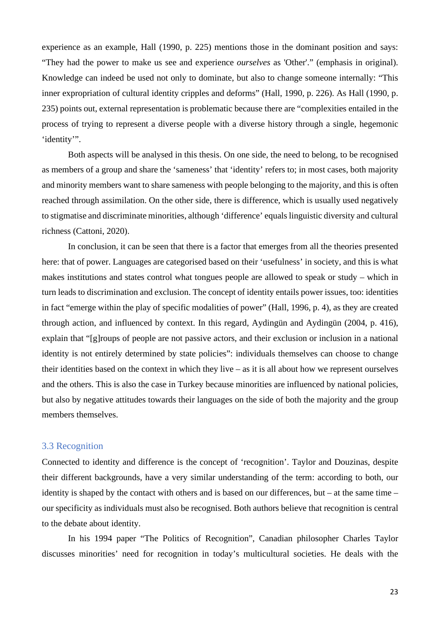experience as an example, Hall (1990, p. 225) mentions those in the dominant position and says: "They had the power to make us see and experience *ourselves* as 'Other'." (emphasis in original). Knowledge can indeed be used not only to dominate, but also to change someone internally: "This inner expropriation of cultural identity cripples and deforms" (Hall, 1990, p. 226). As Hall (1990, p. 235) points out, external representation is problematic because there are "complexities entailed in the process of trying to represent a diverse people with a diverse history through a single, hegemonic 'identity'".

Both aspects will be analysed in this thesis. On one side, the need to belong, to be recognised as members of a group and share the 'sameness' that 'identity' refers to; in most cases, both majority and minority members want to share sameness with people belonging to the majority, and this is often reached through assimilation. On the other side, there is difference, which is usually used negatively to stigmatise and discriminate minorities, although 'difference' equals linguistic diversity and cultural richness (Cattoni, 2020).

In conclusion, it can be seen that there is a factor that emerges from all the theories presented here: that of power. Languages are categorised based on their 'usefulness' in society, and this is what makes institutions and states control what tongues people are allowed to speak or study – which in turn leads to discrimination and exclusion. The concept of identity entails power issues, too: identities in fact "emerge within the play of specific modalities of power" (Hall, 1996, p. 4), as they are created through action, and influenced by context. In this regard, Aydingün and Aydingün (2004, p. 416), explain that "[g]roups of people are not passive actors, and their exclusion or inclusion in a national identity is not entirely determined by state policies": individuals themselves can choose to change their identities based on the context in which they live – as it is all about how we represent ourselves and the others. This is also the case in Turkey because minorities are influenced by national policies, but also by negative attitudes towards their languages on the side of both the majority and the group members themselves.

#### 3.3 Recognition

Connected to identity and difference is the concept of 'recognition'. Taylor and Douzinas, despite their different backgrounds, have a very similar understanding of the term: according to both, our identity is shaped by the contact with others and is based on our differences, but – at the same time – our specificity as individuals must also be recognised. Both authors believe that recognition is central to the debate about identity.

In his 1994 paper "The Politics of Recognition", Canadian philosopher Charles Taylor discusses minorities' need for recognition in today's multicultural societies. He deals with the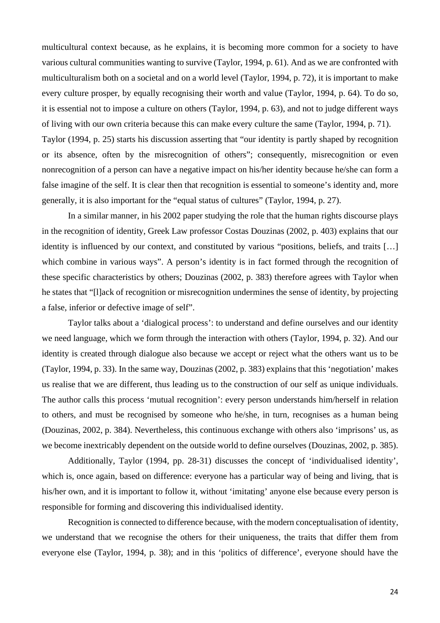multicultural context because, as he explains, it is becoming more common for a society to have various cultural communities wanting to survive (Taylor, 1994, p. 61). And as we are confronted with multiculturalism both on a societal and on a world level (Taylor, 1994, p. 72), it is important to make every culture prosper, by equally recognising their worth and value (Taylor, 1994, p. 64). To do so, it is essential not to impose a culture on others (Taylor, 1994, p. 63), and not to judge different ways of living with our own criteria because this can make every culture the same (Taylor, 1994, p. 71). Taylor (1994, p. 25) starts his discussion asserting that "our identity is partly shaped by recognition or its absence, often by the misrecognition of others"; consequently, misrecognition or even nonrecognition of a person can have a negative impact on his/her identity because he/she can form a false imagine of the self. It is clear then that recognition is essential to someone's identity and, more generally, it is also important for the "equal status of cultures" (Taylor, 1994, p. 27).

In a similar manner, in his 2002 paper studying the role that the human rights discourse plays in the recognition of identity, Greek Law professor Costas Douzinas (2002, p. 403) explains that our identity is influenced by our context, and constituted by various "positions, beliefs, and traits […] which combine in various ways". A person's identity is in fact formed through the recognition of these specific characteristics by others; Douzinas (2002, p. 383) therefore agrees with Taylor when he states that "[l]ack of recognition or misrecognition undermines the sense of identity, by projecting a false, inferior or defective image of self".

Taylor talks about a 'dialogical process': to understand and define ourselves and our identity we need language, which we form through the interaction with others (Taylor, 1994, p. 32). And our identity is created through dialogue also because we accept or reject what the others want us to be (Taylor, 1994, p. 33). In the same way, Douzinas (2002, p. 383) explains that this 'negotiation' makes us realise that we are different, thus leading us to the construction of our self as unique individuals. The author calls this process 'mutual recognition': every person understands him/herself in relation to others, and must be recognised by someone who he/she, in turn, recognises as a human being (Douzinas, 2002, p. 384). Nevertheless, this continuous exchange with others also 'imprisons' us, as we become inextricably dependent on the outside world to define ourselves (Douzinas, 2002, p. 385).

Additionally, Taylor (1994, pp. 28-31) discusses the concept of 'individualised identity', which is, once again, based on difference: everyone has a particular way of being and living, that is his/her own, and it is important to follow it, without 'imitating' anyone else because every person is responsible for forming and discovering this individualised identity.

Recognition is connected to difference because, with the modern conceptualisation of identity, we understand that we recognise the others for their uniqueness, the traits that differ them from everyone else (Taylor, 1994, p. 38); and in this 'politics of difference', everyone should have the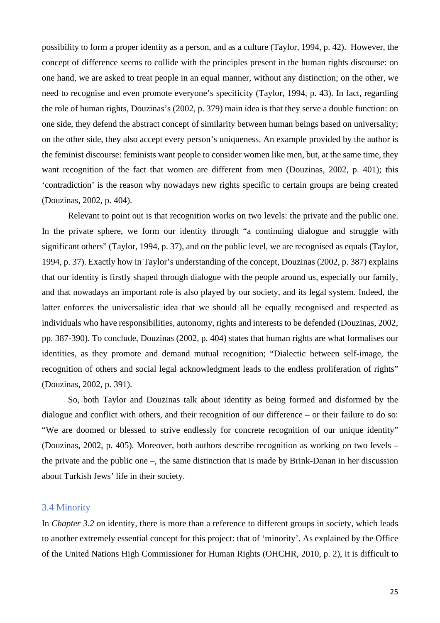possibility to form a proper identity as a person, and as a culture (Taylor, 1994, p. 42). However, the concept of difference seems to collide with the principles present in the human rights discourse: on one hand, we are asked to treat people in an equal manner, without any distinction; on the other, we need to recognise and even promote everyone's specificity (Taylor, 1994, p. 43). In fact, regarding the role of human rights, Douzinas's (2002, p. 379) main idea is that they serve a double function: on one side, they defend the abstract concept of similarity between human beings based on universality; on the other side, they also accept every person's uniqueness. An example provided by the author is the feminist discourse: feminists want people to consider women like men, but, at the same time, they want recognition of the fact that women are different from men (Douzinas, 2002, p. 401); this 'contradiction' is the reason why nowadays new rights specific to certain groups are being created (Douzinas, 2002, p. 404).

Relevant to point out is that recognition works on two levels: the private and the public one. In the private sphere, we form our identity through "a continuing dialogue and struggle with significant others" (Taylor, 1994, p. 37), and on the public level, we are recognised as equals (Taylor, 1994, p. 37). Exactly how in Taylor's understanding of the concept, Douzinas (2002, p. 387) explains that our identity is firstly shaped through dialogue with the people around us, especially our family, and that nowadays an important role is also played by our society, and its legal system. Indeed, the latter enforces the universalistic idea that we should all be equally recognised and respected as individuals who have responsibilities, autonomy, rights and interests to be defended (Douzinas, 2002, pp. 387-390). To conclude, Douzinas (2002, p. 404) states that human rights are what formalises our identities, as they promote and demand mutual recognition; "Dialectic between self-image, the recognition of others and social legal acknowledgment leads to the endless proliferation of rights" (Douzinas, 2002, p. 391).

So, both Taylor and Douzinas talk about identity as being formed and disformed by the dialogue and conflict with others, and their recognition of our difference – or their failure to do so: "We are doomed or blessed to strive endlessly for concrete recognition of our unique identity" (Douzinas, 2002, p. 405). Moreover, both authors describe recognition as working on two levels – the private and the public one –, the same distinction that is made by Brink-Danan in her discussion about Turkish Jews' life in their society.

#### 3.4 Minority

In *Chapter 3.2* on identity, there is more than a reference to different groups in society, which leads to another extremely essential concept for this project: that of 'minority'. As explained by the Office of the United Nations High Commissioner for Human Rights (OHCHR, 2010, p. 2), it is difficult to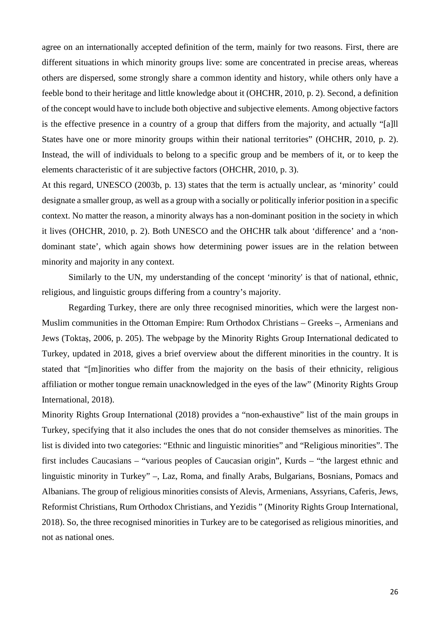agree on an internationally accepted definition of the term, mainly for two reasons. First, there are different situations in which minority groups live: some are concentrated in precise areas, whereas others are dispersed, some strongly share a common identity and history, while others only have a feeble bond to their heritage and little knowledge about it (OHCHR, 2010, p. 2). Second, a definition of the concept would have to include both objective and subjective elements. Among objective factors is the effective presence in a country of a group that differs from the majority, and actually "[a]ll States have one or more minority groups within their national territories" (OHCHR, 2010, p. 2). Instead, the will of individuals to belong to a specific group and be members of it, or to keep the elements characteristic of it are subjective factors (OHCHR, 2010, p. 3).

At this regard, UNESCO (2003b, p. 13) states that the term is actually unclear, as 'minority' could designate a smaller group, as well as a group with a socially or politically inferior position in a specific context. No matter the reason, a minority always has a non-dominant position in the society in which it lives (OHCHR, 2010, p. 2). Both UNESCO and the OHCHR talk about 'difference' and a 'nondominant state', which again shows how determining power issues are in the relation between minority and majority in any context.

Similarly to the UN, my understanding of the concept 'minority' is that of national, ethnic, religious, and linguistic groups differing from a country's majority.

Regarding Turkey, there are only three recognised minorities, which were the largest non-Muslim communities in the Ottoman Empire: Rum Orthodox Christians – Greeks –, Armenians and Jews (Toktaş, 2006, p. 205). The webpage by the Minority Rights Group International dedicated to Turkey, updated in 2018, gives a brief overview about the different minorities in the country. It is stated that "[m]inorities who differ from the majority on the basis of their ethnicity, religious affiliation or mother tongue remain unacknowledged in the eyes of the law" (Minority Rights Group International, 2018).

Minority Rights Group International (2018) provides a "non-exhaustive" list of the main groups in Turkey, specifying that it also includes the ones that do not consider themselves as minorities. The list is divided into two categories: "Ethnic and linguistic minorities" and "Religious minorities". The first includes Caucasians – "various peoples of Caucasian origin", Kurds – "the largest ethnic and linguistic minority in Turkey" –, Laz, Roma, and finally Arabs, Bulgarians, Bosnians, Pomacs and Albanians. The group of religious minorities consists of Alevis, Armenians, Assyrians, Caferis, Jews, Reformist Christians, Rum Orthodox Christians, and Yezidis " (Minority Rights Group International, 2018). So, the three recognised minorities in Turkey are to be categorised as religious minorities, and not as national ones.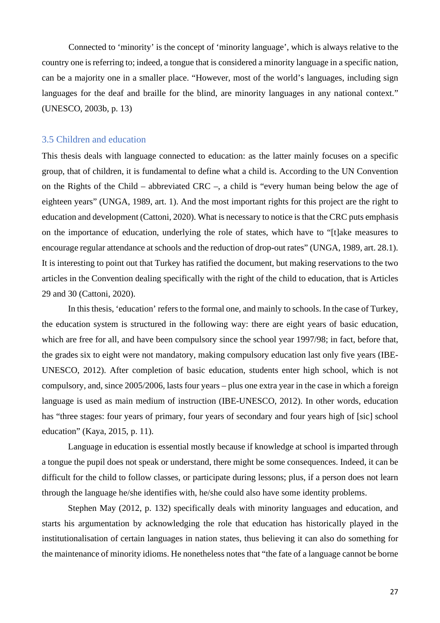Connected to 'minority' is the concept of 'minority language', which is always relative to the country one is referring to; indeed, a tongue that is considered a minority language in a specific nation, can be a majority one in a smaller place. "However, most of the world's languages, including sign languages for the deaf and braille for the blind, are minority languages in any national context." (UNESCO, 2003b, p. 13)

#### 3.5 Children and education

This thesis deals with language connected to education: as the latter mainly focuses on a specific group, that of children, it is fundamental to define what a child is. According to the UN Convention on the Rights of the Child – abbreviated CRC –, a child is "every human being below the age of eighteen years" (UNGA, 1989, art. 1). And the most important rights for this project are the right to education and development (Cattoni, 2020). What is necessary to notice is that the CRC puts emphasis on the importance of education, underlying the role of states, which have to "[t]ake measures to encourage regular attendance at schools and the reduction of drop-out rates" (UNGA, 1989, art. 28.1). It is interesting to point out that Turkey has ratified the document, but making reservations to the two articles in the Convention dealing specifically with the right of the child to education, that is Articles 29 and 30 (Cattoni, 2020).

In this thesis, 'education' refers to the formal one, and mainly to schools. In the case of Turkey, the education system is structured in the following way: there are eight years of basic education, which are free for all, and have been compulsory since the school year 1997/98; in fact, before that, the grades six to eight were not mandatory, making compulsory education last only five years (IBE-UNESCO, 2012). After completion of basic education, students enter high school, which is not compulsory, and, since 2005/2006, lasts four years – plus one extra year in the case in which a foreign language is used as main medium of instruction (IBE-UNESCO, 2012). In other words, education has "three stages: four years of primary, four years of secondary and four years high of [sic] school education" (Kaya, 2015, p. 11).

Language in education is essential mostly because if knowledge at school is imparted through a tongue the pupil does not speak or understand, there might be some consequences. Indeed, it can be difficult for the child to follow classes, or participate during lessons; plus, if a person does not learn through the language he/she identifies with, he/she could also have some identity problems.

Stephen May (2012, p. 132) specifically deals with minority languages and education, and starts his argumentation by acknowledging the role that education has historically played in the institutionalisation of certain languages in nation states, thus believing it can also do something for the maintenance of minority idioms. He nonetheless notes that "the fate of a language cannot be borne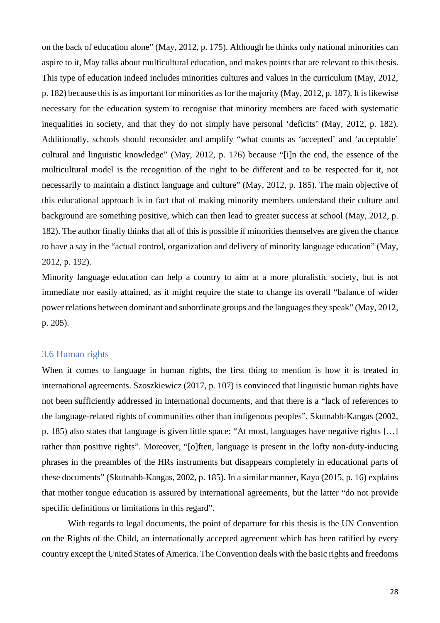on the back of education alone" (May, 2012, p. 175). Although he thinks only national minorities can aspire to it, May talks about multicultural education, and makes points that are relevant to this thesis. This type of education indeed includes minorities cultures and values in the curriculum (May, 2012, p. 182) because this is as important for minorities as for the majority (May, 2012, p. 187). It is likewise necessary for the education system to recognise that minority members are faced with systematic inequalities in society, and that they do not simply have personal 'deficits' (May, 2012, p. 182). Additionally, schools should reconsider and amplify "what counts as 'accepted' and 'acceptable' cultural and linguistic knowledge" (May, 2012, p. 176) because "[i]n the end, the essence of the multicultural model is the recognition of the right to be different and to be respected for it, not necessarily to maintain a distinct language and culture" (May, 2012, p. 185). The main objective of this educational approach is in fact that of making minority members understand their culture and background are something positive, which can then lead to greater success at school (May, 2012, p. 182). The author finally thinks that all of this is possible if minorities themselves are given the chance to have a say in the "actual control, organization and delivery of minority language education" (May, 2012, p. 192).

Minority language education can help a country to aim at a more pluralistic society, but is not immediate nor easily attained, as it might require the state to change its overall "balance of wider power relations between dominant and subordinate groups and the languages they speak" (May, 2012, p. 205).

#### 3.6 Human rights

When it comes to language in human rights, the first thing to mention is how it is treated in international agreements. Szoszkiewicz (2017, p. 107) is convinced that linguistic human rights have not been sufficiently addressed in international documents, and that there is a "lack of references to the language-related rights of communities other than indigenous peoples". Skutnabb-Kangas (2002, p. 185) also states that language is given little space: "At most, languages have negative rights […] rather than positive rights". Moreover, "[o]ften, language is present in the lofty non-duty-inducing phrases in the preambles of the HRs instruments but disappears completely in educational parts of these documents" (Skutnabb-Kangas, 2002, p. 185). In a similar manner, Kaya (2015, p. 16) explains that mother tongue education is assured by international agreements, but the latter "do not provide specific definitions or limitations in this regard".

With regards to legal documents, the point of departure for this thesis is the UN Convention on the Rights of the Child, an internationally accepted agreement which has been ratified by every country except the United States of America. The Convention deals with the basic rights and freedoms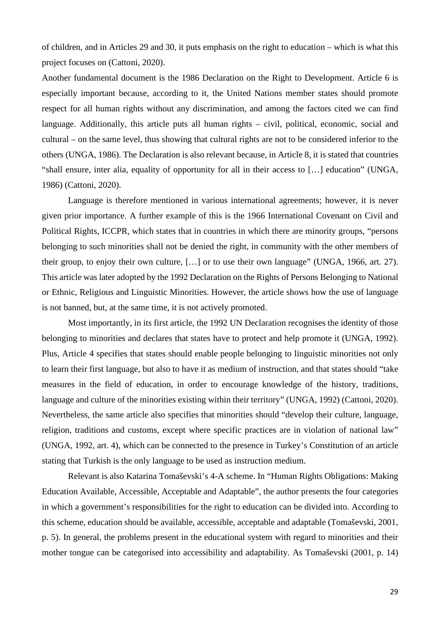of children, and in Articles 29 and 30, it puts emphasis on the right to education – which is what this project focuses on (Cattoni, 2020).

Another fundamental document is the 1986 Declaration on the Right to Development. Article 6 is especially important because, according to it, the United Nations member states should promote respect for all human rights without any discrimination, and among the factors cited we can find language. Additionally, this article puts all human rights – civil, political, economic, social and cultural – on the same level, thus showing that cultural rights are not to be considered inferior to the others (UNGA, 1986). The Declaration is also relevant because, in Article 8, it is stated that countries "shall ensure, inter alia, equality of opportunity for all in their access to […] education" (UNGA, 1986) (Cattoni, 2020).

Language is therefore mentioned in various international agreements; however, it is never given prior importance. A further example of this is the 1966 International Covenant on Civil and Political Rights, ICCPR, which states that in countries in which there are minority groups, "persons belonging to such minorities shall not be denied the right, in community with the other members of their group, to enjoy their own culture, […] or to use their own language" (UNGA, 1966, art. 27). This article was later adopted by the 1992 Declaration on the Rights of Persons Belonging to National or Ethnic, Religious and Linguistic Minorities. However, the article shows how the use of language is not banned, but, at the same time, it is not actively promoted.

Most importantly, in its first article, the 1992 UN Declaration recognises the identity of those belonging to minorities and declares that states have to protect and help promote it (UNGA, 1992). Plus, Article 4 specifies that states should enable people belonging to linguistic minorities not only to learn their first language, but also to have it as medium of instruction, and that states should "take measures in the field of education, in order to encourage knowledge of the history, traditions, language and culture of the minorities existing within their territory" (UNGA, 1992) (Cattoni, 2020). Nevertheless, the same article also specifies that minorities should "develop their culture, language, religion, traditions and customs, except where specific practices are in violation of national law" (UNGA, 1992, art. 4), which can be connected to the presence in Turkey's Constitution of an article stating that Turkish is the only language to be used as instruction medium.

Relevant is also Katarina Tomaševski's 4-A scheme. In "Human Rights Obligations: Making Education Available, Accessible, Acceptable and Adaptable", the author presents the four categories in which a government's responsibilities for the right to education can be divided into. According to this scheme, education should be available, accessible, acceptable and adaptable (Tomaševski, 2001, p. 5). In general, the problems present in the educational system with regard to minorities and their mother tongue can be categorised into accessibility and adaptability. As Tomaševski (2001, p. 14)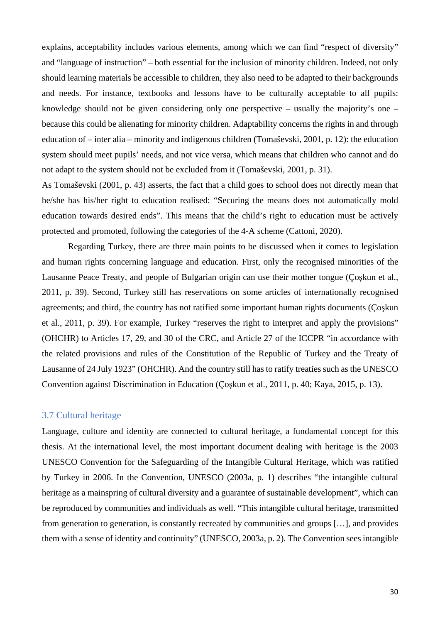explains, acceptability includes various elements, among which we can find "respect of diversity" and "language of instruction" – both essential for the inclusion of minority children. Indeed, not only should learning materials be accessible to children, they also need to be adapted to their backgrounds and needs. For instance, textbooks and lessons have to be culturally acceptable to all pupils: knowledge should not be given considering only one perspective – usually the majority's one – because this could be alienating for minority children. Adaptability concerns the rights in and through education of – inter alia – minority and indigenous children (Tomaševski, 2001, p. 12): the education system should meet pupils' needs, and not vice versa, which means that children who cannot and do not adapt to the system should not be excluded from it (Tomaševski, 2001, p. 31).

As Tomaševski (2001, p. 43) asserts, the fact that a child goes to school does not directly mean that he/she has his/her right to education realised: "Securing the means does not automatically mold education towards desired ends". This means that the child's right to education must be actively protected and promoted, following the categories of the 4-A scheme (Cattoni, 2020).

Regarding Turkey, there are three main points to be discussed when it comes to legislation and human rights concerning language and education. First, only the recognised minorities of the Lausanne Peace Treaty, and people of Bulgarian origin can use their mother tongue (Çoşkun et al., 2011, p. 39). Second, Turkey still has reservations on some articles of internationally recognised agreements; and third, the country has not ratified some important human rights documents (Çoşkun et al., 2011, p. 39). For example, Turkey "reserves the right to interpret and apply the provisions" (OHCHR) to Articles 17, 29, and 30 of the CRC, and Article 27 of the ICCPR "in accordance with the related provisions and rules of the Constitution of the Republic of Turkey and the Treaty of Lausanne of 24 July 1923" (OHCHR). And the country still has to ratify treaties such as the UNESCO Convention against Discrimination in Education (Çoşkun et al., 2011, p. 40; Kaya, 2015, p. 13).

### 3.7 Cultural heritage

Language, culture and identity are connected to cultural heritage, a fundamental concept for this thesis. At the international level, the most important document dealing with heritage is the 2003 UNESCO Convention for the Safeguarding of the Intangible Cultural Heritage, which was ratified by Turkey in 2006. In the Convention, UNESCO (2003a, p. 1) describes "the intangible cultural heritage as a mainspring of cultural diversity and a guarantee of sustainable development", which can be reproduced by communities and individuals as well. "This intangible cultural heritage, transmitted from generation to generation, is constantly recreated by communities and groups […], and provides them with a sense of identity and continuity" (UNESCO, 2003a, p. 2). The Convention sees intangible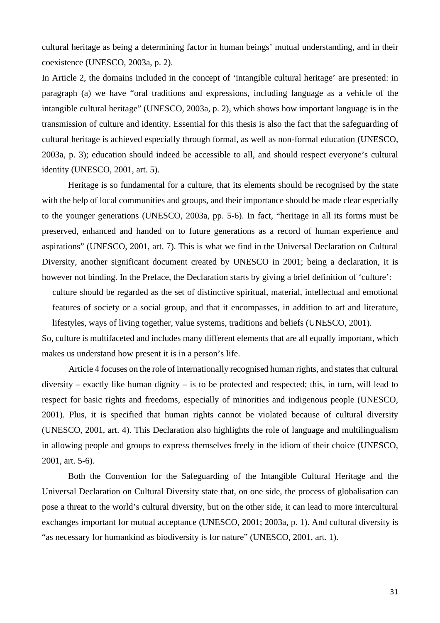cultural heritage as being a determining factor in human beings' mutual understanding, and in their coexistence (UNESCO, 2003a, p. 2).

In Article 2, the domains included in the concept of 'intangible cultural heritage' are presented: in paragraph (a) we have "oral traditions and expressions, including language as a vehicle of the intangible cultural heritage" (UNESCO, 2003a, p. 2), which shows how important language is in the transmission of culture and identity. Essential for this thesis is also the fact that the safeguarding of cultural heritage is achieved especially through formal, as well as non-formal education (UNESCO, 2003a, p. 3); education should indeed be accessible to all, and should respect everyone's cultural identity (UNESCO, 2001, art. 5).

Heritage is so fundamental for a culture, that its elements should be recognised by the state with the help of local communities and groups, and their importance should be made clear especially to the younger generations (UNESCO, 2003a, pp. 5-6). In fact, "heritage in all its forms must be preserved, enhanced and handed on to future generations as a record of human experience and aspirations" (UNESCO, 2001, art. 7). This is what we find in the Universal Declaration on Cultural Diversity, another significant document created by UNESCO in 2001; being a declaration, it is however not binding. In the Preface, the Declaration starts by giving a brief definition of 'culture':

culture should be regarded as the set of distinctive spiritual, material, intellectual and emotional features of society or a social group, and that it encompasses, in addition to art and literature, lifestyles, ways of living together, value systems, traditions and beliefs (UNESCO, 2001).

So, culture is multifaceted and includes many different elements that are all equally important, which makes us understand how present it is in a person's life.

Article 4 focuses on the role of internationally recognised human rights, and states that cultural diversity – exactly like human dignity – is to be protected and respected; this, in turn, will lead to respect for basic rights and freedoms, especially of minorities and indigenous people (UNESCO, 2001). Plus, it is specified that human rights cannot be violated because of cultural diversity (UNESCO, 2001, art. 4). This Declaration also highlights the role of language and multilingualism in allowing people and groups to express themselves freely in the idiom of their choice (UNESCO, 2001, art. 5-6).

Both the Convention for the Safeguarding of the Intangible Cultural Heritage and the Universal Declaration on Cultural Diversity state that, on one side, the process of globalisation can pose a threat to the world's cultural diversity, but on the other side, it can lead to more intercultural exchanges important for mutual acceptance (UNESCO, 2001; 2003a, p. 1). And cultural diversity is "as necessary for humankind as biodiversity is for nature" (UNESCO, 2001, art. 1).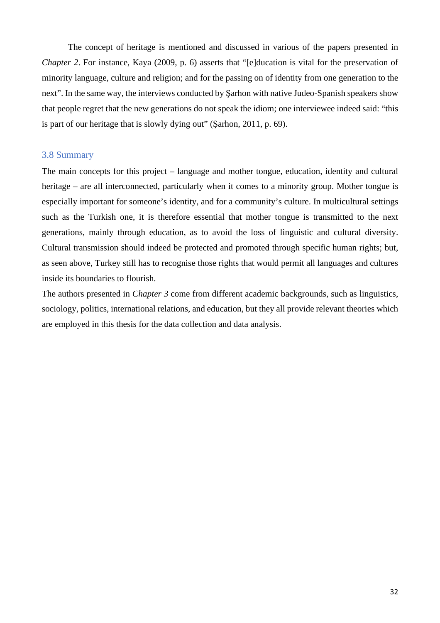The concept of heritage is mentioned and discussed in various of the papers presented in *Chapter 2*. For instance, Kaya (2009, p. 6) asserts that "[e]ducation is vital for the preservation of minority language, culture and religion; and for the passing on of identity from one generation to the next". In the same way, the interviews conducted by Şarhon with native Judeo-Spanish speakers show that people regret that the new generations do not speak the idiom; one interviewee indeed said: "this is part of our heritage that is slowly dying out" (Şarhon, 2011, p. 69).

### 3.8 Summary

The main concepts for this project – language and mother tongue, education, identity and cultural heritage – are all interconnected, particularly when it comes to a minority group. Mother tongue is especially important for someone's identity, and for a community's culture. In multicultural settings such as the Turkish one, it is therefore essential that mother tongue is transmitted to the next generations, mainly through education, as to avoid the loss of linguistic and cultural diversity. Cultural transmission should indeed be protected and promoted through specific human rights; but, as seen above, Turkey still has to recognise those rights that would permit all languages and cultures inside its boundaries to flourish.

The authors presented in *Chapter 3* come from different academic backgrounds, such as linguistics, sociology, politics, international relations, and education, but they all provide relevant theories which are employed in this thesis for the data collection and data analysis.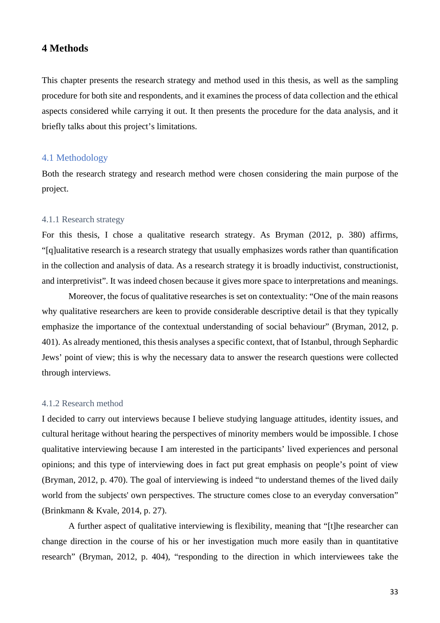# **4 Methods**

This chapter presents the research strategy and method used in this thesis, as well as the sampling procedure for both site and respondents, and it examines the process of data collection and the ethical aspects considered while carrying it out. It then presents the procedure for the data analysis, and it briefly talks about this project's limitations.

# 4.1 Methodology

Both the research strategy and research method were chosen considering the main purpose of the project.

### 4.1.1 Research strategy

For this thesis, I chose a qualitative research strategy. As Bryman (2012, p. 380) affirms, "[q]ualitative research is a research strategy that usually emphasizes words rather than quantification in the collection and analysis of data. As a research strategy it is broadly inductivist, constructionist, and interpretivist". It was indeed chosen because it gives more space to interpretations and meanings.

Moreover, the focus of qualitative researches is set on contextuality: "One of the main reasons why qualitative researchers are keen to provide considerable descriptive detail is that they typically emphasize the importance of the contextual understanding of social behaviour" (Bryman, 2012, p. 401). As already mentioned, this thesis analyses a specific context, that of Istanbul, through Sephardic Jews' point of view; this is why the necessary data to answer the research questions were collected through interviews.

#### 4.1.2 Research method

I decided to carry out interviews because I believe studying language attitudes, identity issues, and cultural heritage without hearing the perspectives of minority members would be impossible. I chose qualitative interviewing because I am interested in the participants' lived experiences and personal opinions; and this type of interviewing does in fact put great emphasis on people's point of view (Bryman, 2012, p. 470). The goal of interviewing is indeed "to understand themes of the lived daily world from the subjects' own perspectives. The structure comes close to an everyday conversation" (Brinkmann & Kvale, 2014, p. 27).

A further aspect of qualitative interviewing is flexibility, meaning that "[t]he researcher can change direction in the course of his or her investigation much more easily than in quantitative research" (Bryman, 2012, p. 404), "responding to the direction in which interviewees take the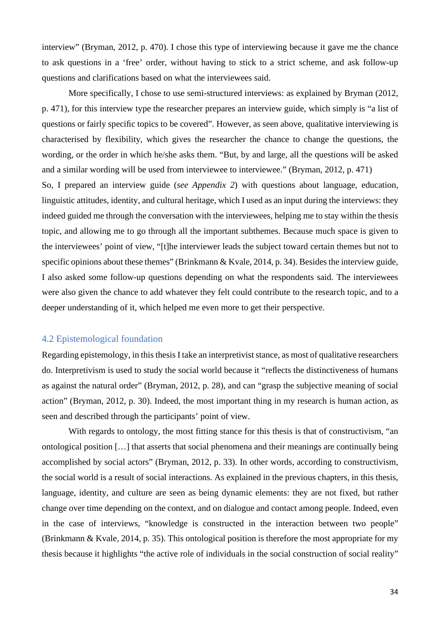interview" (Bryman, 2012, p. 470). I chose this type of interviewing because it gave me the chance to ask questions in a 'free' order, without having to stick to a strict scheme, and ask follow-up questions and clarifications based on what the interviewees said.

More specifically, I chose to use semi-structured interviews: as explained by Bryman (2012, p. 471), for this interview type the researcher prepares an interview guide, which simply is "a list of questions or fairly specific topics to be covered". However, as seen above, qualitative interviewing is characterised by flexibility, which gives the researcher the chance to change the questions, the wording, or the order in which he/she asks them. "But, by and large, all the questions will be asked and a similar wording will be used from interviewee to interviewee." (Bryman, 2012, p. 471)

So, I prepared an interview guide (*see Appendix 2*) with questions about language, education, linguistic attitudes, identity, and cultural heritage, which I used as an input during the interviews: they indeed guided me through the conversation with the interviewees, helping me to stay within the thesis topic, and allowing me to go through all the important subthemes. Because much space is given to the interviewees' point of view, "[t]he interviewer leads the subject toward certain themes but not to specific opinions about these themes" (Brinkmann & Kvale, 2014, p. 34). Besides the interview guide, I also asked some follow-up questions depending on what the respondents said. The interviewees were also given the chance to add whatever they felt could contribute to the research topic, and to a deeper understanding of it, which helped me even more to get their perspective.

## 4.2 Epistemological foundation

Regarding epistemology, in this thesis I take an interpretivist stance, as most of qualitative researchers do. Interpretivism is used to study the social world because it "reflects the distinctiveness of humans as against the natural order" (Bryman, 2012, p. 28), and can "grasp the subjective meaning of social action" (Bryman, 2012, p. 30). Indeed, the most important thing in my research is human action, as seen and described through the participants' point of view.

With regards to ontology, the most fitting stance for this thesis is that of constructivism, "an ontological position […] that asserts that social phenomena and their meanings are continually being accomplished by social actors" (Bryman, 2012, p. 33). In other words, according to constructivism, the social world is a result of social interactions. As explained in the previous chapters, in this thesis, language, identity, and culture are seen as being dynamic elements: they are not fixed, but rather change over time depending on the context, and on dialogue and contact among people. Indeed, even in the case of interviews, "knowledge is constructed in the interaction between two people" (Brinkmann & Kvale, 2014, p. 35). This ontological position is therefore the most appropriate for my thesis because it highlights "the active role of individuals in the social construction of social reality"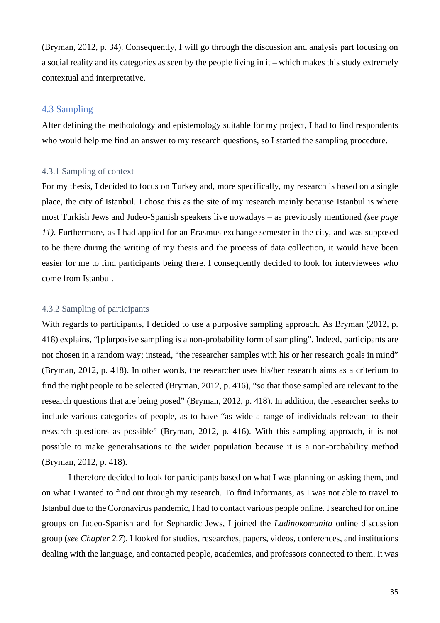(Bryman, 2012, p. 34). Consequently, I will go through the discussion and analysis part focusing on a social reality and its categories as seen by the people living in it – which makes this study extremely contextual and interpretative.

# 4.3 Sampling

After defining the methodology and epistemology suitable for my project, I had to find respondents who would help me find an answer to my research questions, so I started the sampling procedure.

# 4.3.1 Sampling of context

For my thesis, I decided to focus on Turkey and, more specifically, my research is based on a single place, the city of Istanbul. I chose this as the site of my research mainly because Istanbul is where most Turkish Jews and Judeo-Spanish speakers live nowadays – as previously mentioned *(see page 11)*. Furthermore, as I had applied for an Erasmus exchange semester in the city, and was supposed to be there during the writing of my thesis and the process of data collection, it would have been easier for me to find participants being there. I consequently decided to look for interviewees who come from Istanbul.

### 4.3.2 Sampling of participants

With regards to participants, I decided to use a purposive sampling approach. As Bryman (2012, p. 418) explains, "[p]urposive sampling is a non-probability form of sampling". Indeed, participants are not chosen in a random way; instead, "the researcher samples with his or her research goals in mind" (Bryman, 2012, p. 418). In other words, the researcher uses his/her research aims as a criterium to find the right people to be selected (Bryman, 2012, p. 416), "so that those sampled are relevant to the research questions that are being posed" (Bryman, 2012, p. 418). In addition, the researcher seeks to include various categories of people, as to have "as wide a range of individuals relevant to their research questions as possible" (Bryman, 2012, p. 416). With this sampling approach, it is not possible to make generalisations to the wider population because it is a non-probability method (Bryman, 2012, p. 418).

I therefore decided to look for participants based on what I was planning on asking them, and on what I wanted to find out through my research. To find informants, as I was not able to travel to Istanbul due to the Coronavirus pandemic, I had to contact various people online. I searched for online groups on Judeo-Spanish and for Sephardic Jews, I joined the *Ladinokomunita* online discussion group (*see Chapter 2.7*), I looked for studies, researches, papers, videos, conferences, and institutions dealing with the language, and contacted people, academics, and professors connected to them. It was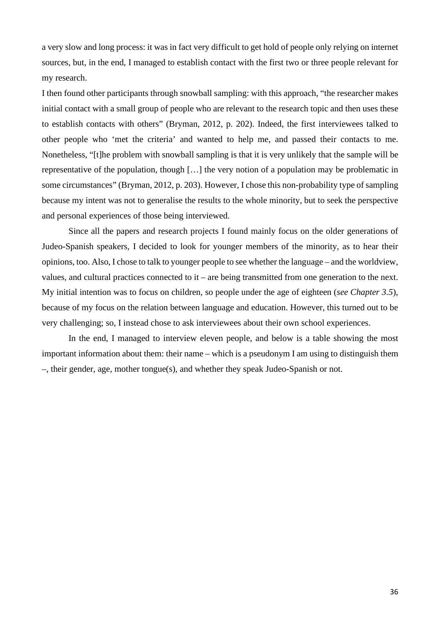a very slow and long process: it was in fact very difficult to get hold of people only relying on internet sources, but, in the end, I managed to establish contact with the first two or three people relevant for my research.

I then found other participants through snowball sampling: with this approach, "the researcher makes initial contact with a small group of people who are relevant to the research topic and then uses these to establish contacts with others" (Bryman, 2012, p. 202). Indeed, the first interviewees talked to other people who 'met the criteria' and wanted to help me, and passed their contacts to me. Nonetheless, "[t]he problem with snowball sampling is that it is very unlikely that the sample will be representative of the population, though […] the very notion of a population may be problematic in some circumstances" (Bryman, 2012, p. 203). However, I chose this non-probability type of sampling because my intent was not to generalise the results to the whole minority, but to seek the perspective and personal experiences of those being interviewed.

Since all the papers and research projects I found mainly focus on the older generations of Judeo-Spanish speakers, I decided to look for younger members of the minority, as to hear their opinions, too. Also, I chose to talk to younger people to see whether the language – and the worldview, values, and cultural practices connected to it – are being transmitted from one generation to the next. My initial intention was to focus on children, so people under the age of eighteen (*see Chapter 3.5*), because of my focus on the relation between language and education. However, this turned out to be very challenging; so, I instead chose to ask interviewees about their own school experiences.

In the end, I managed to interview eleven people, and below is a table showing the most important information about them: their name – which is a pseudonym I am using to distinguish them –, their gender, age, mother tongue(s), and whether they speak Judeo-Spanish or not.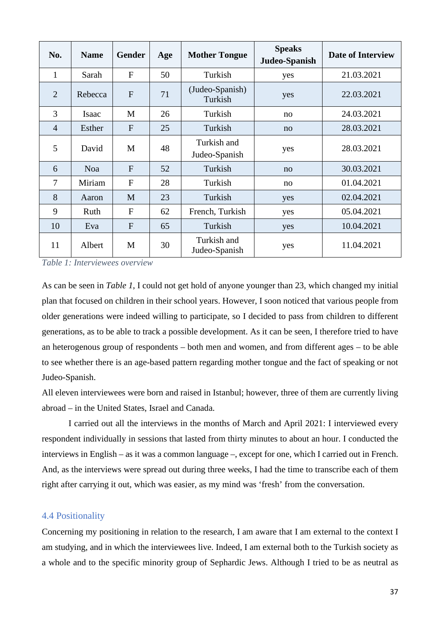| No.            | <b>Name</b> | <b>Gender</b> | Age | <b>Mother Tongue</b>         | <b>Speaks</b><br>Judeo-Spanish | <b>Date of Interview</b> |
|----------------|-------------|---------------|-----|------------------------------|--------------------------------|--------------------------|
| $\mathbf{1}$   | Sarah       | $\mathbf{F}$  | 50  | Turkish                      | yes                            | 21.03.2021               |
| $\overline{2}$ | Rebecca     | $\mathbf{F}$  | 71  | (Judeo-Spanish)<br>Turkish   | yes                            | 22.03.2021               |
| 3              | Isaac       | M             | 26  | Turkish                      | no                             | 24.03.2021               |
| $\overline{4}$ | Esther      | $\mathbf{F}$  | 25  | Turkish                      | no                             | 28.03.2021               |
| 5              | David       | M             | 48  | Turkish and<br>Judeo-Spanish | yes                            | 28.03.2021               |
| 6              | <b>Noa</b>  | $\mathbf{F}$  | 52  | Turkish                      | no                             | 30.03.2021               |
| $\overline{7}$ | Miriam      | $\mathbf{F}$  | 28  | Turkish                      | no                             | 01.04.2021               |
| 8              | Aaron       | M             | 23  | Turkish                      | yes                            | 02.04.2021               |
| 9              | Ruth        | $\mathbf{F}$  | 62  | French, Turkish              | yes                            | 05.04.2021               |
| 10             | Eva         | F             | 65  | Turkish                      | yes                            | 10.04.2021               |
| 11             | Albert      | M             | 30  | Turkish and<br>Judeo-Spanish | yes                            | 11.04.2021               |

*Table 1: Interviewees overview* 

As can be seen in *Table 1*, I could not get hold of anyone younger than 23, which changed my initial plan that focused on children in their school years. However, I soon noticed that various people from older generations were indeed willing to participate, so I decided to pass from children to different generations, as to be able to track a possible development. As it can be seen, I therefore tried to have an heterogenous group of respondents – both men and women, and from different ages – to be able to see whether there is an age-based pattern regarding mother tongue and the fact of speaking or not Judeo-Spanish.

All eleven interviewees were born and raised in Istanbul; however, three of them are currently living abroad – in the United States, Israel and Canada.

I carried out all the interviews in the months of March and April 2021: I interviewed every respondent individually in sessions that lasted from thirty minutes to about an hour. I conducted the interviews in English – as it was a common language –, except for one, which I carried out in French. And, as the interviews were spread out during three weeks, I had the time to transcribe each of them right after carrying it out, which was easier, as my mind was 'fresh' from the conversation.

#### 4.4 Positionality

Concerning my positioning in relation to the research, I am aware that I am external to the context I am studying, and in which the interviewees live. Indeed, I am external both to the Turkish society as a whole and to the specific minority group of Sephardic Jews. Although I tried to be as neutral as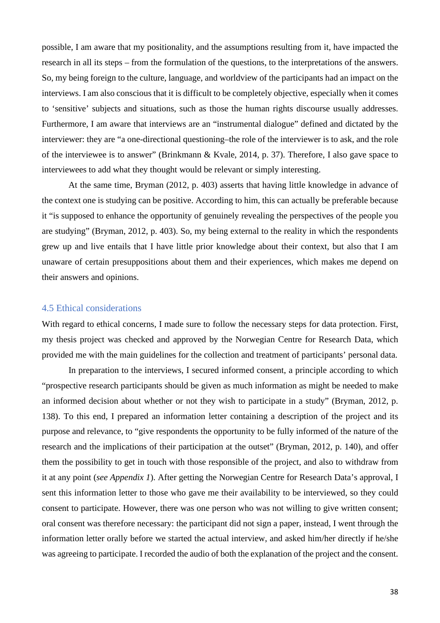possible, I am aware that my positionality, and the assumptions resulting from it, have impacted the research in all its steps – from the formulation of the questions, to the interpretations of the answers. So, my being foreign to the culture, language, and worldview of the participants had an impact on the interviews. I am also conscious that it is difficult to be completely objective, especially when it comes to 'sensitive' subjects and situations, such as those the human rights discourse usually addresses. Furthermore, I am aware that interviews are an "instrumental dialogue" defined and dictated by the interviewer: they are "a one-directional questioning–the role of the interviewer is to ask, and the role of the interviewee is to answer" (Brinkmann & Kvale, 2014, p. 37). Therefore, I also gave space to interviewees to add what they thought would be relevant or simply interesting.

At the same time, Bryman (2012, p. 403) asserts that having little knowledge in advance of the context one is studying can be positive. According to him, this can actually be preferable because it "is supposed to enhance the opportunity of genuinely revealing the perspectives of the people you are studying" (Bryman, 2012, p. 403). So, my being external to the reality in which the respondents grew up and live entails that I have little prior knowledge about their context, but also that I am unaware of certain presuppositions about them and their experiences, which makes me depend on their answers and opinions.

### 4.5 Ethical considerations

With regard to ethical concerns, I made sure to follow the necessary steps for data protection. First, my thesis project was checked and approved by the Norwegian Centre for Research Data, which provided me with the main guidelines for the collection and treatment of participants' personal data.

In preparation to the interviews, I secured informed consent, a principle according to which "prospective research participants should be given as much information as might be needed to make an informed decision about whether or not they wish to participate in a study" (Bryman, 2012, p. 138). To this end, I prepared an information letter containing a description of the project and its purpose and relevance, to "give respondents the opportunity to be fully informed of the nature of the research and the implications of their participation at the outset" (Bryman, 2012, p. 140), and offer them the possibility to get in touch with those responsible of the project, and also to withdraw from it at any point (*see Appendix 1*). After getting the Norwegian Centre for Research Data's approval, I sent this information letter to those who gave me their availability to be interviewed, so they could consent to participate. However, there was one person who was not willing to give written consent; oral consent was therefore necessary: the participant did not sign a paper, instead, I went through the information letter orally before we started the actual interview, and asked him/her directly if he/she was agreeing to participate. I recorded the audio of both the explanation of the project and the consent.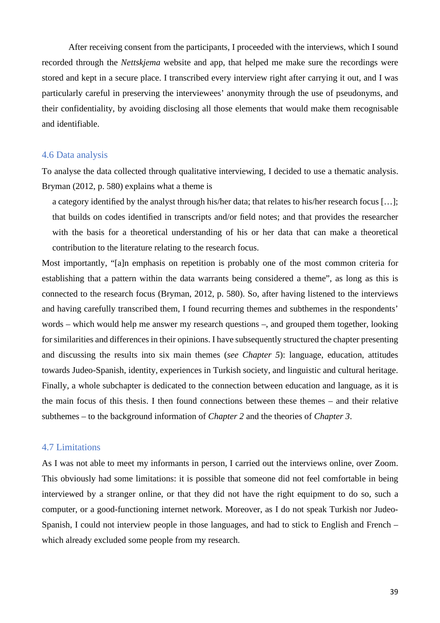After receiving consent from the participants, I proceeded with the interviews, which I sound recorded through the *Nettskjema* website and app, that helped me make sure the recordings were stored and kept in a secure place. I transcribed every interview right after carrying it out, and I was particularly careful in preserving the interviewees' anonymity through the use of pseudonyms, and their confidentiality, by avoiding disclosing all those elements that would make them recognisable and identifiable.

#### 4.6 Data analysis

To analyse the data collected through qualitative interviewing, I decided to use a thematic analysis. Bryman (2012, p. 580) explains what a theme is

a category identified by the analyst through his/her data; that relates to his/her research focus […]; that builds on codes identified in transcripts and/or field notes; and that provides the researcher with the basis for a theoretical understanding of his or her data that can make a theoretical contribution to the literature relating to the research focus.

Most importantly, "[a]n emphasis on repetition is probably one of the most common criteria for establishing that a pattern within the data warrants being considered a theme", as long as this is connected to the research focus (Bryman, 2012, p. 580). So, after having listened to the interviews and having carefully transcribed them, I found recurring themes and subthemes in the respondents' words – which would help me answer my research questions –, and grouped them together, looking for similarities and differences in their opinions. I have subsequently structured the chapter presenting and discussing the results into six main themes (*see Chapter 5*): language, education, attitudes towards Judeo-Spanish, identity, experiences in Turkish society, and linguistic and cultural heritage. Finally, a whole subchapter is dedicated to the connection between education and language, as it is the main focus of this thesis. I then found connections between these themes – and their relative subthemes – to the background information of *Chapter 2* and the theories of *Chapter 3*.

#### 4.7 Limitations

As I was not able to meet my informants in person, I carried out the interviews online, over Zoom. This obviously had some limitations: it is possible that someone did not feel comfortable in being interviewed by a stranger online, or that they did not have the right equipment to do so, such a computer, or a good-functioning internet network. Moreover, as I do not speak Turkish nor Judeo-Spanish, I could not interview people in those languages, and had to stick to English and French – which already excluded some people from my research.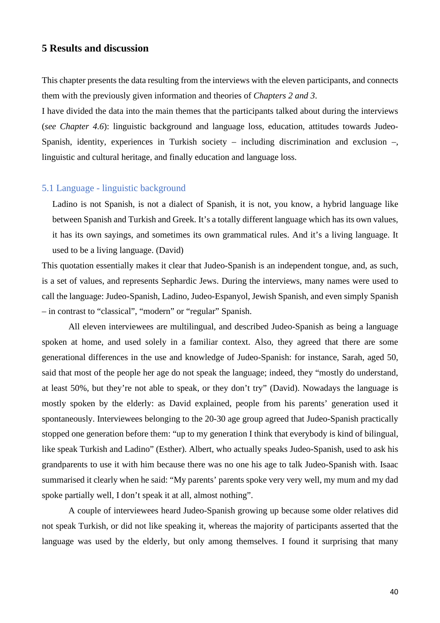# **5 Results and discussion**

This chapter presents the data resulting from the interviews with the eleven participants, and connects them with the previously given information and theories of *Chapters 2 and 3*.

I have divided the data into the main themes that the participants talked about during the interviews (*see Chapter 4.6*): linguistic background and language loss, education, attitudes towards Judeo-Spanish, identity, experiences in Turkish society – including discrimination and exclusion –, linguistic and cultural heritage, and finally education and language loss.

# 5.1 Language - linguistic background

Ladino is not Spanish, is not a dialect of Spanish, it is not, you know, a hybrid language like between Spanish and Turkish and Greek. It's a totally different language which has its own values, it has its own sayings, and sometimes its own grammatical rules. And it's a living language. It used to be a living language. (David)

This quotation essentially makes it clear that Judeo-Spanish is an independent tongue, and, as such, is a set of values, and represents Sephardic Jews. During the interviews, many names were used to call the language: Judeo-Spanish, Ladino, Judeo-Espanyol, Jewish Spanish, and even simply Spanish – in contrast to "classical", "modern" or "regular" Spanish.

All eleven interviewees are multilingual, and described Judeo-Spanish as being a language spoken at home, and used solely in a familiar context. Also, they agreed that there are some generational differences in the use and knowledge of Judeo-Spanish: for instance, Sarah, aged 50, said that most of the people her age do not speak the language; indeed, they "mostly do understand, at least 50%, but they're not able to speak, or they don't try" (David). Nowadays the language is mostly spoken by the elderly: as David explained, people from his parents' generation used it spontaneously. Interviewees belonging to the 20-30 age group agreed that Judeo-Spanish practically stopped one generation before them: "up to my generation I think that everybody is kind of bilingual, like speak Turkish and Ladino" (Esther). Albert, who actually speaks Judeo-Spanish, used to ask his grandparents to use it with him because there was no one his age to talk Judeo-Spanish with. Isaac summarised it clearly when he said: "My parents' parents spoke very very well, my mum and my dad spoke partially well, I don't speak it at all, almost nothing".

A couple of interviewees heard Judeo-Spanish growing up because some older relatives did not speak Turkish, or did not like speaking it, whereas the majority of participants asserted that the language was used by the elderly, but only among themselves. I found it surprising that many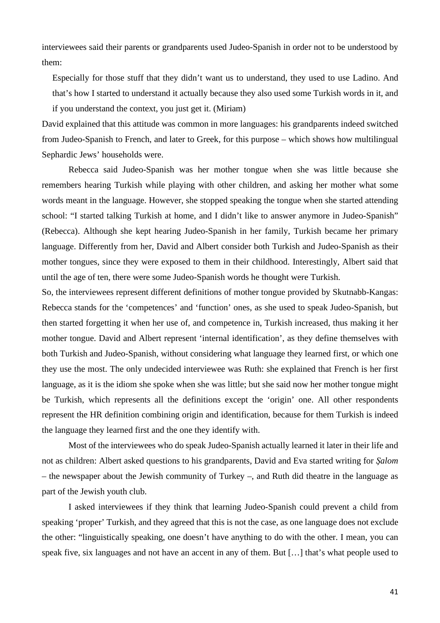interviewees said their parents or grandparents used Judeo-Spanish in order not to be understood by them:

Especially for those stuff that they didn't want us to understand, they used to use Ladino. And that's how I started to understand it actually because they also used some Turkish words in it, and if you understand the context, you just get it. (Miriam)

David explained that this attitude was common in more languages: his grandparents indeed switched from Judeo-Spanish to French, and later to Greek, for this purpose – which shows how multilingual Sephardic Jews' households were.

Rebecca said Judeo-Spanish was her mother tongue when she was little because she remembers hearing Turkish while playing with other children, and asking her mother what some words meant in the language. However, she stopped speaking the tongue when she started attending school: "I started talking Turkish at home, and I didn't like to answer anymore in Judeo-Spanish" (Rebecca). Although she kept hearing Judeo-Spanish in her family, Turkish became her primary language. Differently from her, David and Albert consider both Turkish and Judeo-Spanish as their mother tongues, since they were exposed to them in their childhood. Interestingly, Albert said that until the age of ten, there were some Judeo-Spanish words he thought were Turkish.

So, the interviewees represent different definitions of mother tongue provided by Skutnabb-Kangas: Rebecca stands for the 'competences' and 'function' ones, as she used to speak Judeo-Spanish, but then started forgetting it when her use of, and competence in, Turkish increased, thus making it her mother tongue. David and Albert represent 'internal identification', as they define themselves with both Turkish and Judeo-Spanish, without considering what language they learned first, or which one they use the most. The only undecided interviewee was Ruth: she explained that French is her first language, as it is the idiom she spoke when she was little; but she said now her mother tongue might be Turkish, which represents all the definitions except the 'origin' one. All other respondents represent the HR definition combining origin and identification, because for them Turkish is indeed the language they learned first and the one they identify with.

Most of the interviewees who do speak Judeo-Spanish actually learned it later in their life and not as children: Albert asked questions to his grandparents, David and Eva started writing for *Şalom* – the newspaper about the Jewish community of Turkey –, and Ruth did theatre in the language as part of the Jewish youth club.

I asked interviewees if they think that learning Judeo-Spanish could prevent a child from speaking 'proper' Turkish, and they agreed that this is not the case, as one language does not exclude the other: "linguistically speaking, one doesn't have anything to do with the other. I mean, you can speak five, six languages and not have an accent in any of them. But […] that's what people used to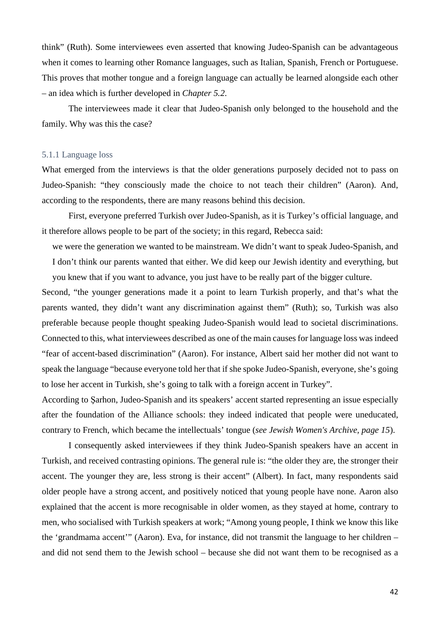think" (Ruth). Some interviewees even asserted that knowing Judeo-Spanish can be advantageous when it comes to learning other Romance languages, such as Italian, Spanish, French or Portuguese. This proves that mother tongue and a foreign language can actually be learned alongside each other – an idea which is further developed in *Chapter 5.2*.

 The interviewees made it clear that Judeo-Spanish only belonged to the household and the family. Why was this the case?

#### 5.1.1 Language loss

What emerged from the interviews is that the older generations purposely decided not to pass on Judeo-Spanish: "they consciously made the choice to not teach their children" (Aaron). And, according to the respondents, there are many reasons behind this decision.

First, everyone preferred Turkish over Judeo-Spanish, as it is Turkey's official language, and it therefore allows people to be part of the society; in this regard, Rebecca said:

we were the generation we wanted to be mainstream. We didn't want to speak Judeo-Spanish, and I don't think our parents wanted that either. We did keep our Jewish identity and everything, but you knew that if you want to advance, you just have to be really part of the bigger culture.

Second, "the younger generations made it a point to learn Turkish properly, and that's what the parents wanted, they didn't want any discrimination against them" (Ruth); so, Turkish was also preferable because people thought speaking Judeo-Spanish would lead to societal discriminations. Connected to this, what interviewees described as one of the main causes for language loss was indeed "fear of accent-based discrimination" (Aaron). For instance, Albert said her mother did not want to speak the language "because everyone told her that if she spoke Judeo-Spanish, everyone, she's going to lose her accent in Turkish, she's going to talk with a foreign accent in Turkey".

According to Şarhon, Judeo-Spanish and its speakers' accent started representing an issue especially after the foundation of the Alliance schools: they indeed indicated that people were uneducated, contrary to French, which became the intellectuals' tongue (*see Jewish Women's Archive, page 15*).

I consequently asked interviewees if they think Judeo-Spanish speakers have an accent in Turkish, and received contrasting opinions. The general rule is: "the older they are, the stronger their accent. The younger they are, less strong is their accent" (Albert). In fact, many respondents said older people have a strong accent, and positively noticed that young people have none. Aaron also explained that the accent is more recognisable in older women, as they stayed at home, contrary to men, who socialised with Turkish speakers at work; "Among young people, I think we know this like the 'grandmama accent'" (Aaron). Eva, for instance, did not transmit the language to her children – and did not send them to the Jewish school – because she did not want them to be recognised as a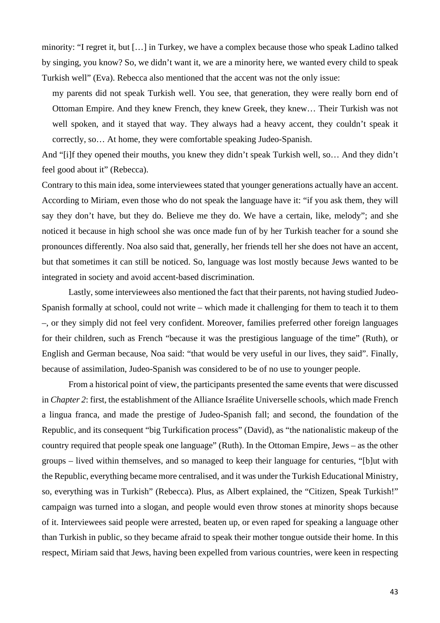minority: "I regret it, but […] in Turkey, we have a complex because those who speak Ladino talked by singing, you know? So, we didn't want it, we are a minority here, we wanted every child to speak Turkish well" (Eva). Rebecca also mentioned that the accent was not the only issue:

my parents did not speak Turkish well. You see, that generation, they were really born end of Ottoman Empire. And they knew French, they knew Greek, they knew… Their Turkish was not well spoken, and it stayed that way. They always had a heavy accent, they couldn't speak it correctly, so… At home, they were comfortable speaking Judeo-Spanish.

And "[i]f they opened their mouths, you knew they didn't speak Turkish well, so… And they didn't feel good about it" (Rebecca).

Contrary to this main idea, some interviewees stated that younger generations actually have an accent. According to Miriam, even those who do not speak the language have it: "if you ask them, they will say they don't have, but they do. Believe me they do. We have a certain, like, melody"; and she noticed it because in high school she was once made fun of by her Turkish teacher for a sound she pronounces differently. Noa also said that, generally, her friends tell her she does not have an accent, but that sometimes it can still be noticed. So, language was lost mostly because Jews wanted to be integrated in society and avoid accent-based discrimination.

Lastly, some interviewees also mentioned the fact that their parents, not having studied Judeo-Spanish formally at school, could not write – which made it challenging for them to teach it to them –, or they simply did not feel very confident. Moreover, families preferred other foreign languages for their children, such as French "because it was the prestigious language of the time" (Ruth), or English and German because, Noa said: "that would be very useful in our lives, they said". Finally, because of assimilation, Judeo-Spanish was considered to be of no use to younger people.

From a historical point of view, the participants presented the same events that were discussed in *Chapter 2*: first, the establishment of the Alliance Israélite Universelle schools, which made French a lingua franca, and made the prestige of Judeo-Spanish fall; and second, the foundation of the Republic, and its consequent "big Turkification process" (David), as "the nationalistic makeup of the country required that people speak one language" (Ruth). In the Ottoman Empire, Jews – as the other groups – lived within themselves, and so managed to keep their language for centuries, "[b]ut with the Republic, everything became more centralised, and it was under the Turkish Educational Ministry, so, everything was in Turkish" (Rebecca). Plus, as Albert explained, the "Citizen, Speak Turkish!" campaign was turned into a slogan, and people would even throw stones at minority shops because of it. Interviewees said people were arrested, beaten up, or even raped for speaking a language other than Turkish in public, so they became afraid to speak their mother tongue outside their home. In this respect, Miriam said that Jews, having been expelled from various countries, were keen in respecting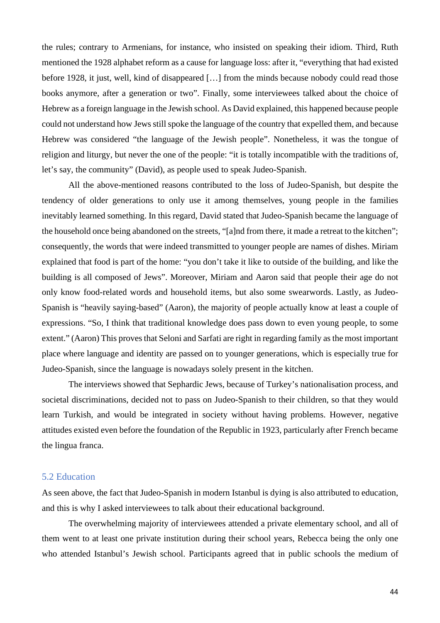the rules; contrary to Armenians, for instance, who insisted on speaking their idiom. Third, Ruth mentioned the 1928 alphabet reform as a cause for language loss: after it, "everything that had existed before 1928, it just, well, kind of disappeared […] from the minds because nobody could read those books anymore, after a generation or two". Finally, some interviewees talked about the choice of Hebrew as a foreign language in the Jewish school. As David explained, this happened because people could not understand how Jews still spoke the language of the country that expelled them, and because Hebrew was considered "the language of the Jewish people". Nonetheless, it was the tongue of religion and liturgy, but never the one of the people: "it is totally incompatible with the traditions of, let's say, the community" (David), as people used to speak Judeo-Spanish.

All the above-mentioned reasons contributed to the loss of Judeo-Spanish, but despite the tendency of older generations to only use it among themselves, young people in the families inevitably learned something. In this regard, David stated that Judeo-Spanish became the language of the household once being abandoned on the streets, "[a]nd from there, it made a retreat to the kitchen"; consequently, the words that were indeed transmitted to younger people are names of dishes. Miriam explained that food is part of the home: "you don't take it like to outside of the building, and like the building is all composed of Jews". Moreover, Miriam and Aaron said that people their age do not only know food-related words and household items, but also some swearwords. Lastly, as Judeo-Spanish is "heavily saying-based" (Aaron), the majority of people actually know at least a couple of expressions. "So, I think that traditional knowledge does pass down to even young people, to some extent." (Aaron) This proves that Seloni and Sarfati are right in regarding family as the most important place where language and identity are passed on to younger generations, which is especially true for Judeo-Spanish, since the language is nowadays solely present in the kitchen.

The interviews showed that Sephardic Jews, because of Turkey's nationalisation process, and societal discriminations, decided not to pass on Judeo-Spanish to their children, so that they would learn Turkish, and would be integrated in society without having problems. However, negative attitudes existed even before the foundation of the Republic in 1923, particularly after French became the lingua franca.

### 5.2 Education

As seen above, the fact that Judeo-Spanish in modern Istanbul is dying is also attributed to education, and this is why I asked interviewees to talk about their educational background.

The overwhelming majority of interviewees attended a private elementary school, and all of them went to at least one private institution during their school years, Rebecca being the only one who attended Istanbul's Jewish school. Participants agreed that in public schools the medium of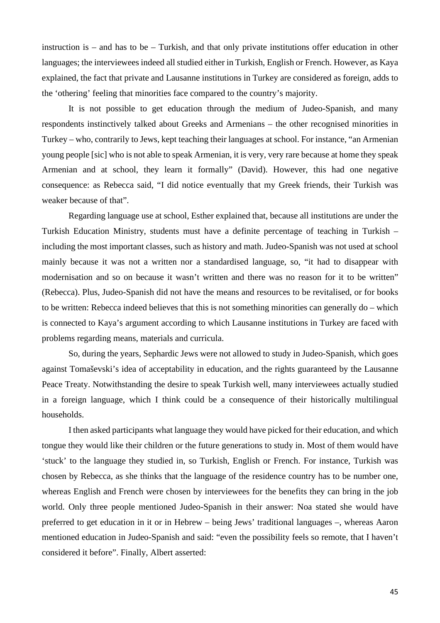instruction is – and has to be – Turkish, and that only private institutions offer education in other languages; the interviewees indeed all studied either in Turkish, English or French. However, as Kaya explained, the fact that private and Lausanne institutions in Turkey are considered as foreign, adds to the 'othering' feeling that minorities face compared to the country's majority.

It is not possible to get education through the medium of Judeo-Spanish, and many respondents instinctively talked about Greeks and Armenians – the other recognised minorities in Turkey – who, contrarily to Jews, kept teaching their languages at school. For instance, "an Armenian young people [sic] who is not able to speak Armenian, it is very, very rare because at home they speak Armenian and at school, they learn it formally" (David). However, this had one negative consequence: as Rebecca said, "I did notice eventually that my Greek friends, their Turkish was weaker because of that".

Regarding language use at school, Esther explained that, because all institutions are under the Turkish Education Ministry, students must have a definite percentage of teaching in Turkish – including the most important classes, such as history and math. Judeo-Spanish was not used at school mainly because it was not a written nor a standardised language, so, "it had to disappear with modernisation and so on because it wasn't written and there was no reason for it to be written" (Rebecca). Plus, Judeo-Spanish did not have the means and resources to be revitalised, or for books to be written: Rebecca indeed believes that this is not something minorities can generally do – which is connected to Kaya's argument according to which Lausanne institutions in Turkey are faced with problems regarding means, materials and curricula.

So, during the years, Sephardic Jews were not allowed to study in Judeo-Spanish, which goes against Tomaševski's idea of acceptability in education, and the rights guaranteed by the Lausanne Peace Treaty. Notwithstanding the desire to speak Turkish well, many interviewees actually studied in a foreign language, which I think could be a consequence of their historically multilingual households.

I then asked participants what language they would have picked for their education, and which tongue they would like their children or the future generations to study in. Most of them would have 'stuck' to the language they studied in, so Turkish, English or French. For instance, Turkish was chosen by Rebecca, as she thinks that the language of the residence country has to be number one, whereas English and French were chosen by interviewees for the benefits they can bring in the job world. Only three people mentioned Judeo-Spanish in their answer: Noa stated she would have preferred to get education in it or in Hebrew – being Jews' traditional languages –, whereas Aaron mentioned education in Judeo-Spanish and said: "even the possibility feels so remote, that I haven't considered it before". Finally, Albert asserted: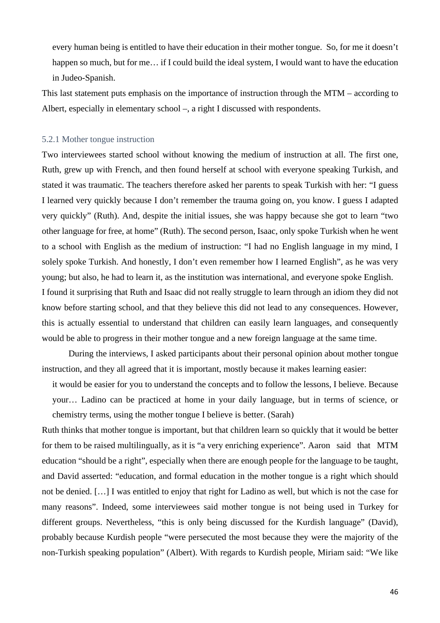every human being is entitled to have their education in their mother tongue. So, for me it doesn't happen so much, but for me... if I could build the ideal system, I would want to have the education in Judeo-Spanish.

This last statement puts emphasis on the importance of instruction through the MTM – according to Albert, especially in elementary school –, a right I discussed with respondents.

#### 5.2.1 Mother tongue instruction

Two interviewees started school without knowing the medium of instruction at all. The first one, Ruth, grew up with French, and then found herself at school with everyone speaking Turkish, and stated it was traumatic. The teachers therefore asked her parents to speak Turkish with her: "I guess I learned very quickly because I don't remember the trauma going on, you know. I guess I adapted very quickly" (Ruth). And, despite the initial issues, she was happy because she got to learn "two other language for free, at home" (Ruth). The second person, Isaac, only spoke Turkish when he went to a school with English as the medium of instruction: "I had no English language in my mind, I solely spoke Turkish. And honestly, I don't even remember how I learned English", as he was very young; but also, he had to learn it, as the institution was international, and everyone spoke English. I found it surprising that Ruth and Isaac did not really struggle to learn through an idiom they did not know before starting school, and that they believe this did not lead to any consequences. However, this is actually essential to understand that children can easily learn languages, and consequently would be able to progress in their mother tongue and a new foreign language at the same time.

 During the interviews, I asked participants about their personal opinion about mother tongue instruction, and they all agreed that it is important, mostly because it makes learning easier:

it would be easier for you to understand the concepts and to follow the lessons, I believe. Because your… Ladino can be practiced at home in your daily language, but in terms of science, or chemistry terms, using the mother tongue I believe is better. (Sarah)

Ruth thinks that mother tongue is important, but that children learn so quickly that it would be better for them to be raised multilingually, as it is "a very enriching experience". Aaron said that MTM education "should be a right", especially when there are enough people for the language to be taught, and David asserted: "education, and formal education in the mother tongue is a right which should not be denied. […] I was entitled to enjoy that right for Ladino as well, but which is not the case for many reasons". Indeed, some interviewees said mother tongue is not being used in Turkey for different groups. Nevertheless, "this is only being discussed for the Kurdish language" (David), probably because Kurdish people "were persecuted the most because they were the majority of the non-Turkish speaking population" (Albert). With regards to Kurdish people, Miriam said: "We like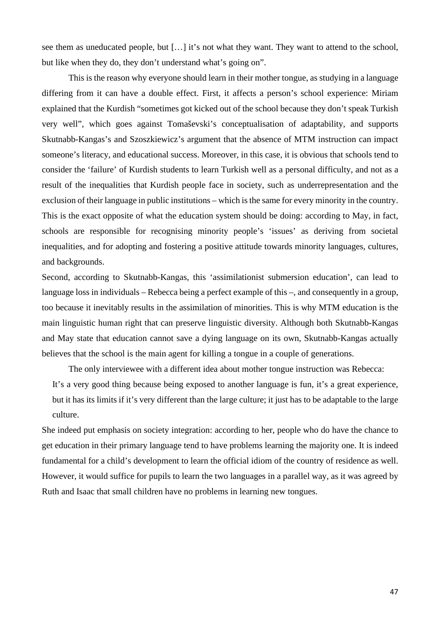see them as uneducated people, but […] it's not what they want. They want to attend to the school, but like when they do, they don't understand what's going on".

This is the reason why everyone should learn in their mother tongue, as studying in a language differing from it can have a double effect. First, it affects a person's school experience: Miriam explained that the Kurdish "sometimes got kicked out of the school because they don't speak Turkish very well", which goes against Tomaševski's conceptualisation of adaptability, and supports Skutnabb-Kangas's and Szoszkiewicz's argument that the absence of MTM instruction can impact someone's literacy, and educational success. Moreover, in this case, it is obvious that schools tend to consider the 'failure' of Kurdish students to learn Turkish well as a personal difficulty, and not as a result of the inequalities that Kurdish people face in society, such as underrepresentation and the exclusion of their language in public institutions – which is the same for every minority in the country. This is the exact opposite of what the education system should be doing: according to May, in fact, schools are responsible for recognising minority people's 'issues' as deriving from societal inequalities, and for adopting and fostering a positive attitude towards minority languages, cultures, and backgrounds.

Second, according to Skutnabb-Kangas, this 'assimilationist submersion education', can lead to language loss in individuals – Rebecca being a perfect example of this –, and consequently in a group, too because it inevitably results in the assimilation of minorities. This is why MTM education is the main linguistic human right that can preserve linguistic diversity. Although both Skutnabb-Kangas and May state that education cannot save a dying language on its own, Skutnabb-Kangas actually believes that the school is the main agent for killing a tongue in a couple of generations.

The only interviewee with a different idea about mother tongue instruction was Rebecca: It's a very good thing because being exposed to another language is fun, it's a great experience, but it has its limits if it's very different than the large culture; it just has to be adaptable to the large culture.

She indeed put emphasis on society integration: according to her, people who do have the chance to get education in their primary language tend to have problems learning the majority one. It is indeed fundamental for a child's development to learn the official idiom of the country of residence as well. However, it would suffice for pupils to learn the two languages in a parallel way, as it was agreed by Ruth and Isaac that small children have no problems in learning new tongues.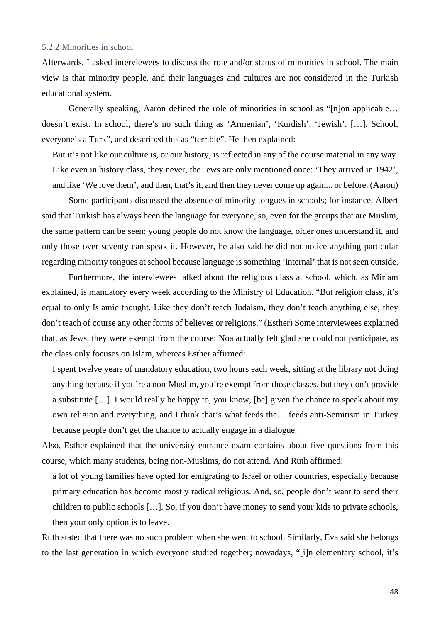#### 5.2.2 Minorities in school

Afterwards, I asked interviewees to discuss the role and/or status of minorities in school. The main view is that minority people, and their languages and cultures are not considered in the Turkish educational system.

Generally speaking, Aaron defined the role of minorities in school as "[n]on applicable… doesn't exist. In school, there's no such thing as 'Armenian', 'Kurdish', 'Jewish'. […]. School, everyone's a Turk", and described this as "terrible". He then explained:

But it's not like our culture is, or our history, is reflected in any of the course material in any way. Like even in history class, they never, the Jews are only mentioned once: 'They arrived in 1942', and like 'We love them', and then, that's it, and then they never come up again... or before. (Aaron)

Some participants discussed the absence of minority tongues in schools; for instance, Albert said that Turkish has always been the language for everyone, so, even for the groups that are Muslim, the same pattern can be seen: young people do not know the language, older ones understand it, and only those over seventy can speak it. However, he also said he did not notice anything particular regarding minority tongues at school because language is something 'internal' that is not seen outside.

Furthermore, the interviewees talked about the religious class at school, which, as Miriam explained, is mandatory every week according to the Ministry of Education. "But religion class, it's equal to only Islamic thought. Like they don't teach Judaism, they don't teach anything else, they don't teach of course any other forms of believes or religions." (Esther) Some interviewees explained that, as Jews, they were exempt from the course: Noa actually felt glad she could not participate, as the class only focuses on Islam, whereas Esther affirmed:

I spent twelve years of mandatory education, two hours each week, sitting at the library not doing anything because if you're a non-Muslim, you're exempt from those classes, but they don't provide a substitute […]. I would really be happy to, you know, [be] given the chance to speak about my own religion and everything, and I think that's what feeds the… feeds anti-Semitism in Turkey because people don't get the chance to actually engage in a dialogue.

Also, Esther explained that the university entrance exam contains about five questions from this course, which many students, being non-Muslims, do not attend. And Ruth affirmed:

a lot of young families have opted for emigrating to Israel or other countries, especially because primary education has become mostly radical religious. And, so, people don't want to send their children to public schools […]. So, if you don't have money to send your kids to private schools, then your only option is to leave.

Ruth stated that there was no such problem when she went to school. Similarly, Eva said she belongs to the last generation in which everyone studied together; nowadays, "[i]n elementary school, it's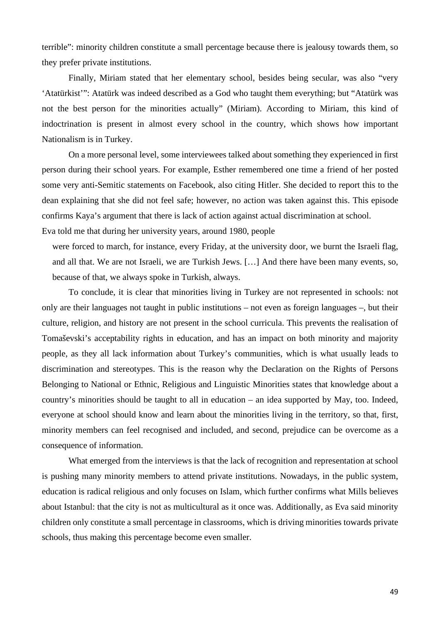terrible": minority children constitute a small percentage because there is jealousy towards them, so they prefer private institutions.

Finally, Miriam stated that her elementary school, besides being secular, was also "very 'Atatürkist'": Atatürk was indeed described as a God who taught them everything; but "Atatürk was not the best person for the minorities actually" (Miriam). According to Miriam, this kind of indoctrination is present in almost every school in the country, which shows how important Nationalism is in Turkey.

On a more personal level, some interviewees talked about something they experienced in first person during their school years. For example, Esther remembered one time a friend of her posted some very anti-Semitic statements on Facebook, also citing Hitler. She decided to report this to the dean explaining that she did not feel safe; however, no action was taken against this. This episode confirms Kaya's argument that there is lack of action against actual discrimination at school.

Eva told me that during her university years, around 1980, people

were forced to march, for instance, every Friday, at the university door, we burnt the Israeli flag, and all that. We are not Israeli, we are Turkish Jews. […] And there have been many events, so, because of that, we always spoke in Turkish, always.

To conclude, it is clear that minorities living in Turkey are not represented in schools: not only are their languages not taught in public institutions – not even as foreign languages –, but their culture, religion, and history are not present in the school curricula. This prevents the realisation of Tomaševski's acceptability rights in education, and has an impact on both minority and majority people, as they all lack information about Turkey's communities, which is what usually leads to discrimination and stereotypes. This is the reason why the Declaration on the Rights of Persons Belonging to National or Ethnic, Religious and Linguistic Minorities states that knowledge about a country's minorities should be taught to all in education – an idea supported by May, too. Indeed, everyone at school should know and learn about the minorities living in the territory, so that, first, minority members can feel recognised and included, and second, prejudice can be overcome as a consequence of information.

What emerged from the interviews is that the lack of recognition and representation at school is pushing many minority members to attend private institutions. Nowadays, in the public system, education is radical religious and only focuses on Islam, which further confirms what Mills believes about Istanbul: that the city is not as multicultural as it once was. Additionally, as Eva said minority children only constitute a small percentage in classrooms, which is driving minorities towards private schools, thus making this percentage become even smaller.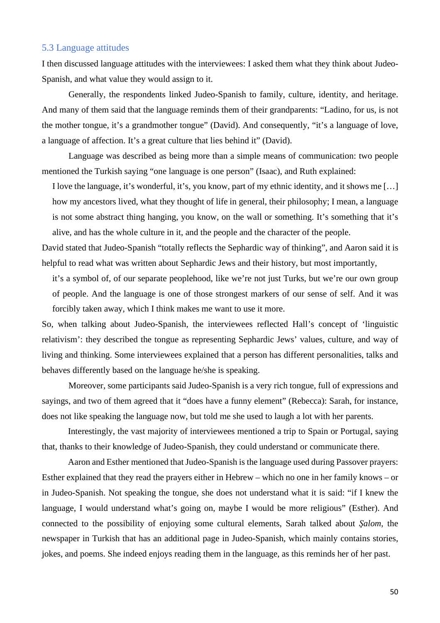# 5.3 Language attitudes

I then discussed language attitudes with the interviewees: I asked them what they think about Judeo-Spanish, and what value they would assign to it.

Generally, the respondents linked Judeo-Spanish to family, culture, identity, and heritage. And many of them said that the language reminds them of their grandparents: "Ladino, for us, is not the mother tongue, it's a grandmother tongue" (David). And consequently, "it's a language of love, a language of affection. It's a great culture that lies behind it" (David).

Language was described as being more than a simple means of communication: two people mentioned the Turkish saying "one language is one person" (Isaac), and Ruth explained:

I love the language, it's wonderful, it's, you know, part of my ethnic identity, and it shows me […] how my ancestors lived, what they thought of life in general, their philosophy; I mean, a language is not some abstract thing hanging, you know, on the wall or something. It's something that it's alive, and has the whole culture in it, and the people and the character of the people.

David stated that Judeo-Spanish "totally reflects the Sephardic way of thinking", and Aaron said it is helpful to read what was written about Sephardic Jews and their history, but most importantly,

it's a symbol of, of our separate peoplehood, like we're not just Turks, but we're our own group of people. And the language is one of those strongest markers of our sense of self. And it was forcibly taken away, which I think makes me want to use it more.

So, when talking about Judeo-Spanish, the interviewees reflected Hall's concept of 'linguistic relativism': they described the tongue as representing Sephardic Jews' values, culture, and way of living and thinking. Some interviewees explained that a person has different personalities, talks and behaves differently based on the language he/she is speaking.

Moreover, some participants said Judeo-Spanish is a very rich tongue, full of expressions and sayings, and two of them agreed that it "does have a funny element" (Rebecca): Sarah, for instance, does not like speaking the language now, but told me she used to laugh a lot with her parents.

Interestingly, the vast majority of interviewees mentioned a trip to Spain or Portugal, saying that, thanks to their knowledge of Judeo-Spanish, they could understand or communicate there.

Aaron and Esther mentioned that Judeo-Spanish is the language used during Passover prayers: Esther explained that they read the prayers either in Hebrew – which no one in her family knows – or in Judeo-Spanish. Not speaking the tongue, she does not understand what it is said: "if I knew the language, I would understand what's going on, maybe I would be more religious" (Esther). And connected to the possibility of enjoying some cultural elements, Sarah talked about *Şalom*, the newspaper in Turkish that has an additional page in Judeo-Spanish, which mainly contains stories, jokes, and poems. She indeed enjoys reading them in the language, as this reminds her of her past.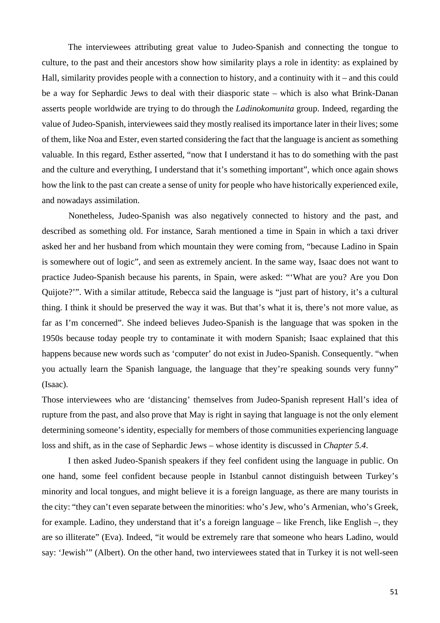The interviewees attributing great value to Judeo-Spanish and connecting the tongue to culture, to the past and their ancestors show how similarity plays a role in identity: as explained by Hall, similarity provides people with a connection to history, and a continuity with it – and this could be a way for Sephardic Jews to deal with their diasporic state – which is also what Brink-Danan asserts people worldwide are trying to do through the *Ladinokomunita* group. Indeed, regarding the value of Judeo-Spanish, interviewees said they mostly realised its importance later in their lives; some of them, like Noa and Ester, even started considering the fact that the language is ancient as something valuable. In this regard, Esther asserted, "now that I understand it has to do something with the past and the culture and everything, I understand that it's something important", which once again shows how the link to the past can create a sense of unity for people who have historically experienced exile, and nowadays assimilation.

 Nonetheless, Judeo-Spanish was also negatively connected to history and the past, and described as something old. For instance, Sarah mentioned a time in Spain in which a taxi driver asked her and her husband from which mountain they were coming from, "because Ladino in Spain is somewhere out of logic", and seen as extremely ancient. In the same way, Isaac does not want to practice Judeo-Spanish because his parents, in Spain, were asked: "'What are you? Are you Don Quijote?'". With a similar attitude, Rebecca said the language is "just part of history, it's a cultural thing. I think it should be preserved the way it was. But that's what it is, there's not more value, as far as I'm concerned". She indeed believes Judeo-Spanish is the language that was spoken in the 1950s because today people try to contaminate it with modern Spanish; Isaac explained that this happens because new words such as 'computer' do not exist in Judeo-Spanish. Consequently. "when you actually learn the Spanish language, the language that they're speaking sounds very funny" (Isaac).

Those interviewees who are 'distancing' themselves from Judeo-Spanish represent Hall's idea of rupture from the past, and also prove that May is right in saying that language is not the only element determining someone's identity, especially for members of those communities experiencing language loss and shift, as in the case of Sephardic Jews – whose identity is discussed in *Chapter 5.4*.

I then asked Judeo-Spanish speakers if they feel confident using the language in public. On one hand, some feel confident because people in Istanbul cannot distinguish between Turkey's minority and local tongues, and might believe it is a foreign language, as there are many tourists in the city: "they can't even separate between the minorities: who's Jew, who's Armenian, who's Greek, for example. Ladino, they understand that it's a foreign language – like French, like English –, they are so illiterate" (Eva). Indeed, "it would be extremely rare that someone who hears Ladino, would say: 'Jewish'" (Albert). On the other hand, two interviewees stated that in Turkey it is not well-seen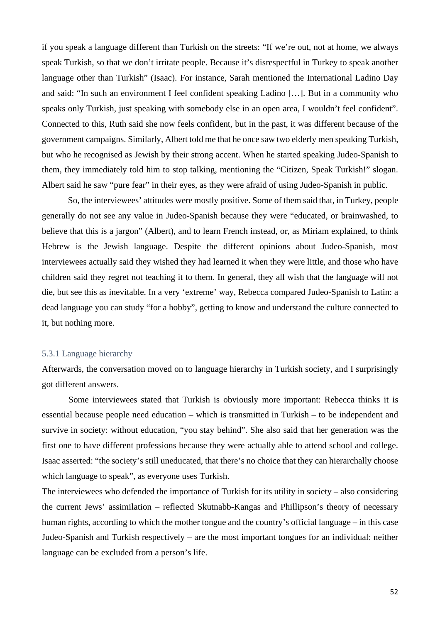if you speak a language different than Turkish on the streets: "If we're out, not at home, we always speak Turkish, so that we don't irritate people. Because it's disrespectful in Turkey to speak another language other than Turkish" (Isaac). For instance, Sarah mentioned the International Ladino Day and said: "In such an environment I feel confident speaking Ladino […]. But in a community who speaks only Turkish, just speaking with somebody else in an open area, I wouldn't feel confident". Connected to this, Ruth said she now feels confident, but in the past, it was different because of the government campaigns. Similarly, Albert told me that he once saw two elderly men speaking Turkish, but who he recognised as Jewish by their strong accent. When he started speaking Judeo-Spanish to them, they immediately told him to stop talking, mentioning the "Citizen, Speak Turkish!" slogan. Albert said he saw "pure fear" in their eyes, as they were afraid of using Judeo-Spanish in public.

So, the interviewees' attitudes were mostly positive. Some of them said that, in Turkey, people generally do not see any value in Judeo-Spanish because they were "educated, or brainwashed, to believe that this is a jargon" (Albert), and to learn French instead, or, as Miriam explained, to think Hebrew is the Jewish language. Despite the different opinions about Judeo-Spanish, most interviewees actually said they wished they had learned it when they were little, and those who have children said they regret not teaching it to them. In general, they all wish that the language will not die, but see this as inevitable. In a very 'extreme' way, Rebecca compared Judeo-Spanish to Latin: a dead language you can study "for a hobby", getting to know and understand the culture connected to it, but nothing more.

# 5.3.1 Language hierarchy

Afterwards, the conversation moved on to language hierarchy in Turkish society, and I surprisingly got different answers.

Some interviewees stated that Turkish is obviously more important: Rebecca thinks it is essential because people need education – which is transmitted in Turkish – to be independent and survive in society: without education, "you stay behind". She also said that her generation was the first one to have different professions because they were actually able to attend school and college. Isaac asserted: "the society's still uneducated, that there's no choice that they can hierarchally choose which language to speak", as everyone uses Turkish.

The interviewees who defended the importance of Turkish for its utility in society – also considering the current Jews' assimilation – reflected Skutnabb-Kangas and Phillipson's theory of necessary human rights, according to which the mother tongue and the country's official language – in this case Judeo-Spanish and Turkish respectively – are the most important tongues for an individual: neither language can be excluded from a person's life.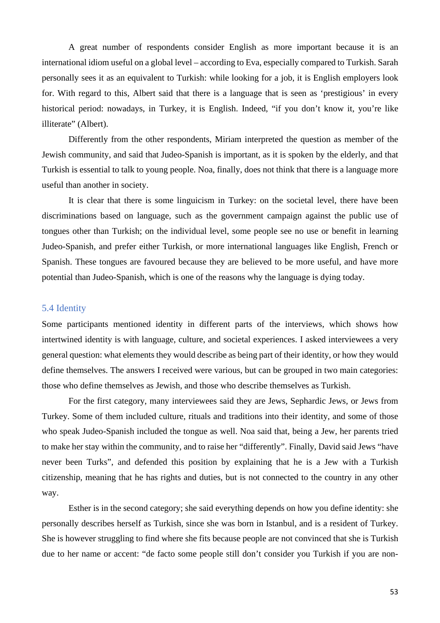A great number of respondents consider English as more important because it is an international idiom useful on a global level – according to Eva, especially compared to Turkish. Sarah personally sees it as an equivalent to Turkish: while looking for a job, it is English employers look for. With regard to this, Albert said that there is a language that is seen as 'prestigious' in every historical period: nowadays, in Turkey, it is English. Indeed, "if you don't know it, you're like illiterate" (Albert).

Differently from the other respondents, Miriam interpreted the question as member of the Jewish community, and said that Judeo-Spanish is important, as it is spoken by the elderly, and that Turkish is essential to talk to young people. Noa, finally, does not think that there is a language more useful than another in society.

It is clear that there is some linguicism in Turkey: on the societal level, there have been discriminations based on language, such as the government campaign against the public use of tongues other than Turkish; on the individual level, some people see no use or benefit in learning Judeo-Spanish, and prefer either Turkish, or more international languages like English, French or Spanish. These tongues are favoured because they are believed to be more useful, and have more potential than Judeo-Spanish, which is one of the reasons why the language is dying today.

#### 5.4 Identity

Some participants mentioned identity in different parts of the interviews, which shows how intertwined identity is with language, culture, and societal experiences. I asked interviewees a very general question: what elements they would describe as being part of their identity, or how they would define themselves. The answers I received were various, but can be grouped in two main categories: those who define themselves as Jewish, and those who describe themselves as Turkish.

For the first category, many interviewees said they are Jews, Sephardic Jews, or Jews from Turkey. Some of them included culture, rituals and traditions into their identity, and some of those who speak Judeo-Spanish included the tongue as well. Noa said that, being a Jew, her parents tried to make her stay within the community, and to raise her "differently". Finally, David said Jews "have never been Turks", and defended this position by explaining that he is a Jew with a Turkish citizenship, meaning that he has rights and duties, but is not connected to the country in any other way.

Esther is in the second category; she said everything depends on how you define identity: she personally describes herself as Turkish, since she was born in Istanbul, and is a resident of Turkey. She is however struggling to find where she fits because people are not convinced that she is Turkish due to her name or accent: "de facto some people still don't consider you Turkish if you are non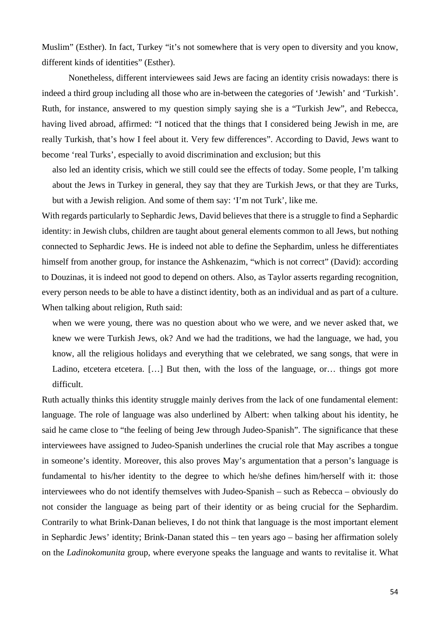Muslim" (Esther). In fact, Turkey "it's not somewhere that is very open to diversity and you know, different kinds of identities" (Esther).

Nonetheless, different interviewees said Jews are facing an identity crisis nowadays: there is indeed a third group including all those who are in-between the categories of 'Jewish' and 'Turkish'. Ruth, for instance, answered to my question simply saying she is a "Turkish Jew", and Rebecca, having lived abroad, affirmed: "I noticed that the things that I considered being Jewish in me, are really Turkish, that's how I feel about it. Very few differences". According to David, Jews want to become 'real Turks', especially to avoid discrimination and exclusion; but this

also led an identity crisis, which we still could see the effects of today. Some people, I'm talking about the Jews in Turkey in general, they say that they are Turkish Jews, or that they are Turks, but with a Jewish religion. And some of them say: 'I'm not Turk', like me.

With regards particularly to Sephardic Jews, David believes that there is a struggle to find a Sephardic identity: in Jewish clubs, children are taught about general elements common to all Jews, but nothing connected to Sephardic Jews. He is indeed not able to define the Sephardim, unless he differentiates himself from another group, for instance the Ashkenazim, "which is not correct" (David): according to Douzinas, it is indeed not good to depend on others. Also, as Taylor asserts regarding recognition, every person needs to be able to have a distinct identity, both as an individual and as part of a culture. When talking about religion, Ruth said:

when we were young, there was no question about who we were, and we never asked that, we knew we were Turkish Jews, ok? And we had the traditions, we had the language, we had, you know, all the religious holidays and everything that we celebrated, we sang songs, that were in Ladino, etcetera etcetera. [...] But then, with the loss of the language, or… things got more difficult.

Ruth actually thinks this identity struggle mainly derives from the lack of one fundamental element: language. The role of language was also underlined by Albert: when talking about his identity, he said he came close to "the feeling of being Jew through Judeo-Spanish". The significance that these interviewees have assigned to Judeo-Spanish underlines the crucial role that May ascribes a tongue in someone's identity. Moreover, this also proves May's argumentation that a person's language is fundamental to his/her identity to the degree to which he/she defines him/herself with it: those interviewees who do not identify themselves with Judeo-Spanish – such as Rebecca – obviously do not consider the language as being part of their identity or as being crucial for the Sephardim. Contrarily to what Brink-Danan believes, I do not think that language is the most important element in Sephardic Jews' identity; Brink-Danan stated this – ten years ago – basing her affirmation solely on the *Ladinokomunita* group, where everyone speaks the language and wants to revitalise it. What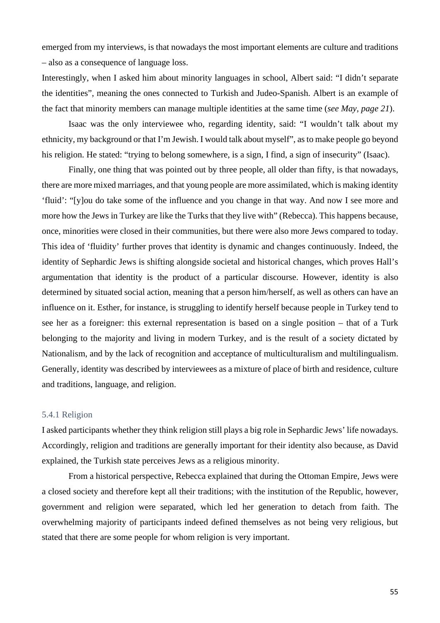emerged from my interviews, is that nowadays the most important elements are culture and traditions – also as a consequence of language loss.

Interestingly, when I asked him about minority languages in school, Albert said: "I didn't separate the identities", meaning the ones connected to Turkish and Judeo-Spanish. Albert is an example of the fact that minority members can manage multiple identities at the same time (*see May, page 21*).

Isaac was the only interviewee who, regarding identity, said: "I wouldn't talk about my ethnicity, my background or that I'm Jewish. I would talk about myself", as to make people go beyond his religion. He stated: "trying to belong somewhere, is a sign, I find, a sign of insecurity" (Isaac).

Finally, one thing that was pointed out by three people, all older than fifty, is that nowadays, there are more mixed marriages, and that young people are more assimilated, which is making identity 'fluid': "[y]ou do take some of the influence and you change in that way. And now I see more and more how the Jews in Turkey are like the Turks that they live with" (Rebecca). This happens because, once, minorities were closed in their communities, but there were also more Jews compared to today. This idea of 'fluidity' further proves that identity is dynamic and changes continuously. Indeed, the identity of Sephardic Jews is shifting alongside societal and historical changes, which proves Hall's argumentation that identity is the product of a particular discourse. However, identity is also determined by situated social action, meaning that a person him/herself, as well as others can have an influence on it. Esther, for instance, is struggling to identify herself because people in Turkey tend to see her as a foreigner: this external representation is based on a single position – that of a Turk belonging to the majority and living in modern Turkey, and is the result of a society dictated by Nationalism, and by the lack of recognition and acceptance of multiculturalism and multilingualism. Generally, identity was described by interviewees as a mixture of place of birth and residence, culture and traditions, language, and religion.

### 5.4.1 Religion

I asked participants whether they think religion still plays a big role in Sephardic Jews' life nowadays. Accordingly, religion and traditions are generally important for their identity also because, as David explained, the Turkish state perceives Jews as a religious minority.

From a historical perspective, Rebecca explained that during the Ottoman Empire, Jews were a closed society and therefore kept all their traditions; with the institution of the Republic, however, government and religion were separated, which led her generation to detach from faith. The overwhelming majority of participants indeed defined themselves as not being very religious, but stated that there are some people for whom religion is very important.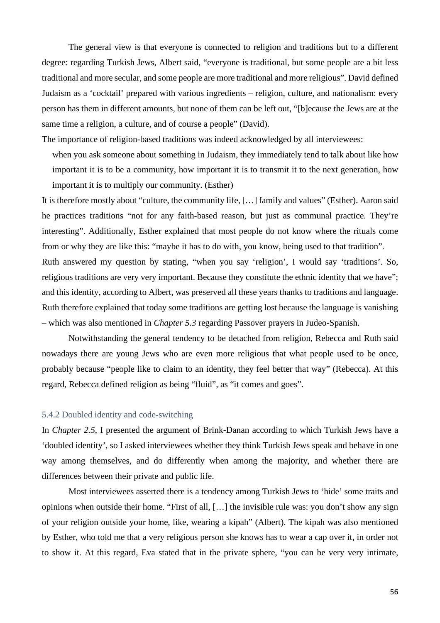The general view is that everyone is connected to religion and traditions but to a different degree: regarding Turkish Jews, Albert said, "everyone is traditional, but some people are a bit less traditional and more secular, and some people are more traditional and more religious". David defined Judaism as a 'cocktail' prepared with various ingredients – religion, culture, and nationalism: every person has them in different amounts, but none of them can be left out, "[b]ecause the Jews are at the same time a religion, a culture, and of course a people" (David).

The importance of religion-based traditions was indeed acknowledged by all interviewees:

when you ask someone about something in Judaism, they immediately tend to talk about like how important it is to be a community, how important it is to transmit it to the next generation, how important it is to multiply our community. (Esther)

It is therefore mostly about "culture, the community life, […] family and values" (Esther). Aaron said he practices traditions "not for any faith-based reason, but just as communal practice. They're interesting". Additionally, Esther explained that most people do not know where the rituals come from or why they are like this: "maybe it has to do with, you know, being used to that tradition". Ruth answered my question by stating, "when you say 'religion', I would say 'traditions'. So, religious traditions are very very important. Because they constitute the ethnic identity that we have"; and this identity, according to Albert, was preserved all these years thanks to traditions and language. Ruth therefore explained that today some traditions are getting lost because the language is vanishing – which was also mentioned in *Chapter 5.3* regarding Passover prayers in Judeo-Spanish.

Notwithstanding the general tendency to be detached from religion, Rebecca and Ruth said nowadays there are young Jews who are even more religious that what people used to be once, probably because "people like to claim to an identity, they feel better that way" (Rebecca). At this regard, Rebecca defined religion as being "fluid", as "it comes and goes".

#### 5.4.2 Doubled identity and code-switching

In *Chapter 2.5*, I presented the argument of Brink-Danan according to which Turkish Jews have a 'doubled identity', so I asked interviewees whether they think Turkish Jews speak and behave in one way among themselves, and do differently when among the majority, and whether there are differences between their private and public life.

Most interviewees asserted there is a tendency among Turkish Jews to 'hide' some traits and opinions when outside their home. "First of all, […] the invisible rule was: you don't show any sign of your religion outside your home, like, wearing a kipah" (Albert). The kipah was also mentioned by Esther, who told me that a very religious person she knows has to wear a cap over it, in order not to show it. At this regard, Eva stated that in the private sphere, "you can be very very intimate,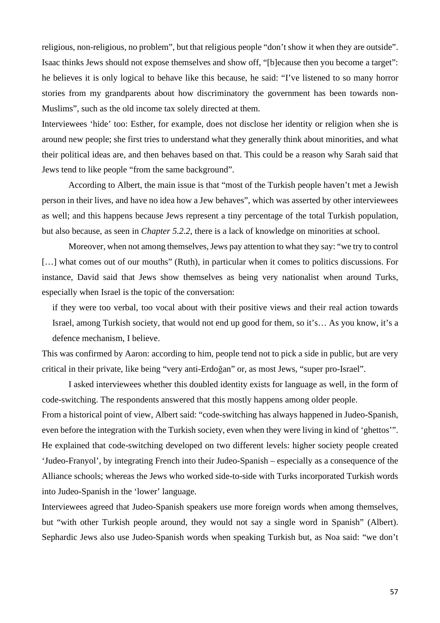religious, non-religious, no problem", but that religious people "don't show it when they are outside". Isaac thinks Jews should not expose themselves and show off, "[b]ecause then you become a target": he believes it is only logical to behave like this because, he said: "I've listened to so many horror stories from my grandparents about how discriminatory the government has been towards non-Muslims", such as the old income tax solely directed at them.

Interviewees 'hide' too: Esther, for example, does not disclose her identity or religion when she is around new people; she first tries to understand what they generally think about minorities, and what their political ideas are, and then behaves based on that. This could be a reason why Sarah said that Jews tend to like people "from the same background".

According to Albert, the main issue is that "most of the Turkish people haven't met a Jewish person in their lives, and have no idea how a Jew behaves", which was asserted by other interviewees as well; and this happens because Jews represent a tiny percentage of the total Turkish population, but also because, as seen in *Chapter 5.2.2*, there is a lack of knowledge on minorities at school.

Moreover, when not among themselves, Jews pay attention to what they say: "we try to control [...] what comes out of our mouths" (Ruth), in particular when it comes to politics discussions. For instance, David said that Jews show themselves as being very nationalist when around Turks, especially when Israel is the topic of the conversation:

if they were too verbal, too vocal about with their positive views and their real action towards Israel, among Turkish society, that would not end up good for them, so it's… As you know, it's a defence mechanism, I believe.

This was confirmed by Aaron: according to him, people tend not to pick a side in public, but are very critical in their private, like being "very anti-Erdoğan" or, as most Jews, "super pro-Israel".

I asked interviewees whether this doubled identity exists for language as well, in the form of code-switching. The respondents answered that this mostly happens among older people.

From a historical point of view, Albert said: "code-switching has always happened in Judeo-Spanish, even before the integration with the Turkish society, even when they were living in kind of 'ghettos'". He explained that code-switching developed on two different levels: higher society people created 'Judeo-Franyol', by integrating French into their Judeo-Spanish – especially as a consequence of the Alliance schools; whereas the Jews who worked side-to-side with Turks incorporated Turkish words into Judeo-Spanish in the 'lower' language.

Interviewees agreed that Judeo-Spanish speakers use more foreign words when among themselves, but "with other Turkish people around, they would not say a single word in Spanish" (Albert). Sephardic Jews also use Judeo-Spanish words when speaking Turkish but, as Noa said: "we don't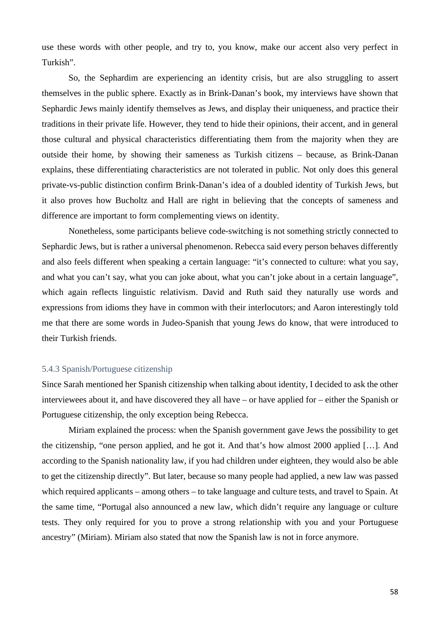use these words with other people, and try to, you know, make our accent also very perfect in Turkish".

So, the Sephardim are experiencing an identity crisis, but are also struggling to assert themselves in the public sphere. Exactly as in Brink-Danan's book, my interviews have shown that Sephardic Jews mainly identify themselves as Jews, and display their uniqueness, and practice their traditions in their private life. However, they tend to hide their opinions, their accent, and in general those cultural and physical characteristics differentiating them from the majority when they are outside their home, by showing their sameness as Turkish citizens – because, as Brink-Danan explains, these differentiating characteristics are not tolerated in public. Not only does this general private-vs-public distinction confirm Brink-Danan's idea of a doubled identity of Turkish Jews, but it also proves how Bucholtz and Hall are right in believing that the concepts of sameness and difference are important to form complementing views on identity.

Nonetheless, some participants believe code-switching is not something strictly connected to Sephardic Jews, but is rather a universal phenomenon. Rebecca said every person behaves differently and also feels different when speaking a certain language: "it's connected to culture: what you say, and what you can't say, what you can joke about, what you can't joke about in a certain language", which again reflects linguistic relativism. David and Ruth said they naturally use words and expressions from idioms they have in common with their interlocutors; and Aaron interestingly told me that there are some words in Judeo-Spanish that young Jews do know, that were introduced to their Turkish friends.

# 5.4.3 Spanish/Portuguese citizenship

Since Sarah mentioned her Spanish citizenship when talking about identity, I decided to ask the other interviewees about it, and have discovered they all have – or have applied for – either the Spanish or Portuguese citizenship, the only exception being Rebecca.

Miriam explained the process: when the Spanish government gave Jews the possibility to get the citizenship, "one person applied, and he got it. And that's how almost 2000 applied […]. And according to the Spanish nationality law, if you had children under eighteen, they would also be able to get the citizenship directly". But later, because so many people had applied, a new law was passed which required applicants – among others – to take language and culture tests, and travel to Spain. At the same time, "Portugal also announced a new law, which didn't require any language or culture tests. They only required for you to prove a strong relationship with you and your Portuguese ancestry" (Miriam). Miriam also stated that now the Spanish law is not in force anymore.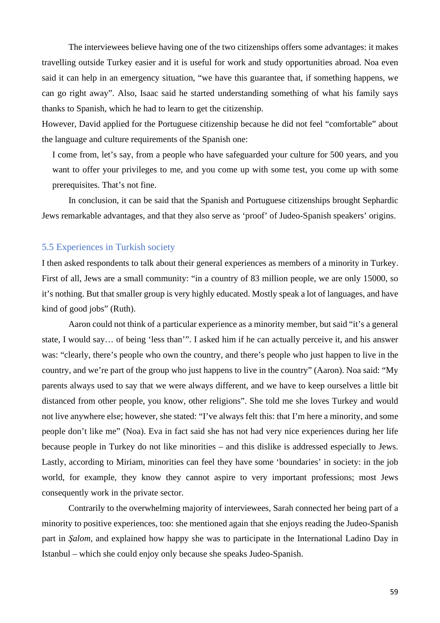The interviewees believe having one of the two citizenships offers some advantages: it makes travelling outside Turkey easier and it is useful for work and study opportunities abroad. Noa even said it can help in an emergency situation, "we have this guarantee that, if something happens, we can go right away". Also, Isaac said he started understanding something of what his family says thanks to Spanish, which he had to learn to get the citizenship.

However, David applied for the Portuguese citizenship because he did not feel "comfortable" about the language and culture requirements of the Spanish one:

I come from, let's say, from a people who have safeguarded your culture for 500 years, and you want to offer your privileges to me, and you come up with some test, you come up with some prerequisites. That's not fine.

In conclusion, it can be said that the Spanish and Portuguese citizenships brought Sephardic Jews remarkable advantages, and that they also serve as 'proof' of Judeo-Spanish speakers' origins.

# 5.5 Experiences in Turkish society

I then asked respondents to talk about their general experiences as members of a minority in Turkey. First of all, Jews are a small community: "in a country of 83 million people, we are only 15000, so it's nothing. But that smaller group is very highly educated. Mostly speak a lot of languages, and have kind of good jobs" (Ruth).

Aaron could not think of a particular experience as a minority member, but said "it's a general state, I would say… of being 'less than'". I asked him if he can actually perceive it, and his answer was: "clearly, there's people who own the country, and there's people who just happen to live in the country, and we're part of the group who just happens to live in the country" (Aaron). Noa said: "My parents always used to say that we were always different, and we have to keep ourselves a little bit distanced from other people, you know, other religions". She told me she loves Turkey and would not live anywhere else; however, she stated: "I've always felt this: that I'm here a minority, and some people don't like me" (Noa). Eva in fact said she has not had very nice experiences during her life because people in Turkey do not like minorities – and this dislike is addressed especially to Jews. Lastly, according to Miriam, minorities can feel they have some 'boundaries' in society: in the job world, for example, they know they cannot aspire to very important professions; most Jews consequently work in the private sector.

Contrarily to the overwhelming majority of interviewees, Sarah connected her being part of a minority to positive experiences, too: she mentioned again that she enjoys reading the Judeo-Spanish part in *Şalom*, and explained how happy she was to participate in the International Ladino Day in Istanbul – which she could enjoy only because she speaks Judeo-Spanish.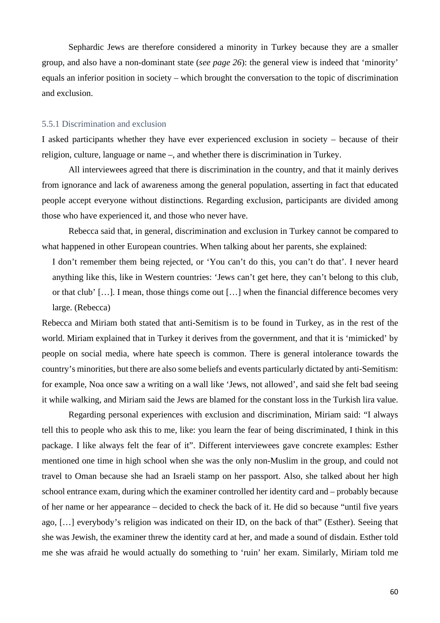Sephardic Jews are therefore considered a minority in Turkey because they are a smaller group, and also have a non-dominant state (*see page 26*): the general view is indeed that 'minority' equals an inferior position in society – which brought the conversation to the topic of discrimination and exclusion.

#### 5.5.1 Discrimination and exclusion

I asked participants whether they have ever experienced exclusion in society – because of their religion, culture, language or name –, and whether there is discrimination in Turkey.

All interviewees agreed that there is discrimination in the country, and that it mainly derives from ignorance and lack of awareness among the general population, asserting in fact that educated people accept everyone without distinctions. Regarding exclusion, participants are divided among those who have experienced it, and those who never have.

Rebecca said that, in general, discrimination and exclusion in Turkey cannot be compared to what happened in other European countries. When talking about her parents, she explained:

I don't remember them being rejected, or 'You can't do this, you can't do that'. I never heard anything like this, like in Western countries: 'Jews can't get here, they can't belong to this club, or that club' […]. I mean, those things come out […] when the financial difference becomes very large. (Rebecca)

Rebecca and Miriam both stated that anti-Semitism is to be found in Turkey, as in the rest of the world. Miriam explained that in Turkey it derives from the government, and that it is 'mimicked' by people on social media, where hate speech is common. There is general intolerance towards the country's minorities, but there are also some beliefs and events particularly dictated by anti-Semitism: for example, Noa once saw a writing on a wall like 'Jews, not allowed', and said she felt bad seeing it while walking, and Miriam said the Jews are blamed for the constant loss in the Turkish lira value.

Regarding personal experiences with exclusion and discrimination, Miriam said: "I always tell this to people who ask this to me, like: you learn the fear of being discriminated, I think in this package. I like always felt the fear of it". Different interviewees gave concrete examples: Esther mentioned one time in high school when she was the only non-Muslim in the group, and could not travel to Oman because she had an Israeli stamp on her passport. Also, she talked about her high school entrance exam, during which the examiner controlled her identity card and – probably because of her name or her appearance – decided to check the back of it. He did so because "until five years ago, […] everybody's religion was indicated on their ID, on the back of that" (Esther). Seeing that she was Jewish, the examiner threw the identity card at her, and made a sound of disdain. Esther told me she was afraid he would actually do something to 'ruin' her exam. Similarly, Miriam told me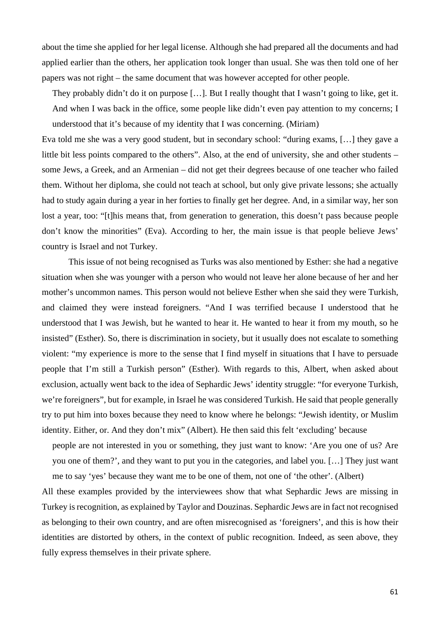about the time she applied for her legal license. Although she had prepared all the documents and had applied earlier than the others, her application took longer than usual. She was then told one of her papers was not right – the same document that was however accepted for other people.

They probably didn't do it on purpose […]. But I really thought that I wasn't going to like, get it. And when I was back in the office, some people like didn't even pay attention to my concerns; I understood that it's because of my identity that I was concerning. (Miriam)

Eva told me she was a very good student, but in secondary school: "during exams, […] they gave a little bit less points compared to the others". Also, at the end of university, she and other students – some Jews, a Greek, and an Armenian – did not get their degrees because of one teacher who failed them. Without her diploma, she could not teach at school, but only give private lessons; she actually had to study again during a year in her forties to finally get her degree. And, in a similar way, her son lost a year, too: "[t]his means that, from generation to generation, this doesn't pass because people don't know the minorities" (Eva). According to her, the main issue is that people believe Jews' country is Israel and not Turkey.

This issue of not being recognised as Turks was also mentioned by Esther: she had a negative situation when she was younger with a person who would not leave her alone because of her and her mother's uncommon names. This person would not believe Esther when she said they were Turkish, and claimed they were instead foreigners. "And I was terrified because I understood that he understood that I was Jewish, but he wanted to hear it. He wanted to hear it from my mouth, so he insisted" (Esther). So, there is discrimination in society, but it usually does not escalate to something violent: "my experience is more to the sense that I find myself in situations that I have to persuade people that I'm still a Turkish person" (Esther). With regards to this, Albert, when asked about exclusion, actually went back to the idea of Sephardic Jews' identity struggle: "for everyone Turkish, we're foreigners", but for example, in Israel he was considered Turkish. He said that people generally try to put him into boxes because they need to know where he belongs: "Jewish identity, or Muslim identity. Either, or. And they don't mix" (Albert). He then said this felt 'excluding' because

people are not interested in you or something, they just want to know: 'Are you one of us? Are you one of them?', and they want to put you in the categories, and label you. […] They just want me to say 'yes' because they want me to be one of them, not one of 'the other'. (Albert)

All these examples provided by the interviewees show that what Sephardic Jews are missing in Turkey is recognition, as explained by Taylor and Douzinas. Sephardic Jews are in fact not recognised as belonging to their own country, and are often misrecognised as 'foreigners', and this is how their identities are distorted by others, in the context of public recognition. Indeed, as seen above, they fully express themselves in their private sphere.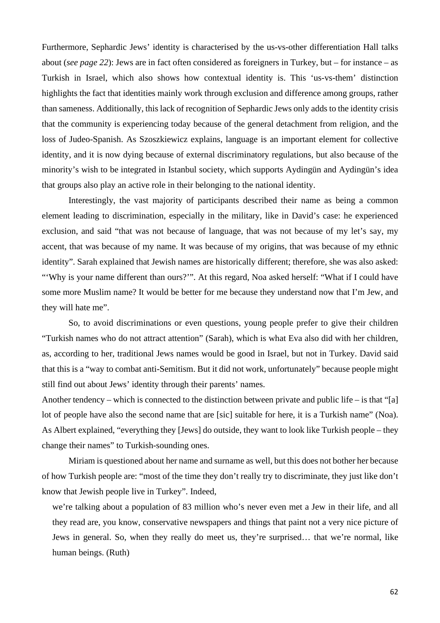Furthermore, Sephardic Jews' identity is characterised by the us-vs-other differentiation Hall talks about (*see page 22*): Jews are in fact often considered as foreigners in Turkey, but – for instance – as Turkish in Israel, which also shows how contextual identity is. This 'us-vs-them' distinction highlights the fact that identities mainly work through exclusion and difference among groups, rather than sameness. Additionally, this lack of recognition of Sephardic Jews only adds to the identity crisis that the community is experiencing today because of the general detachment from religion, and the loss of Judeo-Spanish. As Szoszkiewicz explains, language is an important element for collective identity, and it is now dying because of external discriminatory regulations, but also because of the minority's wish to be integrated in Istanbul society, which supports Aydingün and Aydingün's idea that groups also play an active role in their belonging to the national identity.

Interestingly, the vast majority of participants described their name as being a common element leading to discrimination, especially in the military, like in David's case: he experienced exclusion, and said "that was not because of language, that was not because of my let's say, my accent, that was because of my name. It was because of my origins, that was because of my ethnic identity". Sarah explained that Jewish names are historically different; therefore, she was also asked: "'Why is your name different than ours?"". At this regard, Noa asked herself: "What if I could have some more Muslim name? It would be better for me because they understand now that I'm Jew, and they will hate me".

So, to avoid discriminations or even questions, young people prefer to give their children "Turkish names who do not attract attention" (Sarah), which is what Eva also did with her children, as, according to her, traditional Jews names would be good in Israel, but not in Turkey. David said that this is a "way to combat anti-Semitism. But it did not work, unfortunately" because people might still find out about Jews' identity through their parents' names.

Another tendency – which is connected to the distinction between private and public life – is that "[a] lot of people have also the second name that are [sic] suitable for here, it is a Turkish name" (Noa). As Albert explained, "everything they [Jews] do outside, they want to look like Turkish people – they change their names" to Turkish-sounding ones.

Miriam is questioned about her name and surname as well, but this does not bother her because of how Turkish people are: "most of the time they don't really try to discriminate, they just like don't know that Jewish people live in Turkey". Indeed,

we're talking about a population of 83 million who's never even met a Jew in their life, and all they read are, you know, conservative newspapers and things that paint not a very nice picture of Jews in general. So, when they really do meet us, they're surprised… that we're normal, like human beings. (Ruth)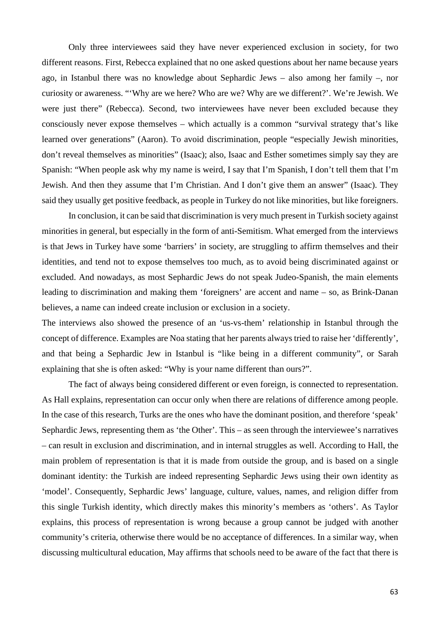Only three interviewees said they have never experienced exclusion in society, for two different reasons. First, Rebecca explained that no one asked questions about her name because years ago, in Istanbul there was no knowledge about Sephardic Jews – also among her family –, nor curiosity or awareness. "'Why are we here? Who are we? Why are we different?'. We're Jewish. We were just there" (Rebecca). Second, two interviewees have never been excluded because they consciously never expose themselves – which actually is a common "survival strategy that's like learned over generations" (Aaron). To avoid discrimination, people "especially Jewish minorities, don't reveal themselves as minorities" (Isaac); also, Isaac and Esther sometimes simply say they are Spanish: "When people ask why my name is weird, I say that I'm Spanish, I don't tell them that I'm Jewish. And then they assume that I'm Christian. And I don't give them an answer" (Isaac). They said they usually get positive feedback, as people in Turkey do not like minorities, but like foreigners.

In conclusion, it can be said that discrimination is very much present in Turkish society against minorities in general, but especially in the form of anti-Semitism. What emerged from the interviews is that Jews in Turkey have some 'barriers' in society, are struggling to affirm themselves and their identities, and tend not to expose themselves too much, as to avoid being discriminated against or excluded. And nowadays, as most Sephardic Jews do not speak Judeo-Spanish, the main elements leading to discrimination and making them 'foreigners' are accent and name – so, as Brink-Danan believes, a name can indeed create inclusion or exclusion in a society.

The interviews also showed the presence of an 'us-vs-them' relationship in Istanbul through the concept of difference. Examples are Noa stating that her parents always tried to raise her 'differently', and that being a Sephardic Jew in Istanbul is "like being in a different community", or Sarah explaining that she is often asked: "Why is your name different than ours?".

The fact of always being considered different or even foreign, is connected to representation. As Hall explains, representation can occur only when there are relations of difference among people. In the case of this research, Turks are the ones who have the dominant position, and therefore 'speak' Sephardic Jews, representing them as 'the Other'. This – as seen through the interviewee's narratives – can result in exclusion and discrimination, and in internal struggles as well. According to Hall, the main problem of representation is that it is made from outside the group, and is based on a single dominant identity: the Turkish are indeed representing Sephardic Jews using their own identity as 'model'. Consequently, Sephardic Jews' language, culture, values, names, and religion differ from this single Turkish identity, which directly makes this minority's members as 'others'. As Taylor explains, this process of representation is wrong because a group cannot be judged with another community's criteria, otherwise there would be no acceptance of differences. In a similar way, when discussing multicultural education, May affirms that schools need to be aware of the fact that there is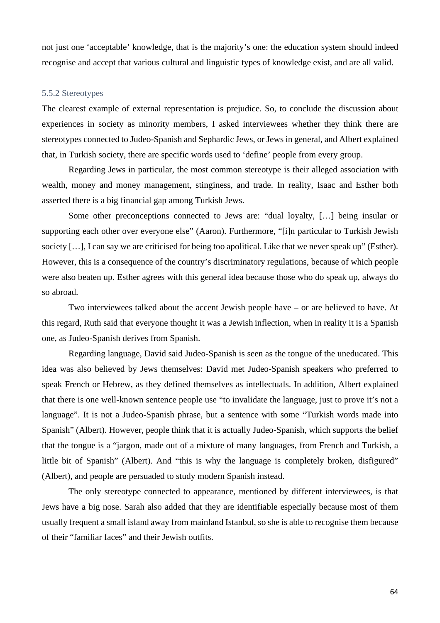not just one 'acceptable' knowledge, that is the majority's one: the education system should indeed recognise and accept that various cultural and linguistic types of knowledge exist, and are all valid.

### 5.5.2 Stereotypes

The clearest example of external representation is prejudice. So, to conclude the discussion about experiences in society as minority members, I asked interviewees whether they think there are stereotypes connected to Judeo-Spanish and Sephardic Jews, or Jews in general, and Albert explained that, in Turkish society, there are specific words used to 'define' people from every group.

Regarding Jews in particular, the most common stereotype is their alleged association with wealth, money and money management, stinginess, and trade. In reality, Isaac and Esther both asserted there is a big financial gap among Turkish Jews.

Some other preconceptions connected to Jews are: "dual loyalty, […] being insular or supporting each other over everyone else" (Aaron). Furthermore, "[i]n particular to Turkish Jewish society [...], I can say we are criticised for being too apolitical. Like that we never speak up" (Esther). However, this is a consequence of the country's discriminatory regulations, because of which people were also beaten up. Esther agrees with this general idea because those who do speak up, always do so abroad.

Two interviewees talked about the accent Jewish people have – or are believed to have. At this regard, Ruth said that everyone thought it was a Jewish inflection, when in reality it is a Spanish one, as Judeo-Spanish derives from Spanish.

Regarding language, David said Judeo-Spanish is seen as the tongue of the uneducated. This idea was also believed by Jews themselves: David met Judeo-Spanish speakers who preferred to speak French or Hebrew, as they defined themselves as intellectuals. In addition, Albert explained that there is one well-known sentence people use "to invalidate the language, just to prove it's not a language". It is not a Judeo-Spanish phrase, but a sentence with some "Turkish words made into Spanish" (Albert). However, people think that it is actually Judeo-Spanish, which supports the belief that the tongue is a "jargon, made out of a mixture of many languages, from French and Turkish, a little bit of Spanish" (Albert). And "this is why the language is completely broken, disfigured" (Albert), and people are persuaded to study modern Spanish instead.

The only stereotype connected to appearance, mentioned by different interviewees, is that Jews have a big nose. Sarah also added that they are identifiable especially because most of them usually frequent a small island away from mainland Istanbul, so she is able to recognise them because of their "familiar faces" and their Jewish outfits.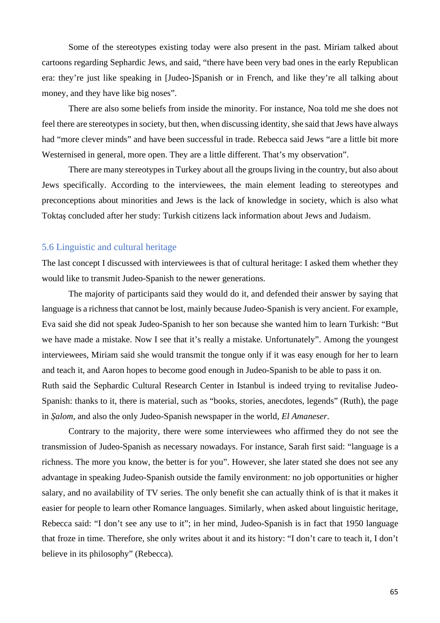Some of the stereotypes existing today were also present in the past. Miriam talked about cartoons regarding Sephardic Jews, and said, "there have been very bad ones in the early Republican era: they're just like speaking in [Judeo-]Spanish or in French, and like they're all talking about money, and they have like big noses".

There are also some beliefs from inside the minority. For instance, Noa told me she does not feel there are stereotypes in society, but then, when discussing identity, she said that Jews have always had "more clever minds" and have been successful in trade. Rebecca said Jews "are a little bit more Westernised in general, more open. They are a little different. That's my observation".

There are many stereotypes in Turkey about all the groups living in the country, but also about Jews specifically. According to the interviewees, the main element leading to stereotypes and preconceptions about minorities and Jews is the lack of knowledge in society, which is also what Toktaş concluded after her study: Turkish citizens lack information about Jews and Judaism.

#### 5.6 Linguistic and cultural heritage

The last concept I discussed with interviewees is that of cultural heritage: I asked them whether they would like to transmit Judeo-Spanish to the newer generations.

The majority of participants said they would do it, and defended their answer by saying that language is a richness that cannot be lost, mainly because Judeo-Spanish is very ancient. For example, Eva said she did not speak Judeo-Spanish to her son because she wanted him to learn Turkish: "But we have made a mistake. Now I see that it's really a mistake. Unfortunately". Among the youngest interviewees, Miriam said she would transmit the tongue only if it was easy enough for her to learn and teach it, and Aaron hopes to become good enough in Judeo-Spanish to be able to pass it on. Ruth said the Sephardic Cultural Research Center in Istanbul is indeed trying to revitalise Judeo-Spanish: thanks to it, there is material, such as "books, stories, anecdotes, legends" (Ruth), the page in *Şalom*, and also the only Judeo-Spanish newspaper in the world, *El Amaneser*.

Contrary to the majority, there were some interviewees who affirmed they do not see the transmission of Judeo-Spanish as necessary nowadays. For instance, Sarah first said: "language is a richness. The more you know, the better is for you". However, she later stated she does not see any advantage in speaking Judeo-Spanish outside the family environment: no job opportunities or higher salary, and no availability of TV series. The only benefit she can actually think of is that it makes it easier for people to learn other Romance languages. Similarly, when asked about linguistic heritage, Rebecca said: "I don't see any use to it"; in her mind, Judeo-Spanish is in fact that 1950 language that froze in time. Therefore, she only writes about it and its history: "I don't care to teach it, I don't believe in its philosophy" (Rebecca).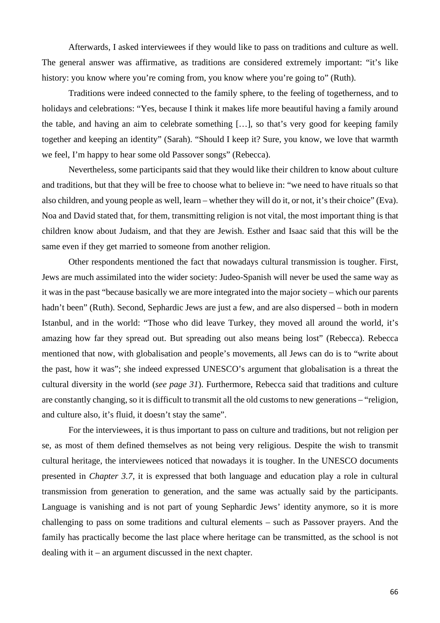Afterwards, I asked interviewees if they would like to pass on traditions and culture as well. The general answer was affirmative, as traditions are considered extremely important: "it's like history: you know where you're coming from, you know where you're going to" (Ruth).

Traditions were indeed connected to the family sphere, to the feeling of togetherness, and to holidays and celebrations: "Yes, because I think it makes life more beautiful having a family around the table, and having an aim to celebrate something […], so that's very good for keeping family together and keeping an identity" (Sarah). "Should I keep it? Sure, you know, we love that warmth we feel, I'm happy to hear some old Passover songs" (Rebecca).

Nevertheless, some participants said that they would like their children to know about culture and traditions, but that they will be free to choose what to believe in: "we need to have rituals so that also children, and young people as well, learn – whether they will do it, or not, it's their choice" (Eva). Noa and David stated that, for them, transmitting religion is not vital, the most important thing is that children know about Judaism, and that they are Jewish. Esther and Isaac said that this will be the same even if they get married to someone from another religion.

Other respondents mentioned the fact that nowadays cultural transmission is tougher. First, Jews are much assimilated into the wider society: Judeo-Spanish will never be used the same way as it was in the past "because basically we are more integrated into the major society – which our parents hadn't been" (Ruth). Second, Sephardic Jews are just a few, and are also dispersed – both in modern Istanbul, and in the world: "Those who did leave Turkey, they moved all around the world, it's amazing how far they spread out. But spreading out also means being lost" (Rebecca). Rebecca mentioned that now, with globalisation and people's movements, all Jews can do is to "write about the past, how it was"; she indeed expressed UNESCO's argument that globalisation is a threat the cultural diversity in the world (*see page 31*). Furthermore, Rebecca said that traditions and culture are constantly changing, so it is difficult to transmit all the old customs to new generations – "religion, and culture also, it's fluid, it doesn't stay the same".

For the interviewees, it is thus important to pass on culture and traditions, but not religion per se, as most of them defined themselves as not being very religious. Despite the wish to transmit cultural heritage, the interviewees noticed that nowadays it is tougher. In the UNESCO documents presented in *Chapter 3.7*, it is expressed that both language and education play a role in cultural transmission from generation to generation, and the same was actually said by the participants. Language is vanishing and is not part of young Sephardic Jews' identity anymore, so it is more challenging to pass on some traditions and cultural elements – such as Passover prayers. And the family has practically become the last place where heritage can be transmitted, as the school is not dealing with it – an argument discussed in the next chapter.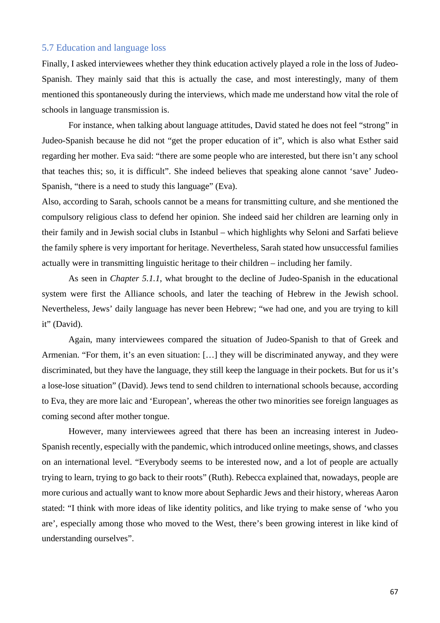#### 5.7 Education and language loss

Finally, I asked interviewees whether they think education actively played a role in the loss of Judeo-Spanish. They mainly said that this is actually the case, and most interestingly, many of them mentioned this spontaneously during the interviews, which made me understand how vital the role of schools in language transmission is.

For instance, when talking about language attitudes, David stated he does not feel "strong" in Judeo-Spanish because he did not "get the proper education of it", which is also what Esther said regarding her mother. Eva said: "there are some people who are interested, but there isn't any school that teaches this; so, it is difficult". She indeed believes that speaking alone cannot 'save' Judeo-Spanish, "there is a need to study this language" (Eva).

Also, according to Sarah, schools cannot be a means for transmitting culture, and she mentioned the compulsory religious class to defend her opinion. She indeed said her children are learning only in their family and in Jewish social clubs in Istanbul – which highlights why Seloni and Sarfati believe the family sphere is very important for heritage. Nevertheless, Sarah stated how unsuccessful families actually were in transmitting linguistic heritage to their children – including her family.

As seen in *Chapter 5.1.1*, what brought to the decline of Judeo-Spanish in the educational system were first the Alliance schools, and later the teaching of Hebrew in the Jewish school. Nevertheless, Jews' daily language has never been Hebrew; "we had one, and you are trying to kill it" (David).

Again, many interviewees compared the situation of Judeo-Spanish to that of Greek and Armenian. "For them, it's an even situation: […] they will be discriminated anyway, and they were discriminated, but they have the language, they still keep the language in their pockets. But for us it's a lose-lose situation" (David). Jews tend to send children to international schools because, according to Eva, they are more laic and 'European', whereas the other two minorities see foreign languages as coming second after mother tongue.

However, many interviewees agreed that there has been an increasing interest in Judeo-Spanish recently, especially with the pandemic, which introduced online meetings, shows, and classes on an international level. "Everybody seems to be interested now, and a lot of people are actually trying to learn, trying to go back to their roots" (Ruth). Rebecca explained that, nowadays, people are more curious and actually want to know more about Sephardic Jews and their history, whereas Aaron stated: "I think with more ideas of like identity politics, and like trying to make sense of 'who you are', especially among those who moved to the West, there's been growing interest in like kind of understanding ourselves".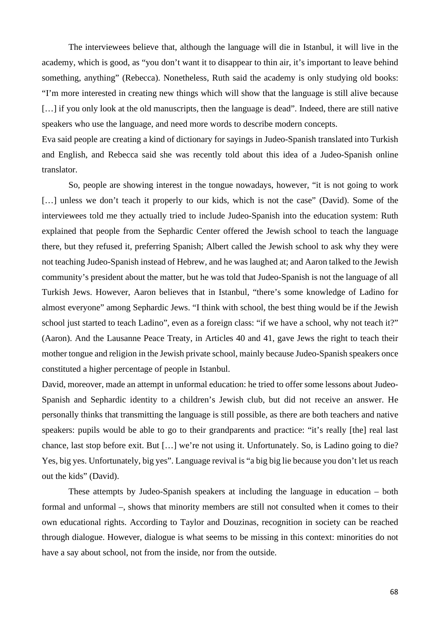The interviewees believe that, although the language will die in Istanbul, it will live in the academy, which is good, as "you don't want it to disappear to thin air, it's important to leave behind something, anything" (Rebecca). Nonetheless, Ruth said the academy is only studying old books: "I'm more interested in creating new things which will show that the language is still alive because [...] if you only look at the old manuscripts, then the language is dead". Indeed, there are still native speakers who use the language, and need more words to describe modern concepts.

Eva said people are creating a kind of dictionary for sayings in Judeo-Spanish translated into Turkish and English, and Rebecca said she was recently told about this idea of a Judeo-Spanish online translator.

So, people are showing interest in the tongue nowadays, however, "it is not going to work [...] unless we don't teach it properly to our kids, which is not the case" (David). Some of the interviewees told me they actually tried to include Judeo-Spanish into the education system: Ruth explained that people from the Sephardic Center offered the Jewish school to teach the language there, but they refused it, preferring Spanish; Albert called the Jewish school to ask why they were not teaching Judeo-Spanish instead of Hebrew, and he was laughed at; and Aaron talked to the Jewish community's president about the matter, but he was told that Judeo-Spanish is not the language of all Turkish Jews. However, Aaron believes that in Istanbul, "there's some knowledge of Ladino for almost everyone" among Sephardic Jews. "I think with school, the best thing would be if the Jewish school just started to teach Ladino", even as a foreign class: "if we have a school, why not teach it?" (Aaron). And the Lausanne Peace Treaty, in Articles 40 and 41, gave Jews the right to teach their mother tongue and religion in the Jewish private school, mainly because Judeo-Spanish speakers once constituted a higher percentage of people in Istanbul.

David, moreover, made an attempt in unformal education: he tried to offer some lessons about Judeo-Spanish and Sephardic identity to a children's Jewish club, but did not receive an answer. He personally thinks that transmitting the language is still possible, as there are both teachers and native speakers: pupils would be able to go to their grandparents and practice: "it's really [the] real last chance, last stop before exit. But […] we're not using it. Unfortunately. So, is Ladino going to die? Yes, big yes. Unfortunately, big yes". Language revival is "a big big lie because you don't let us reach out the kids" (David).

These attempts by Judeo-Spanish speakers at including the language in education – both formal and unformal –, shows that minority members are still not consulted when it comes to their own educational rights. According to Taylor and Douzinas, recognition in society can be reached through dialogue. However, dialogue is what seems to be missing in this context: minorities do not have a say about school, not from the inside, nor from the outside.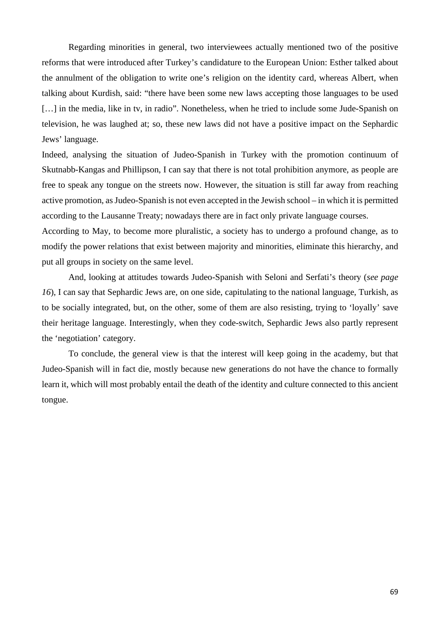Regarding minorities in general, two interviewees actually mentioned two of the positive reforms that were introduced after Turkey's candidature to the European Union: Esther talked about the annulment of the obligation to write one's religion on the identity card, whereas Albert, when talking about Kurdish, said: "there have been some new laws accepting those languages to be used [...] in the media, like in tv, in radio". Nonetheless, when he tried to include some Jude-Spanish on television, he was laughed at; so, these new laws did not have a positive impact on the Sephardic Jews' language.

Indeed, analysing the situation of Judeo-Spanish in Turkey with the promotion continuum of Skutnabb-Kangas and Phillipson, I can say that there is not total prohibition anymore, as people are free to speak any tongue on the streets now. However, the situation is still far away from reaching active promotion, as Judeo-Spanish is not even accepted in the Jewish school – in which it is permitted according to the Lausanne Treaty; nowadays there are in fact only private language courses.

According to May, to become more pluralistic, a society has to undergo a profound change, as to modify the power relations that exist between majority and minorities, eliminate this hierarchy, and put all groups in society on the same level.

And, looking at attitudes towards Judeo-Spanish with Seloni and Serfati's theory (*see page 16*), I can say that Sephardic Jews are, on one side, capitulating to the national language, Turkish, as to be socially integrated, but, on the other, some of them are also resisting, trying to 'loyally' save their heritage language. Interestingly, when they code-switch, Sephardic Jews also partly represent the 'negotiation' category.

To conclude, the general view is that the interest will keep going in the academy, but that Judeo-Spanish will in fact die, mostly because new generations do not have the chance to formally learn it, which will most probably entail the death of the identity and culture connected to this ancient tongue.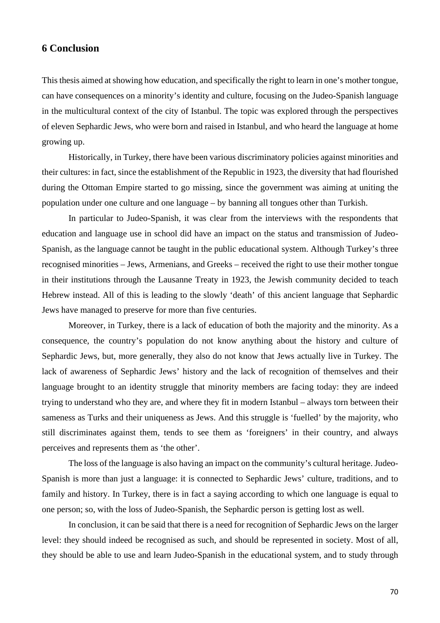### **6 Conclusion**

This thesis aimed at showing how education, and specifically the right to learn in one's mother tongue, can have consequences on a minority's identity and culture, focusing on the Judeo-Spanish language in the multicultural context of the city of Istanbul. The topic was explored through the perspectives of eleven Sephardic Jews, who were born and raised in Istanbul, and who heard the language at home growing up.

Historically, in Turkey, there have been various discriminatory policies against minorities and their cultures: in fact, since the establishment of the Republic in 1923, the diversity that had flourished during the Ottoman Empire started to go missing, since the government was aiming at uniting the population under one culture and one language – by banning all tongues other than Turkish.

In particular to Judeo-Spanish, it was clear from the interviews with the respondents that education and language use in school did have an impact on the status and transmission of Judeo-Spanish, as the language cannot be taught in the public educational system. Although Turkey's three recognised minorities – Jews, Armenians, and Greeks – received the right to use their mother tongue in their institutions through the Lausanne Treaty in 1923, the Jewish community decided to teach Hebrew instead. All of this is leading to the slowly 'death' of this ancient language that Sephardic Jews have managed to preserve for more than five centuries.

Moreover, in Turkey, there is a lack of education of both the majority and the minority. As a consequence, the country's population do not know anything about the history and culture of Sephardic Jews, but, more generally, they also do not know that Jews actually live in Turkey. The lack of awareness of Sephardic Jews' history and the lack of recognition of themselves and their language brought to an identity struggle that minority members are facing today: they are indeed trying to understand who they are, and where they fit in modern Istanbul – always torn between their sameness as Turks and their uniqueness as Jews. And this struggle is 'fuelled' by the majority, who still discriminates against them, tends to see them as 'foreigners' in their country, and always perceives and represents them as 'the other'.

The loss of the language is also having an impact on the community's cultural heritage. Judeo-Spanish is more than just a language: it is connected to Sephardic Jews' culture, traditions, and to family and history. In Turkey, there is in fact a saying according to which one language is equal to one person; so, with the loss of Judeo-Spanish, the Sephardic person is getting lost as well.

In conclusion, it can be said that there is a need for recognition of Sephardic Jews on the larger level: they should indeed be recognised as such, and should be represented in society. Most of all, they should be able to use and learn Judeo-Spanish in the educational system, and to study through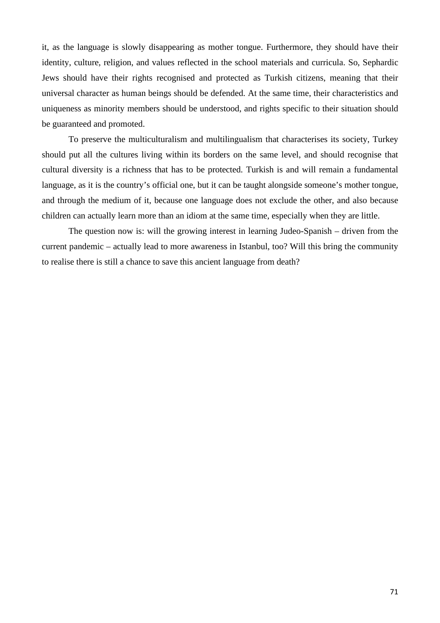it, as the language is slowly disappearing as mother tongue. Furthermore, they should have their identity, culture, religion, and values reflected in the school materials and curricula. So, Sephardic Jews should have their rights recognised and protected as Turkish citizens, meaning that their universal character as human beings should be defended. At the same time, their characteristics and uniqueness as minority members should be understood, and rights specific to their situation should be guaranteed and promoted.

To preserve the multiculturalism and multilingualism that characterises its society, Turkey should put all the cultures living within its borders on the same level, and should recognise that cultural diversity is a richness that has to be protected. Turkish is and will remain a fundamental language, as it is the country's official one, but it can be taught alongside someone's mother tongue, and through the medium of it, because one language does not exclude the other, and also because children can actually learn more than an idiom at the same time, especially when they are little.

The question now is: will the growing interest in learning Judeo-Spanish – driven from the current pandemic – actually lead to more awareness in Istanbul, too? Will this bring the community to realise there is still a chance to save this ancient language from death?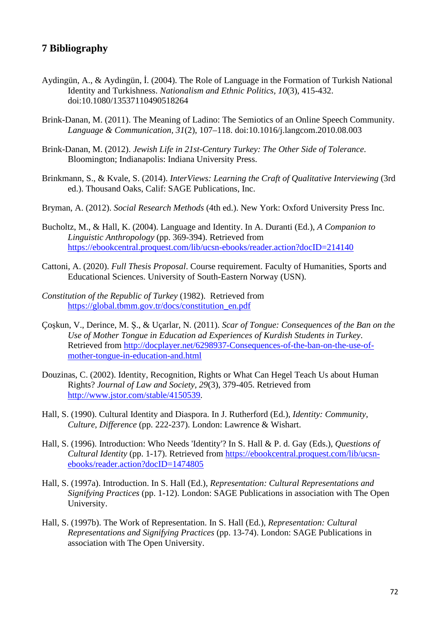# **7 Bibliography**

- Aydingün, A., & Aydingün, İ. (2004). The Role of Language in the Formation of Turkish National Identity and Turkishness. *Nationalism and Ethnic Politics, 10*(3), 415-432. doi:10.1080/13537110490518264
- Brink-Danan, M. (2011). The Meaning of Ladino: The Semiotics of an Online Speech Community. *Language & Communication, 31*(2), 107–118. doi:10.1016/j.langcom.2010.08.003
- Brink-Danan, M. (2012). *Jewish Life in 21st-Century Turkey: The Other Side of Tolerance*. Bloomington; Indianapolis: Indiana University Press.
- Brinkmann, S., & Kvale, S. (2014). *InterViews: Learning the Craft of Qualitative Interviewing* (3rd ed.). Thousand Oaks, Calif: SAGE Publications, Inc.
- Bryman, A. (2012). *Social Research Methods* (4th ed.). New York: Oxford University Press Inc.
- Bucholtz, M., & Hall, K. (2004). Language and Identity. In A. Duranti (Ed.), *A Companion to Linguistic Anthropology* (pp. 369-394). Retrieved from https://ebookcentral.proquest.com/lib/ucsn-ebooks/reader.action?docID=214140
- Cattoni, A. (2020). *Full Thesis Proposal*. Course requirement. Faculty of Humanities, Sports and Educational Sciences. University of South-Eastern Norway (USN).
- *Constitution of the Republic of Turkey* (1982). Retrieved from https://global.tbmm.gov.tr/docs/constitution\_en.pdf
- Çoşkun, V., Derince, M. Ş., & Uçarlar, N. (2011). *Scar of Tongue: Consequences of the Ban on the Use of Mother Tongue in Education ad Experiences of Kurdish Students in Turkey*. Retrieved from http://docplayer.net/6298937-Consequences-of-the-ban-on-the-use-ofmother-tongue-in-education-and.html
- Douzinas, C. (2002). Identity, Recognition, Rights or What Can Hegel Teach Us about Human Rights? *Journal of Law and Society, 29*(3), 379-405. Retrieved from http://www.jstor.com/stable/4150539.
- Hall, S. (1990). Cultural Identity and Diaspora. In J. Rutherford (Ed.), *Identity: Community, Culture, Difference* (pp. 222-237). London: Lawrence & Wishart.
- Hall, S. (1996). Introduction: Who Needs 'Identity'? In S. Hall & P. d. Gay (Eds.), *Questions of Cultural Identity* (pp. 1-17). Retrieved from https://ebookcentral.proquest.com/lib/ucsnebooks/reader.action?docID=1474805
- Hall, S. (1997a). Introduction. In S. Hall (Ed.), *Representation: Cultural Representations and Signifying Practices* (pp. 1-12). London: SAGE Publications in association with The Open University.
- Hall, S. (1997b). The Work of Representation. In S. Hall (Ed.), *Representation: Cultural Representations and Signifying Practices* (pp. 13-74). London: SAGE Publications in association with The Open University.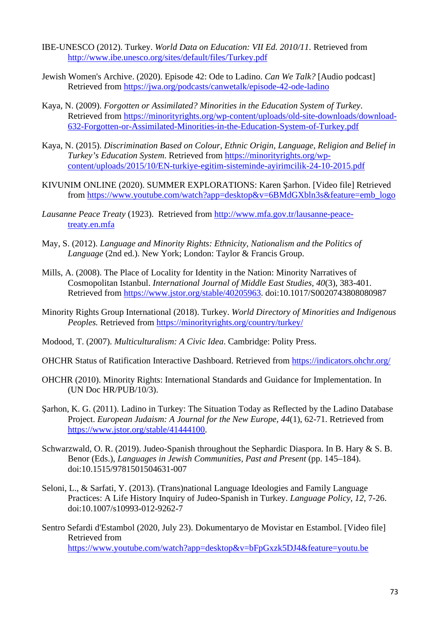- IBE-UNESCO (2012). Turkey. *World Data on Education: VII Ed. 2010/11.* Retrieved from http://www.ibe.unesco.org/sites/default/files/Turkey.pdf
- Jewish Women's Archive. (2020). Episode 42: Ode to Ladino. *Can We Talk?* [Audio podcast] Retrieved from https://jwa.org/podcasts/canwetalk/episode-42-ode-ladino
- Kaya, N. (2009). *Forgotten or Assimilated? Minorities in the Education System of Turkey*. Retrieved from https://minorityrights.org/wp-content/uploads/old-site-downloads/download-632-Forgotten-or-Assimilated-Minorities-in-the-Education-System-of-Turkey.pdf
- Kaya, N. (2015). *Discrimination Based on Colour, Ethnic Origin, Language, Religion and Belief in Turkey's Education System*. Retrieved from https://minorityrights.org/wpcontent/uploads/2015/10/EN-turkiye-egitim-sisteminde-ayirimcilik-24-10-2015.pdf
- KIVUNIM ONLINE (2020). SUMMER EXPLORATIONS: Karen Şarhon. [Video file] Retrieved from https://www.youtube.com/watch?app=desktop&v=6BMdGXbln3s&feature=emb\_logo
- *Lausanne Peace Treaty* (1923). Retrieved from http://www.mfa.gov.tr/lausanne-peacetreaty.en.mfa
- May, S. (2012). *Language and Minority Rights: Ethnicity, Nationalism and the Politics of Language* (2nd ed.). New York; London: Taylor & Francis Group.
- Mills, A. (2008). The Place of Locality for Identity in the Nation: Minority Narratives of Cosmopolitan Istanbul. *International Journal of Middle East Studies, 40*(3), 383-401. Retrieved from https://www.jstor.org/stable/40205963. doi:10.1017/S0020743808080987
- Minority Rights Group International (2018). Turkey. *World Directory of Minorities and Indigenous Peoples.* Retrieved from https://minorityrights.org/country/turkey/
- Modood, T. (2007). *Multiculturalism: A Civic Idea*. Cambridge: Polity Press.
- OHCHR Status of Ratification Interactive Dashboard. Retrieved from https://indicators.ohchr.org/
- OHCHR (2010). Minority Rights: International Standards and Guidance for Implementation. In (UN Doc HR/PUB/10/3).
- Şarhon, K. G. (2011). Ladino in Turkey: The Situation Today as Reflected by the Ladino Database Project. *European Judaism: A Journal for the New Europe, 44*(1), 62-71. Retrieved from https://www.jstor.org/stable/41444100.
- Schwarzwald, O. R. (2019). Judeo-Spanish throughout the Sephardic Diaspora. In B. Hary & S. B. Benor (Eds.), *Languages in Jewish Communities, Past and Present* (pp. 145–184). doi:10.1515/9781501504631-007
- Seloni, L., & Sarfati, Y. (2013). (Trans)national Language Ideologies and Family Language Practices: A Life History Inquiry of Judeo-Spanish in Turkey. *Language Policy, 12*, 7-26. doi:10.1007/s10993-012-9262-7
- Sentro Sefardi d'Estambol (2020, July 23). Dokumentaryo de Movistar en Estambol. [Video file] Retrieved from https://www.youtube.com/watch?app=desktop&v=bFpGxzk5DJ4&feature=youtu.be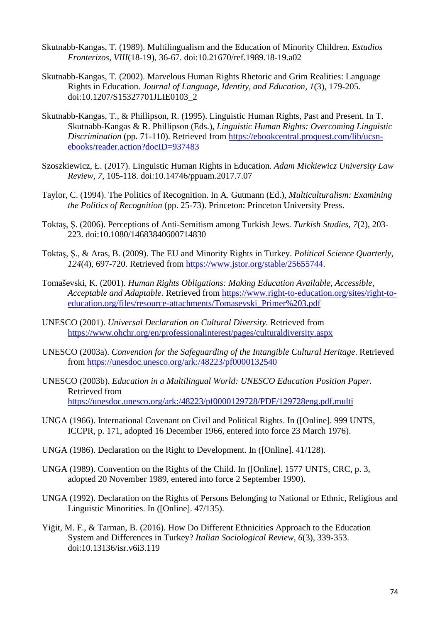- Skutnabb-Kangas, T. (1989). Multilingualism and the Education of Minority Children. *Estudios Fronterizos, VIII*(18-19), 36-67. doi:10.21670/ref.1989.18-19.a02
- Skutnabb-Kangas, T. (2002). Marvelous Human Rights Rhetoric and Grim Realities: Language Rights in Education. *Journal of Language, Identity, and Education, 1*(3), 179-205. doi:10.1207/S15327701JLIE0103\_2
- Skutnabb-Kangas, T., & Phillipson, R. (1995). Linguistic Human Rights, Past and Present. In T. Skutnabb-Kangas & R. Phillipson (Eds.), *Linguistic Human Rights: Overcoming Linguistic Discrimination* (pp. 71-110). Retrieved from https://ebookcentral.proquest.com/lib/ucsnebooks/reader.action?docID=937483
- Szoszkiewicz, Ł. (2017). Linguistic Human Rights in Education. *Adam Mickiewicz University Law Review, 7*, 105-118. doi:10.14746/ppuam.2017.7.07
- Taylor, C. (1994). The Politics of Recognition. In A. Gutmann (Ed.), *Multiculturalism: Examining the Politics of Recognition* (pp. 25-73). Princeton: Princeton University Press.
- Toktaş, Ş. (2006). Perceptions of Anti-Semitism among Turkish Jews. *Turkish Studies, 7*(2), 203- 223. doi:10.1080/14683840600714830
- Toktaş, Ş., & Aras, B. (2009). The EU and Minority Rights in Turkey. *Political Science Quarterly, 124*(4), 697-720. Retrieved from https://www.jstor.org/stable/25655744.
- Tomaševski, K. (2001). *Human Rights Obligations: Making Education Available, Accessible, Acceptable and Adaptable*. Retrieved from https://www.right-to-education.org/sites/right-toeducation.org/files/resource-attachments/Tomasevski\_Primer%203.pdf
- UNESCO (2001). *Universal Declaration on Cultural Diversity*. Retrieved from https://www.ohchr.org/en/professionalinterest/pages/culturaldiversity.aspx
- UNESCO (2003a). *Convention for the Safeguarding of the Intangible Cultural Heritage*. Retrieved from https://unesdoc.unesco.org/ark:/48223/pf0000132540
- UNESCO (2003b). *Education in a Multilingual World: UNESCO Education Position Paper*. Retrieved from https://unesdoc.unesco.org/ark:/48223/pf0000129728/PDF/129728eng.pdf.multi
- UNGA (1966). International Covenant on Civil and Political Rights. In ([Online]. 999 UNTS, ICCPR, p. 171, adopted 16 December 1966, entered into force 23 March 1976).
- UNGA (1986). Declaration on the Right to Development. In ([Online]. 41/128).
- UNGA (1989). Convention on the Rights of the Child. In ([Online]. 1577 UNTS, CRC, p. 3, adopted 20 November 1989, entered into force 2 September 1990).
- UNGA (1992). Declaration on the Rights of Persons Belonging to National or Ethnic, Religious and Linguistic Minorities. In ([Online]. 47/135).
- Yiğit, M. F., & Tarman, B. (2016). How Do Different Ethnicities Approach to the Education System and Differences in Turkey? *Italian Sociological Review, 6*(3), 339-353. doi:10.13136/isr.v6i3.119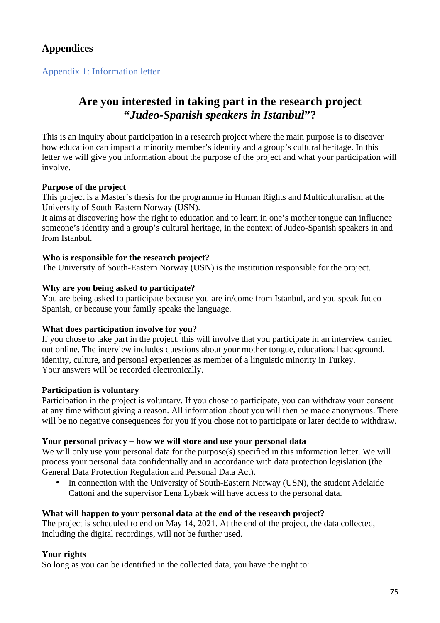# **Appendices**

# Appendix 1: Information letter

# **Are you interested in taking part in the research project "***Judeo-Spanish speakers in Istanbul***"?**

This is an inquiry about participation in a research project where the main purpose is to discover how education can impact a minority member's identity and a group's cultural heritage. In this letter we will give you information about the purpose of the project and what your participation will involve.

# **Purpose of the project**

This project is a Master's thesis for the programme in Human Rights and Multiculturalism at the University of South-Eastern Norway (USN).

It aims at discovering how the right to education and to learn in one's mother tongue can influence someone's identity and a group's cultural heritage, in the context of Judeo-Spanish speakers in and from Istanbul.

### **Who is responsible for the research project?**

The University of South-Eastern Norway (USN) is the institution responsible for the project.

### **Why are you being asked to participate?**

You are being asked to participate because you are in/come from Istanbul, and you speak Judeo-Spanish, or because your family speaks the language.

#### **What does participation involve for you?**

If you chose to take part in the project, this will involve that you participate in an interview carried out online. The interview includes questions about your mother tongue, educational background, identity, culture, and personal experiences as member of a linguistic minority in Turkey. Your answers will be recorded electronically.

#### **Participation is voluntary**

Participation in the project is voluntary. If you chose to participate, you can withdraw your consent at any time without giving a reason. All information about you will then be made anonymous. There will be no negative consequences for you if you chose not to participate or later decide to withdraw.

#### **Your personal privacy – how we will store and use your personal data**

We will only use your personal data for the purpose(s) specified in this information letter. We will process your personal data confidentially and in accordance with data protection legislation (the General Data Protection Regulation and Personal Data Act).

• In connection with the University of South-Eastern Norway (USN), the student Adelaide Cattoni and the supervisor Lena Lybæk will have access to the personal data.

# **What will happen to your personal data at the end of the research project?**

The project is scheduled to end on May 14, 2021. At the end of the project, the data collected, including the digital recordings, will not be further used.

# **Your rights**

So long as you can be identified in the collected data, you have the right to: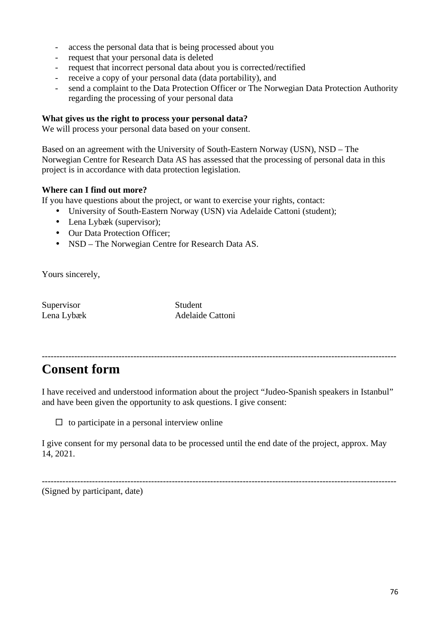- access the personal data that is being processed about you
- request that your personal data is deleted
- request that incorrect personal data about you is corrected/rectified
- receive a copy of your personal data (data portability), and
- send a complaint to the Data Protection Officer or The Norwegian Data Protection Authority regarding the processing of your personal data

#### **What gives us the right to process your personal data?**

We will process your personal data based on your consent.

Based on an agreement with the University of South-Eastern Norway (USN), NSD – The Norwegian Centre for Research Data AS has assessed that the processing of personal data in this project is in accordance with data protection legislation.

#### **Where can I find out more?**

If you have questions about the project, or want to exercise your rights, contact:

- University of South-Eastern Norway (USN) via Adelaide Cattoni (student);
- Lena Lybæk (supervisor);
- Our Data Protection Officer:
- NSD The Norwegian Centre for Research Data AS.

Yours sincerely,

Supervisor Student

Lena Lybæk Adelaide Cattoni

------------------------------------------------------------------------------------------------------------------------ **Consent form** 

I have received and understood information about the project "Judeo-Spanish speakers in Istanbul" and have been given the opportunity to ask questions. I give consent:

------------------------------------------------------------------------------------------------------------------------

 $\Box$  to participate in a personal interview online

I give consent for my personal data to be processed until the end date of the project, approx. May 14, 2021.

(Signed by participant, date)